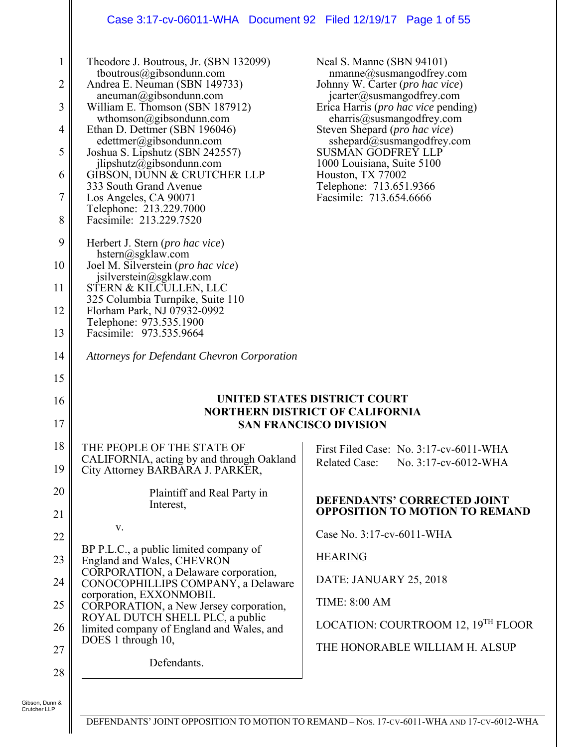### Case 3:17-cv-06011-WHA Document 92 Filed 12/19/17 Page 1 of 55

| $\mathbf{1}$<br>$\overline{2}$<br>3 | Theodore J. Boutrous, Jr. (SBN 132099)<br>tboutrous@gibsondunn.com<br>Andrea E. Neuman (SBN 149733)<br>aneuman@gibsondunn.com<br>William E. Thomson (SBN 187912)<br>wthomson@gibsondunn.com | Neal S. Manne (SBN 94101)<br>nmanne@susmangodfrey.com<br>Johnny W. Carter (pro hac vice)<br>jcarter@susmangodfrey.com<br>Erica Harris ( <i>pro hac vice</i> pending)<br>charris@susmangodfrey.com |
|-------------------------------------|---------------------------------------------------------------------------------------------------------------------------------------------------------------------------------------------|---------------------------------------------------------------------------------------------------------------------------------------------------------------------------------------------------|
| 4                                   | Ethan D. Dettmer (SBN 196046)<br>edettmer@gibsondunn.com                                                                                                                                    | Steven Shepard ( <i>pro hac vice</i> )<br>sshepard@susmangodfrey.com                                                                                                                              |
| 5                                   | Joshua S. Lipshutz (SBN 242557)<br>ilipshutz@gibsondunn.com                                                                                                                                 | SUSMAN GODFREY LLP<br>1000 Louisiana, Suite 5100                                                                                                                                                  |
| 6                                   | GIBSON, DUNN & CRUTCHER LLP<br>333 South Grand Avenue                                                                                                                                       | Houston, TX 77002<br>Telephone: 713.651.9366                                                                                                                                                      |
| $\overline{7}$                      | Los Angeles, CA 90071<br>Telephone: 213.229.7000                                                                                                                                            | Facsimile: 713.654.6666                                                                                                                                                                           |
| 8                                   | Facsimile: 213.229.7520                                                                                                                                                                     |                                                                                                                                                                                                   |
| 9                                   | Herbert J. Stern ( <i>pro hac vice</i> )<br>hstern@sgklaw.com                                                                                                                               |                                                                                                                                                                                                   |
| 10                                  | Joel M. Silverstein (pro hac vice)<br>jsilverstein@sgklaw.com                                                                                                                               |                                                                                                                                                                                                   |
| 11                                  | STERN & KILCULLEN, LLC<br>325 Columbia Turnpike, Suite 110                                                                                                                                  |                                                                                                                                                                                                   |
| 12                                  | Florham Park, NJ 07932-0992<br>Telephone: 973.535.1900                                                                                                                                      |                                                                                                                                                                                                   |
| 13                                  | Facsimile: 973.535.9664                                                                                                                                                                     |                                                                                                                                                                                                   |
| 14                                  | Attorneys for Defendant Chevron Corporation                                                                                                                                                 |                                                                                                                                                                                                   |
| 15                                  |                                                                                                                                                                                             |                                                                                                                                                                                                   |
| 16                                  |                                                                                                                                                                                             | UNITED STATES DISTRICT COURT<br><b>NORTHERN DISTRICT OF CALIFORNIA</b>                                                                                                                            |
| 17                                  |                                                                                                                                                                                             | <b>SAN FRANCISCO DIVISION</b>                                                                                                                                                                     |
| 18                                  | THE PEOPLE OF THE STATE OF                                                                                                                                                                  | First Filed Case: No. 3:17-cv-6011-WHA                                                                                                                                                            |
| 19                                  | CALIFORNIA, acting by and through Oakland<br>City Attorney BARBARA J. PARKER,                                                                                                               | <b>Related Case:</b><br>No. 3:17-cv-6012-WHA                                                                                                                                                      |
| 20                                  | Plaintiff and Real Party in<br>Interest,                                                                                                                                                    | DEFENDANTS' CORRECTED JOINT                                                                                                                                                                       |
| 21                                  |                                                                                                                                                                                             | <b>OPPOSITION TO MOTION TO REMAND</b>                                                                                                                                                             |
| 22                                  |                                                                                                                                                                                             |                                                                                                                                                                                                   |
|                                     | V.                                                                                                                                                                                          | Case No. 3:17-cv-6011-WHA                                                                                                                                                                         |
| 23                                  | BP P.L.C., a public limited company of<br>England and Wales, CHEVRON                                                                                                                        | <b>HEARING</b>                                                                                                                                                                                    |
| 24                                  | CORPORATION, a Delaware corporation,<br>CONOCOPHILLIPS COMPANY, a Delaware                                                                                                                  | DATE: JANUARY 25, 2018                                                                                                                                                                            |
| 25                                  | corporation, EXXONMOBIL<br>CORPORATION, a New Jersey corporation,                                                                                                                           | <b>TIME: 8:00 AM</b>                                                                                                                                                                              |
| 26                                  | ROYAL DUTCH SHELL PLC, a public<br>limited company of England and Wales, and                                                                                                                | LOCATION: COURTROOM 12, 19 <sup>TH</sup> FLOOR                                                                                                                                                    |
| 27                                  | DOES 1 through 10,                                                                                                                                                                          | THE HONORABLE WILLIAM H. ALSUP                                                                                                                                                                    |
| 28                                  | Defendants.                                                                                                                                                                                 |                                                                                                                                                                                                   |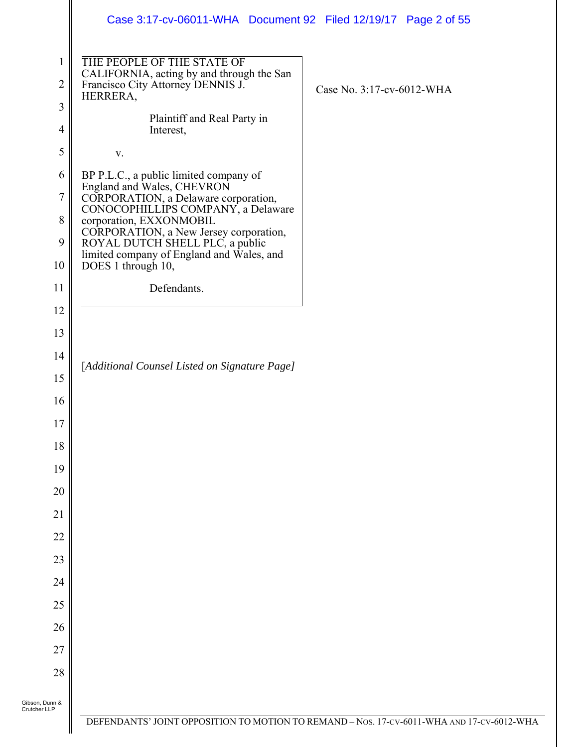|                                | Case 3:17-cv-06011-WHA  Document 92  Filed 12/19/17  Page 2 of 55                                                        |                                                                                         |
|--------------------------------|--------------------------------------------------------------------------------------------------------------------------|-----------------------------------------------------------------------------------------|
| $\mathbf{1}$<br>$\overline{2}$ | THE PEOPLE OF THE STATE OF<br>CALIFORNIA, acting by and through the San<br>Francisco City Attorney DENNIS J.<br>HERRERA, | Case No. 3:17-cv-6012-WHA                                                               |
| $\mathfrak{Z}$                 | Plaintiff and Real Party in                                                                                              |                                                                                         |
| $\overline{4}$                 | Interest,                                                                                                                |                                                                                         |
| $\mathfrak s$                  | $\mathbf{V}$ .                                                                                                           |                                                                                         |
| 6                              | BP P.L.C., a public limited company of<br>England and Wales, CHEVRON                                                     |                                                                                         |
| $\boldsymbol{7}$               | CORPORATION, a Delaware corporation,<br>CONOCOPHILLIPS COMPANY, a Delaware                                               |                                                                                         |
| 8                              | corporation, EXXONMOBIL<br>CORPORATION, a New Jersey corporation,                                                        |                                                                                         |
| 9                              | ROYAL DUTCH SHELL PLC, a public<br>limited company of England and Wales, and                                             |                                                                                         |
| 10                             | DOES 1 through 10,                                                                                                       |                                                                                         |
| 11                             | Defendants.                                                                                                              |                                                                                         |
| 12                             |                                                                                                                          |                                                                                         |
| 13                             |                                                                                                                          |                                                                                         |
| 14                             | [Additional Counsel Listed on Signature Page]                                                                            |                                                                                         |
| 15                             |                                                                                                                          |                                                                                         |
| 16                             |                                                                                                                          |                                                                                         |
| $17\,$                         |                                                                                                                          |                                                                                         |
| 18                             |                                                                                                                          |                                                                                         |
| 19                             |                                                                                                                          |                                                                                         |
| 20                             |                                                                                                                          |                                                                                         |
| 21                             |                                                                                                                          |                                                                                         |
| 22                             |                                                                                                                          |                                                                                         |
| 23<br>24                       |                                                                                                                          |                                                                                         |
| 25                             |                                                                                                                          |                                                                                         |
|                                |                                                                                                                          |                                                                                         |
| 26<br>27                       |                                                                                                                          |                                                                                         |
| 28                             |                                                                                                                          |                                                                                         |
|                                |                                                                                                                          |                                                                                         |
| Gibson, Dunn &<br>Crutcher LLP |                                                                                                                          |                                                                                         |
|                                |                                                                                                                          | DEFENDANTS' JOINT OPPOSITION TO MOTION TO REMAND - Nos. 17-CV-6011-WHA AND 17-CV-6012-W |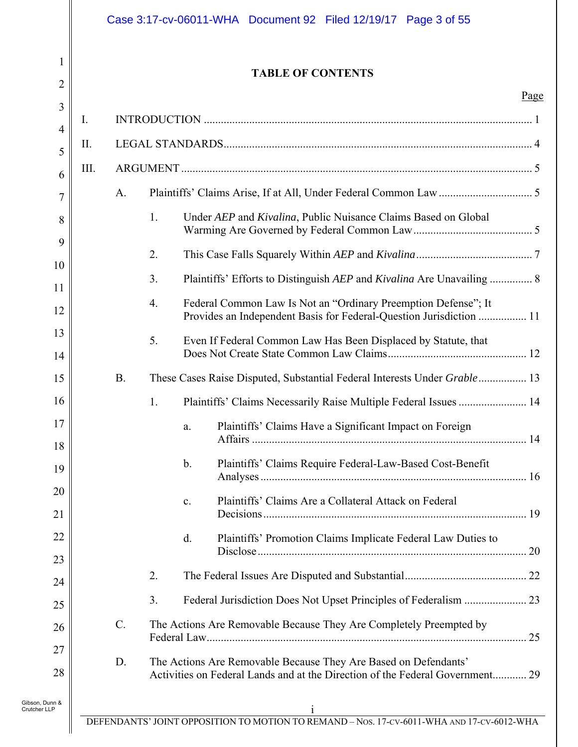| 1<br>$\overline{2}$  |           |               | <b>TABLE OF CONTENTS</b>                                                                                                                         |             |
|----------------------|-----------|---------------|--------------------------------------------------------------------------------------------------------------------------------------------------|-------------|
| $\mathfrak{Z}$       |           |               |                                                                                                                                                  | <u>Page</u> |
| Ι.<br>$\overline{4}$ |           |               |                                                                                                                                                  |             |
| П.<br>5              |           |               |                                                                                                                                                  |             |
| Ш.<br>6              |           |               |                                                                                                                                                  |             |
| $\overline{7}$       | A.        |               |                                                                                                                                                  |             |
| 8                    | 1.        |               | Under AEP and Kivalina, Public Nuisance Claims Based on Global                                                                                   |             |
| 9<br>10              | 2.        |               |                                                                                                                                                  |             |
| 11                   | 3.        |               | Plaintiffs' Efforts to Distinguish AEP and Kivalina Are Unavailing  8                                                                            |             |
| 12                   | 4.        |               | Federal Common Law Is Not an "Ordinary Preemption Defense"; It<br>Provides an Independent Basis for Federal-Question Jurisdiction  11            |             |
| 13<br>14             | 5.        |               | Even If Federal Common Law Has Been Displaced by Statute, that                                                                                   |             |
| 15                   | <b>B.</b> |               | These Cases Raise Disputed, Substantial Federal Interests Under Grable  13                                                                       |             |
| 16                   | 1.        |               | Plaintiffs' Claims Necessarily Raise Multiple Federal Issues  14                                                                                 |             |
| $17\,$<br>18         |           | a.            | Plaintiffs' Claims Have a Significant Impact on Foreign                                                                                          |             |
| 19                   |           | $\mathbf b$ . | Plaintiffs' Claims Require Federal-Law-Based Cost-Benefit                                                                                        |             |
| 20<br>21             |           | c.            | Plaintiffs' Claims Are a Collateral Attack on Federal                                                                                            |             |
| 22<br>23             |           | d.            | Plaintiffs' Promotion Claims Implicate Federal Law Duties to                                                                                     |             |
| 24                   | 2.        |               |                                                                                                                                                  |             |
| 25                   | 3.        |               |                                                                                                                                                  |             |
| 26                   | $C$ .     |               | The Actions Are Removable Because They Are Completely Preempted by                                                                               |             |
| 27<br>28             | D.        |               | The Actions Are Removable Because They Are Based on Defendants'<br>Activities on Federal Lands and at the Direction of the Federal Government 29 |             |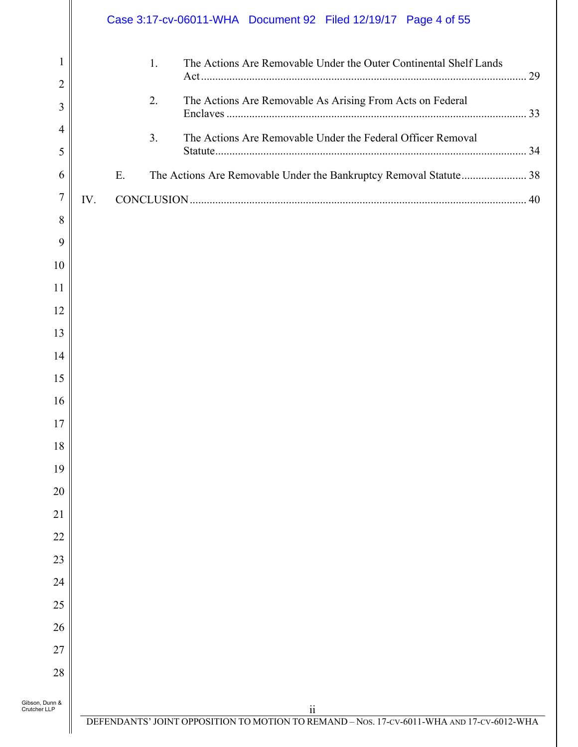|                                |     | Case 3:17-cv-06011-WHA Document 92 Filed 12/19/17 Page 4 of 55                            |  |
|--------------------------------|-----|-------------------------------------------------------------------------------------------|--|
| 1                              | 1.  | The Actions Are Removable Under the Outer Continental Shelf Lands                         |  |
| $\overline{2}$<br>3            | 2.  | The Actions Are Removable As Arising From Acts on Federal                                 |  |
| 4<br>5                         | 3.  | The Actions Are Removable Under the Federal Officer Removal                               |  |
| 6                              | E.  | The Actions Are Removable Under the Bankruptcy Removal Statute 38                         |  |
| $\overline{7}$                 | IV. |                                                                                           |  |
| 8                              |     |                                                                                           |  |
| 9                              |     |                                                                                           |  |
| 10                             |     |                                                                                           |  |
| 11                             |     |                                                                                           |  |
| 12                             |     |                                                                                           |  |
| 13                             |     |                                                                                           |  |
| 14                             |     |                                                                                           |  |
| 15                             |     |                                                                                           |  |
| 16                             |     |                                                                                           |  |
| 17                             |     |                                                                                           |  |
| 18                             |     |                                                                                           |  |
| 19                             |     |                                                                                           |  |
| 20                             |     |                                                                                           |  |
| 21                             |     |                                                                                           |  |
| 22                             |     |                                                                                           |  |
| 23                             |     |                                                                                           |  |
| 24                             |     |                                                                                           |  |
| 25                             |     |                                                                                           |  |
| 26                             |     |                                                                                           |  |
| 27                             |     |                                                                                           |  |
| 28                             |     |                                                                                           |  |
| Gibson, Dunn &<br>Crutcher LLP |     | 11                                                                                        |  |
|                                |     | DEFENDANTS' JOINT OPPOSITION TO MOTION TO REMAND - Nos. 17-CV-6011-WHA AND 17-CV-6012-WHA |  |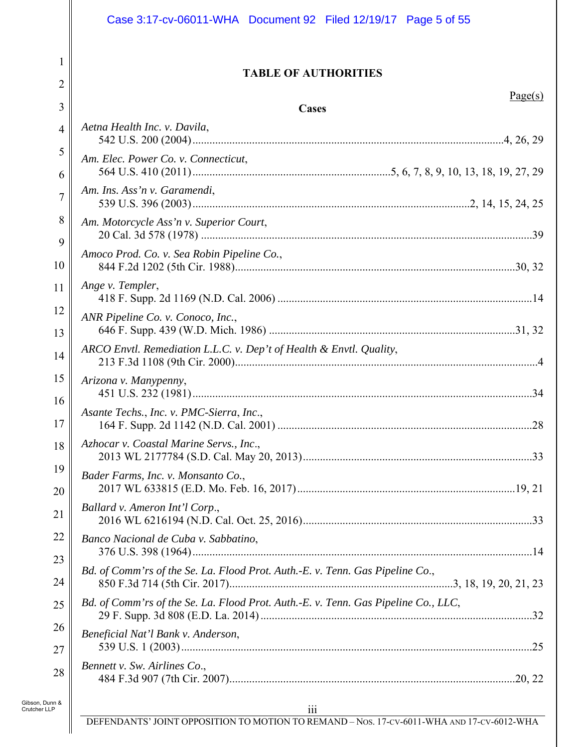|                                | Case 3:17-cv-06011-WHA Document 92 Filed 12/19/17 Page 5 of 55                            |
|--------------------------------|-------------------------------------------------------------------------------------------|
| 1<br>2                         | <b>TABLE OF AUTHORITIES</b>                                                               |
| 3                              | Page(s)<br>Cases                                                                          |
| 4                              | Aetna Health Inc. v. Davila,                                                              |
| 5                              | Am. Elec. Power Co. v. Connecticut,                                                       |
| 6                              |                                                                                           |
| $\overline{7}$                 | Am. Ins. Ass'n v. Garamendi,                                                              |
| 8                              | Am. Motorcycle Ass'n v. Superior Court,                                                   |
| 9                              |                                                                                           |
| 10                             | Amoco Prod. Co. v. Sea Robin Pipeline Co.,                                                |
| 11                             | Ange v. Templer,                                                                          |
| 12                             | ANR Pipeline Co. v. Conoco, Inc.,                                                         |
| 13                             |                                                                                           |
| 14                             | ARCO Envtl. Remediation L.L.C. v. Dep't of Health & Envtl. Quality,                       |
| 15                             | Arizona v. Manypenny,                                                                     |
| 16                             | Asante Techs., Inc. v. PMC-Sierra, Inc.,                                                  |
| 17                             |                                                                                           |
| 18                             | Azhocar v. Coastal Marine Servs., Inc.,                                                   |
| 19                             | Bader Farms, Inc. v. Monsanto Co.,                                                        |
| 20                             |                                                                                           |
| 21                             | Ballard v. Ameron Int'l Corp.,                                                            |
| 22                             | Banco Nacional de Cuba v. Sabbatino,                                                      |
| 23                             | Bd. of Comm'rs of the Se. La. Flood Prot. Auth.-E. v. Tenn. Gas Pipeline Co.,             |
| 24                             |                                                                                           |
| 25                             | Bd. of Comm'rs of the Se. La. Flood Prot. Auth.-E. v. Tenn. Gas Pipeline Co., LLC,        |
| 26                             | Beneficial Nat'l Bank v. Anderson,                                                        |
| 27                             | Bennett v. Sw. Airlines Co.,                                                              |
| 28                             |                                                                                           |
| Gibson, Dunn &<br>Crutcher LLP | 111                                                                                       |
|                                | DEFENDANTS' JOINT OPPOSITION TO MOTION TO REMAND - Nos. 17-CV-6011-WHA AND 17-CV-6012-WHA |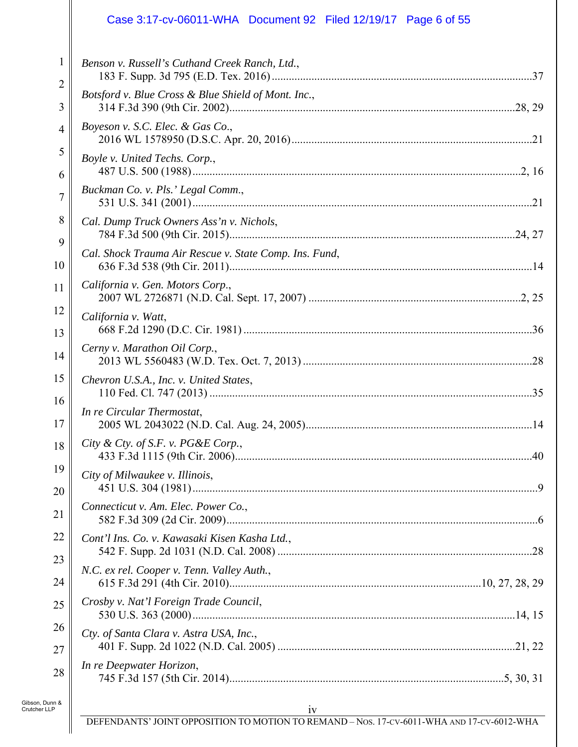### Case 3:17-cv-06011-WHA Document 92 Filed 12/19/17 Page 6 of 55

| 1              | Benson v. Russell's Cuthand Creek Ranch, Ltd.,         |
|----------------|--------------------------------------------------------|
| 2<br>3         | Botsford v. Blue Cross & Blue Shield of Mont. Inc.,    |
| $\overline{4}$ | Boyeson v. S.C. Elec. & Gas Co.,                       |
| 5<br>6         | Boyle v. United Techs. Corp.,                          |
| 7              | Buckman Co. v. Pls.' Legal Comm.,                      |
| 8              | Cal. Dump Truck Owners Ass'n v. Nichols,               |
| 9<br>10        | Cal. Shock Trauma Air Rescue v. State Comp. Ins. Fund, |
| 11             | California v. Gen. Motors Corp.,                       |
| 12<br>13       | California v. Watt,                                    |
| 14             | Cerny v. Marathon Oil Corp.,                           |
| 15             | Chevron U.S.A., Inc. v. United States,                 |
| 16<br>17       | In re Circular Thermostat,                             |
| 18             | City & Cty. of S.F. v. $PG\&E$ Corp.,                  |
| 19<br>20       | City of Milwaukee v. Illinois,                         |
| 21             | Connecticut v. Am. Elec. Power Co.,                    |
| 22             | Cont'l Ins. Co. v. Kawasaki Kisen Kasha Ltd.,          |
| 23<br>24       | N.C. ex rel. Cooper v. Tenn. Valley Auth.,             |
| 25             | Crosby v. Nat'l Foreign Trade Council,                 |
| 26<br>27       | Cty. of Santa Clara v. Astra USA, Inc.,                |
| 28             | In re Deepwater Horizon,                               |
| n &            |                                                        |

Gibson, Dunn & Crutcher LLP

 $\parallel$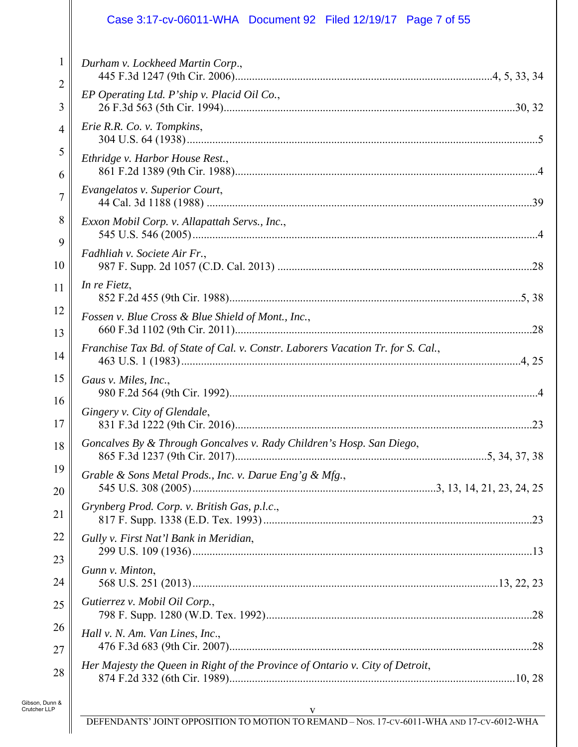### Case 3:17-cv-06011-WHA Document 92 Filed 12/19/17 Page 7 of 55

| $\mathbf{1}$   | Durham v. Lockheed Martin Corp.,                                                 |
|----------------|----------------------------------------------------------------------------------|
| 2<br>3         | EP Operating Ltd. P'ship v. Placid Oil Co.,                                      |
| $\overline{4}$ | Erie R.R. Co. v. Tompkins,                                                       |
| 5<br>6         | Ethridge v. Harbor House Rest.,                                                  |
| 7              | Evangelatos v. Superior Court,                                                   |
| 8              | Exxon Mobil Corp. v. Allapattah Servs., Inc.,                                    |
| 9<br>10        | Fadhliah v. Societe Air Fr.,                                                     |
| 11             | In re Fietz,                                                                     |
| 12<br>13       | Fossen v. Blue Cross & Blue Shield of Mont., Inc.,                               |
| 14             | Franchise Tax Bd. of State of Cal. v. Constr. Laborers Vacation Tr. for S. Cal., |
| 15<br>16       | Gaus v. Miles, Inc.,                                                             |
| 17             | Gingery v. City of Glendale,                                                     |
| 18             | Goncalves By & Through Goncalves v. Rady Children's Hosp. San Diego,             |
| 19<br>20       | Grable & Sons Metal Prods., Inc. v. Darue Eng'g & Mfg.,                          |
| 21             | Grynberg Prod. Corp. v. British Gas, p.l.c.,                                     |
| 22             | Gully v. First Nat'l Bank in Meridian,                                           |
| 23<br>24       | Gunn v. Minton,                                                                  |
| 25             | Gutierrez v. Mobil Oil Corp.,                                                    |
| 26<br>27       | Hall v. N. Am. Van Lines, Inc.,                                                  |
| 28             | Her Majesty the Queen in Right of the Province of Ontario v. City of Detroit,    |
|                |                                                                                  |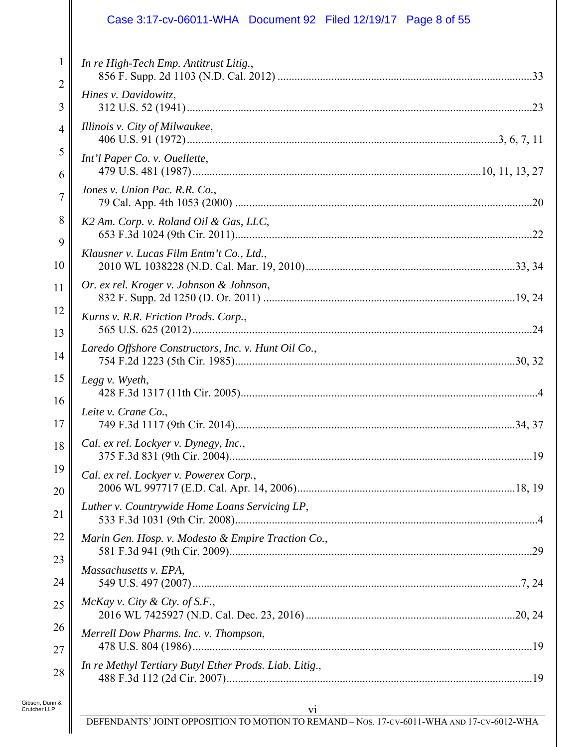### Case 3:17-cv-06011-WHA Document 92 Filed 12/19/17 Page 8 of 55

| 1<br>2   | In re High-Tech Emp. Antitrust Litig.,                 |
|----------|--------------------------------------------------------|
| 3        | Hines v. Davidowitz,                                   |
| 4        | Illinois v. City of Milwaukee,                         |
| 5<br>6   | Int'l Paper Co. v. Ouellette,                          |
| 7        | Jones v. Union Pac. R.R. Co.,                          |
| 8        | K2 Am. Corp. v. Roland Oil & Gas, LLC,                 |
| 9<br>10  | Klausner v. Lucas Film Entm't Co., Ltd.,               |
| 11       | Or. ex rel. Kroger v. Johnson & Johnson,               |
| 12       | Kurns v. R.R. Friction Prods. Corp.,                   |
| 13<br>14 | Laredo Offshore Constructors, Inc. v. Hunt Oil Co.,    |
| 15       | Legg v. Wyeth,                                         |
| 16<br>17 | Leite v. Crane Co.,                                    |
| 18       | Cal. ex rel. Lockyer v. Dynegy, Inc.,                  |
| 19       | Cal. ex rel. Lockyer v. Powerex Corp.,                 |
| 20<br>21 | Luther v. Countrywide Home Loans Servicing LP,         |
| 22       | Marin Gen. Hosp. v. Modesto & Empire Traction Co.,     |
| 23<br>24 | Massachusetts v. EPA,                                  |
| 25       | McKay v. City & Cty. of S.F.,                          |
| 26       | Merrell Dow Pharms. Inc. v. Thompson,                  |
| 27<br>28 | In re Methyl Tertiary Butyl Ether Prods. Liab. Litig., |
|          |                                                        |

Gibson, Dunn & Crutcher LLP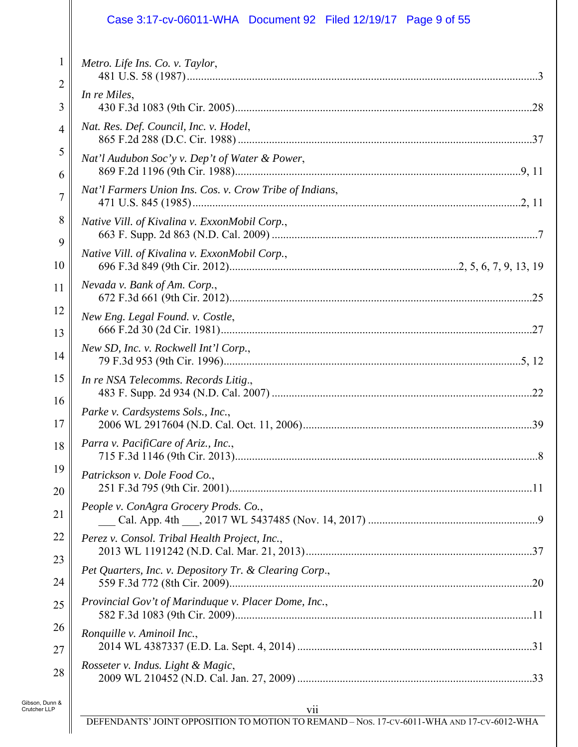### Case 3:17-cv-06011-WHA Document 92 Filed 12/19/17 Page 9 of 55

| $\mathbf{1}$        | Metro. Life Ins. Co. v. Taylor,                         |
|---------------------|---------------------------------------------------------|
| $\overline{2}$<br>3 | In re Miles,                                            |
| $\overline{4}$      | Nat. Res. Def. Council, Inc. v. Hodel,                  |
| 5<br>6              | Nat'l Audubon Soc'y v. Dep't of Water & Power,          |
| 7                   | Nat'l Farmers Union Ins. Cos. v. Crow Tribe of Indians, |
| 8                   | Native Vill. of Kivalina v. ExxonMobil Corp.,           |
| 9<br>10             | Native Vill. of Kivalina v. ExxonMobil Corp.,           |
| 11                  | Nevada v. Bank of Am. Corp.,                            |
| 12<br>13            | New Eng. Legal Found. v. Costle,                        |
| 14                  | New SD, Inc. v. Rockwell Int'l Corp.,                   |
| 15                  | In re NSA Telecomms. Records Litig.,                    |
| 16<br>17            | Parke v. Cardsystems Sols., Inc.,                       |
| 18                  | Parra v. PacifiCare of Ariz., Inc.,                     |
| 19<br>20            | Patrickson v. Dole Food Co.,                            |
| 21                  | People v. ConAgra Grocery Prods. Co.,                   |
| 22                  | Perez v. Consol. Tribal Health Project, Inc.,           |
| 23<br>24            | Pet Quarters, Inc. v. Depository Tr. & Clearing Corp.,  |
| 25                  | Provincial Gov't of Marinduque v. Placer Dome, Inc.,    |
| 26<br>27            | Ronquille v. Aminoil Inc.,                              |
| 28                  | Rosseter v. Indus. Light & Magic,                       |
| n &                 |                                                         |

 $\parallel$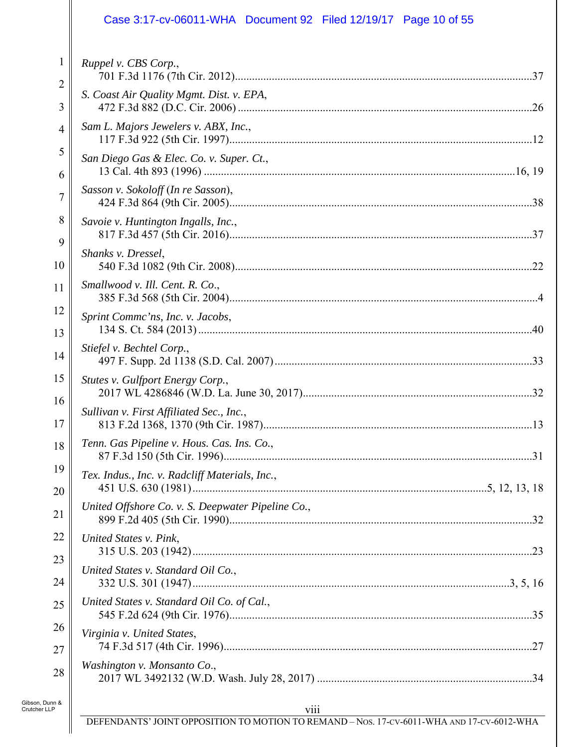### Case 3:17-cv-06011-WHA Document 92 Filed 12/19/17 Page 10 of 55

| $\mathbf{1}$   | Ruppel v. CBS Corp.,                              |
|----------------|---------------------------------------------------|
| 2<br>3         | S. Coast Air Quality Mgmt. Dist. v. EPA,          |
| $\overline{4}$ | Sam L. Majors Jewelers v. ABX, Inc.,              |
| 5<br>6         | San Diego Gas & Elec. Co. v. Super. Ct.,          |
| 7              | Sasson v. Sokoloff (In re Sasson),                |
| 8              | Savoie v. Huntington Ingalls, Inc.,               |
| 9<br>10        | Shanks v. Dressel,                                |
| 11             | Smallwood v. Ill. Cent. R. Co.,                   |
| 12             | Sprint Commc'ns, Inc. v. Jacobs,                  |
| 13<br>14       | Stiefel v. Bechtel Corp.,                         |
| 15             | Stutes v. Gulfport Energy Corp.,                  |
| 16<br>17       | Sullivan v. First Affiliated Sec., Inc.,          |
| 18             | Tenn. Gas Pipeline v. Hous. Cas. Ins. Co.,        |
| 19             | Tex. Indus., Inc. v. Radcliff Materials, Inc.,    |
| 20<br>21       | United Offshore Co. v. S. Deepwater Pipeline Co., |
| 22             | United States v. Pink,                            |
| 23<br>24       | United States v. Standard Oil Co.,                |
| 25             | United States v. Standard Oil Co. of Cal.,        |
| 26             | Virginia v. United States,                        |
| 27<br>28       | Washington v. Monsanto Co.,                       |
| n &            |                                                   |

Gibson, Dunn & Crutcher LLP

 $\parallel$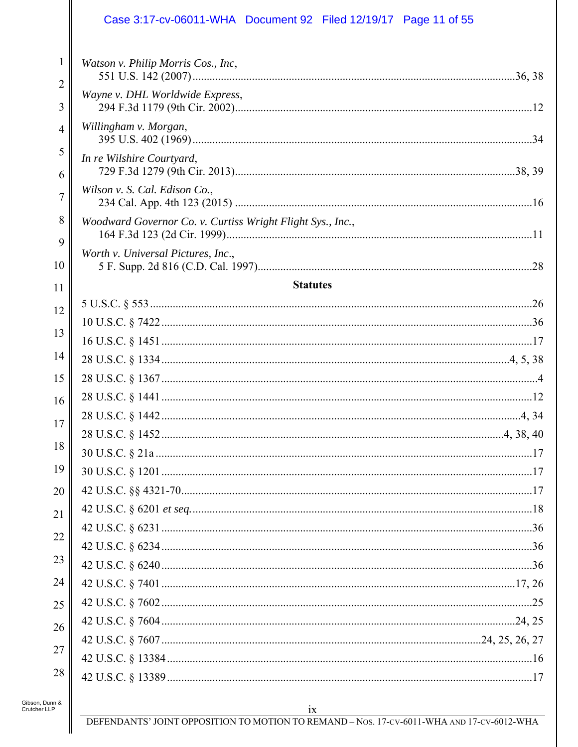### Case 3:17-cv-06011-WHA Document 92 Filed 12/19/17 Page 11 of 55

| $\mathbf{1}$        | Watson v. Philip Morris Cos., Inc,                         |    |
|---------------------|------------------------------------------------------------|----|
| $\overline{2}$<br>3 | Wayne v. DHL Worldwide Express,                            |    |
| $\overline{4}$      | Willingham v. Morgan,                                      |    |
| 5                   | In re Wilshire Courtyard,                                  |    |
| 6<br>7              | Wilson v. S. Cal. Edison Co.,                              |    |
| 8                   | Woodward Governor Co. v. Curtiss Wright Flight Sys., Inc., |    |
| 9<br>10             | Worth v. Universal Pictures, Inc.,                         |    |
|                     | <b>Statutes</b>                                            |    |
| 11                  |                                                            |    |
| 12                  |                                                            |    |
| 13                  |                                                            |    |
| 14                  |                                                            |    |
| 15                  |                                                            |    |
| 16                  |                                                            |    |
|                     |                                                            |    |
| 17                  |                                                            |    |
| 18                  |                                                            |    |
| 19                  |                                                            | 17 |
| 20                  |                                                            |    |
| 21                  |                                                            |    |
|                     |                                                            |    |
| $\overline{22}$     |                                                            |    |
| 23                  |                                                            |    |
| 24                  |                                                            |    |
| 25                  |                                                            |    |
| 26                  |                                                            |    |
| 27                  |                                                            |    |
|                     |                                                            |    |
| 28                  |                                                            |    |
|                     |                                                            |    |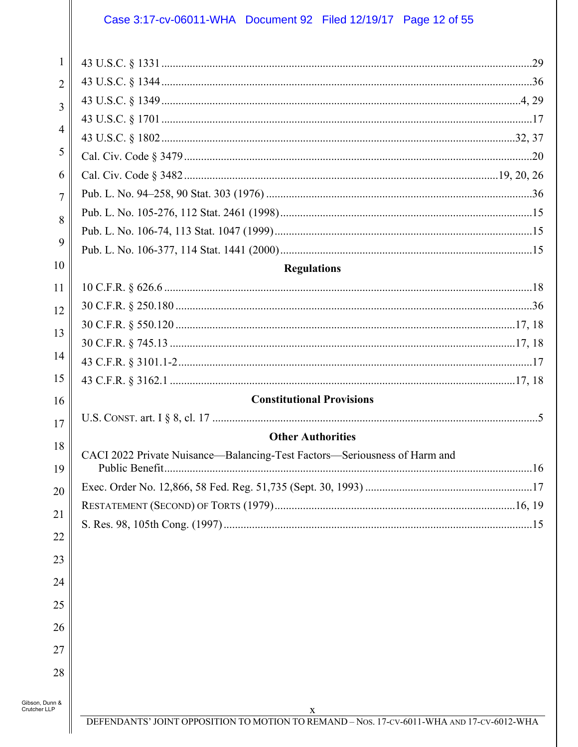### Case 3:17-cv-06011-WHA Document 92 Filed 12/19/17 Page 12 of 55

| $\mathbf{1}$                   |                                                                           |
|--------------------------------|---------------------------------------------------------------------------|
|                                |                                                                           |
| $\overline{2}$                 |                                                                           |
| 3                              |                                                                           |
| $\overline{4}$                 |                                                                           |
| 5                              |                                                                           |
| 6                              |                                                                           |
|                                |                                                                           |
| 7                              |                                                                           |
| 8                              |                                                                           |
| 9                              |                                                                           |
| 10                             | <b>Regulations</b>                                                        |
| 11                             |                                                                           |
|                                |                                                                           |
| 12                             |                                                                           |
| 13                             |                                                                           |
| 14                             |                                                                           |
| 15                             |                                                                           |
| 16                             | <b>Constitutional Provisions</b>                                          |
|                                |                                                                           |
| 17                             | <b>Other Authorities</b>                                                  |
| 18                             | CACI 2022 Private Nuisance-Balancing-Test Factors-Seriousness of Harm and |
| 19                             |                                                                           |
| 20                             |                                                                           |
| 21                             |                                                                           |
|                                |                                                                           |
| 22                             |                                                                           |
| 23                             |                                                                           |
| 24                             |                                                                           |
| 25                             |                                                                           |
| 26                             |                                                                           |
| 27                             |                                                                           |
|                                |                                                                           |
| 28                             |                                                                           |
| Gibson, Dunn &<br>Crutcher LLP |                                                                           |

 $\parallel$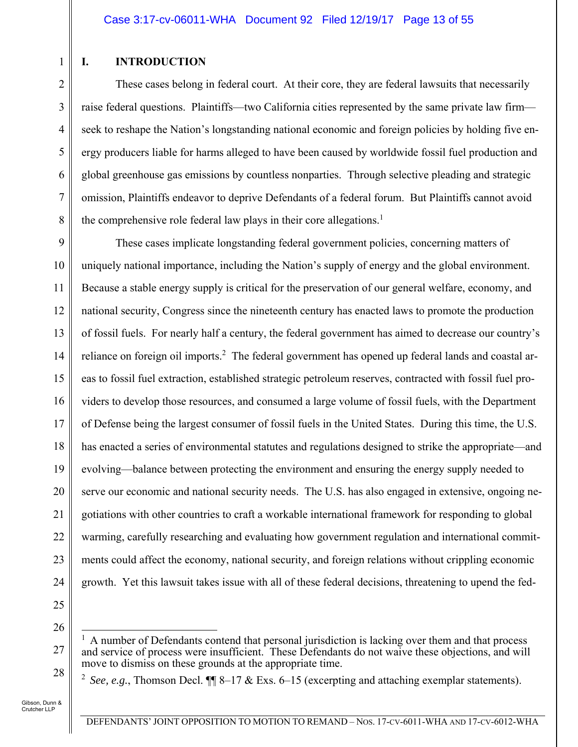### **I. INTRODUCTION**

1

2

3

4

5

6

7

8

These cases belong in federal court. At their core, they are federal lawsuits that necessarily raise federal questions. Plaintiffs—two California cities represented by the same private law firm seek to reshape the Nation's longstanding national economic and foreign policies by holding five energy producers liable for harms alleged to have been caused by worldwide fossil fuel production and global greenhouse gas emissions by countless nonparties. Through selective pleading and strategic omission, Plaintiffs endeavor to deprive Defendants of a federal forum. But Plaintiffs cannot avoid the comprehensive role federal law plays in their core allegations.<sup>1</sup>

9 10 11 12 13 14 15 16 17 18 19 20 21 22 23 24 These cases implicate longstanding federal government policies, concerning matters of uniquely national importance, including the Nation's supply of energy and the global environment. Because a stable energy supply is critical for the preservation of our general welfare, economy, and national security, Congress since the nineteenth century has enacted laws to promote the production of fossil fuels. For nearly half a century, the federal government has aimed to decrease our country's reliance on foreign oil imports.<sup>2</sup> The federal government has opened up federal lands and coastal areas to fossil fuel extraction, established strategic petroleum reserves, contracted with fossil fuel providers to develop those resources, and consumed a large volume of fossil fuels, with the Department of Defense being the largest consumer of fossil fuels in the United States. During this time, the U.S. has enacted a series of environmental statutes and regulations designed to strike the appropriate—and evolving—balance between protecting the environment and ensuring the energy supply needed to serve our economic and national security needs. The U.S. has also engaged in extensive, ongoing negotiations with other countries to craft a workable international framework for responding to global warming, carefully researching and evaluating how government regulation and international commitments could affect the economy, national security, and foreign relations without crippling economic growth. Yet this lawsuit takes issue with all of these federal decisions, threatening to upend the fed-

25 26

27

28

<sup>2</sup> *See, e.g.*, Thomson Decl.  $\P$  $\P$  8–17 & Exs. 6–15 (excerpting and attaching exemplar statements).

 $\overline{a}$ 1 A number of Defendants contend that personal jurisdiction is lacking over them and that process and service of process were insufficient. These Defendants do not waive these objections, and will move to dismiss on these grounds at the appropriate time.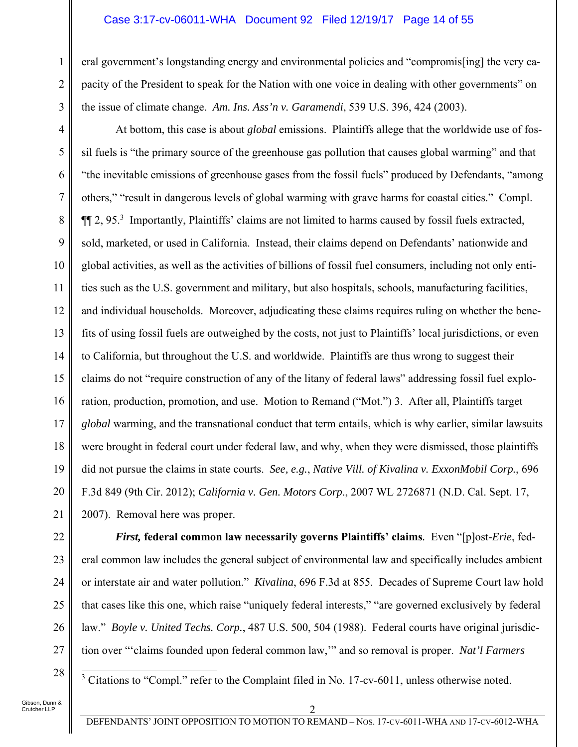#### Case 3:17-cv-06011-WHA Document 92 Filed 12/19/17 Page 14 of 55

eral government's longstanding energy and environmental policies and "compromis[ing] the very capacity of the President to speak for the Nation with one voice in dealing with other governments" on the issue of climate change. *Am. Ins. Ass'n v. Garamendi*, 539 U.S. 396, 424 (2003).

4 5 6 7 8 9 10 11 12 13 14 15 16 17 18 19 20 21 At bottom, this case is about *global* emissions. Plaintiffs allege that the worldwide use of fossil fuels is "the primary source of the greenhouse gas pollution that causes global warming" and that "the inevitable emissions of greenhouse gases from the fossil fuels" produced by Defendants, "among others," "result in dangerous levels of global warming with grave harms for coastal cities." Compl. **[14** 2, 95.<sup>3</sup> Importantly, Plaintiffs' claims are not limited to harms caused by fossil fuels extracted, sold, marketed, or used in California. Instead, their claims depend on Defendants' nationwide and global activities, as well as the activities of billions of fossil fuel consumers, including not only entities such as the U.S. government and military, but also hospitals, schools, manufacturing facilities, and individual households. Moreover, adjudicating these claims requires ruling on whether the benefits of using fossil fuels are outweighed by the costs, not just to Plaintiffs' local jurisdictions, or even to California, but throughout the U.S. and worldwide. Plaintiffs are thus wrong to suggest their claims do not "require construction of any of the litany of federal laws" addressing fossil fuel exploration, production, promotion, and use. Motion to Remand ("Mot.") 3. After all, Plaintiffs target *global* warming, and the transnational conduct that term entails, which is why earlier, similar lawsuits were brought in federal court under federal law, and why, when they were dismissed, those plaintiffs did not pursue the claims in state courts. *See, e.g.*, *Native Vill. of Kivalina v. ExxonMobil Corp.*, 696 F.3d 849 (9th Cir. 2012); *California v. Gen. Motors Corp*., 2007 WL 2726871 (N.D. Cal. Sept. 17, 2007). Removal here was proper.

1

2

3

*First,* **federal common law necessarily governs Plaintiffs' claims***.* Even "[p]ost-*Erie*, federal common law includes the general subject of environmental law and specifically includes ambient or interstate air and water pollution." *Kivalina*, 696 F.3d at 855. Decades of Supreme Court law hold that cases like this one, which raise "uniquely federal interests," "are governed exclusively by federal law." *Boyle v. United Techs. Corp.*, 487 U.S. 500, 504 (1988). Federal courts have original jurisdiction over "'claims founded upon federal common law,'" and so removal is proper. *Nat'l Farmers* 

Gibson, Dunn & Crutcher LLP

<sup>3</sup> Citations to "Compl." refer to the Complaint filed in No. 17-cv-6011, unless otherwise noted.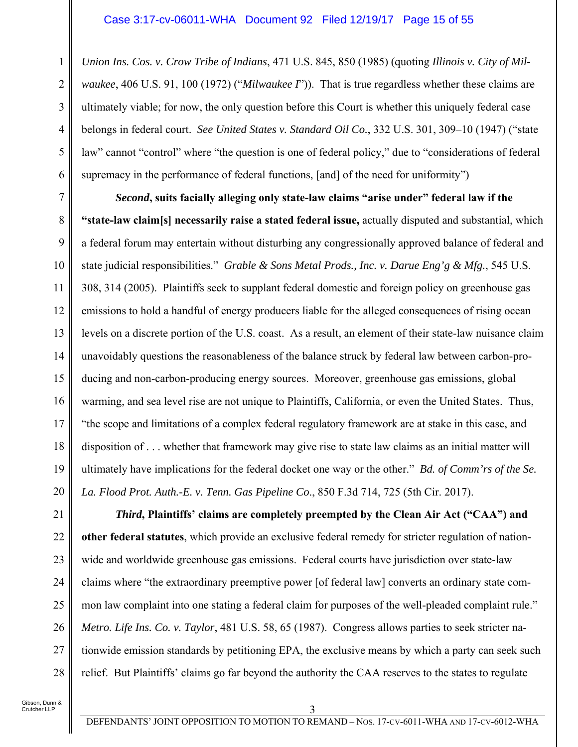*Union Ins. Cos. v. Crow Tribe of Indians*, 471 U.S. 845, 850 (1985) (quoting *Illinois v. City of Milwaukee*, 406 U.S. 91, 100 (1972) ("*Milwaukee I*")). That is true regardless whether these claims are ultimately viable; for now, the only question before this Court is whether this uniquely federal case belongs in federal court. *See United States v. Standard Oil Co.*, 332 U.S. 301, 309–10 (1947) ("state law" cannot "control" where "the question is one of federal policy," due to "considerations of federal supremacy in the performance of federal functions, [and] of the need for uniformity")

7 8 9 10 11 12 13 14 15 16 17 18 19 20 *Second***, suits facially alleging only state-law claims "arise under" federal law if the "state-law claim[s] necessarily raise a stated federal issue,** actually disputed and substantial, which a federal forum may entertain without disturbing any congressionally approved balance of federal and state judicial responsibilities." *Grable & Sons Metal Prods., Inc. v. Darue Eng'g & Mfg.*, 545 U.S. 308, 314 (2005). Plaintiffs seek to supplant federal domestic and foreign policy on greenhouse gas emissions to hold a handful of energy producers liable for the alleged consequences of rising ocean levels on a discrete portion of the U.S. coast. As a result, an element of their state-law nuisance claim unavoidably questions the reasonableness of the balance struck by federal law between carbon-producing and non-carbon-producing energy sources. Moreover, greenhouse gas emissions, global warming, and sea level rise are not unique to Plaintiffs, California, or even the United States. Thus, "the scope and limitations of a complex federal regulatory framework are at stake in this case, and disposition of . . . whether that framework may give rise to state law claims as an initial matter will ultimately have implications for the federal docket one way or the other." *Bd. of Comm'rs of the Se. La. Flood Prot. Auth.-E. v. Tenn. Gas Pipeline Co*., 850 F.3d 714, 725 (5th Cir. 2017).

21 22 23 24 25 26 27 28 *Third***, Plaintiffs' claims are completely preempted by the Clean Air Act ("CAA") and other federal statutes**, which provide an exclusive federal remedy for stricter regulation of nationwide and worldwide greenhouse gas emissions. Federal courts have jurisdiction over state-law claims where "the extraordinary preemptive power [of federal law] converts an ordinary state common law complaint into one stating a federal claim for purposes of the well-pleaded complaint rule." *Metro. Life Ins. Co. v. Taylor*, 481 U.S. 58, 65 (1987). Congress allows parties to seek stricter nationwide emission standards by petitioning EPA, the exclusive means by which a party can seek such relief. But Plaintiffs' claims go far beyond the authority the CAA reserves to the states to regulate

Gibson, Dunn & Crutcher LLP

1

2

3

4

5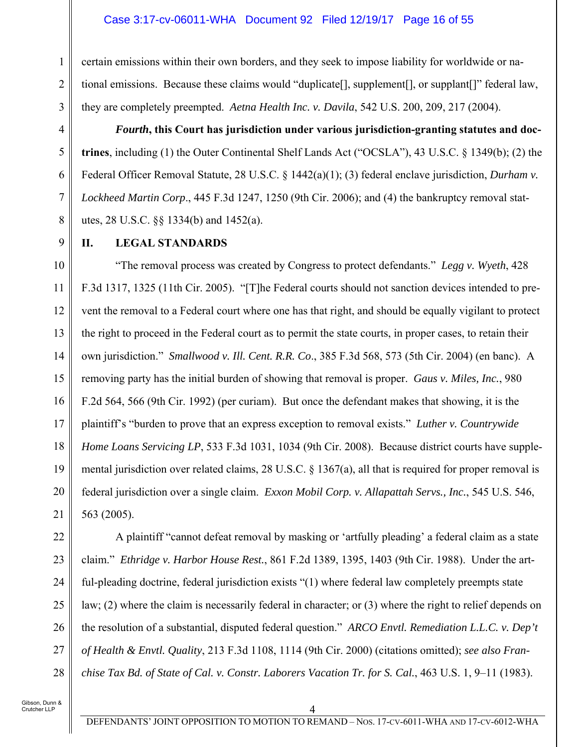certain emissions within their own borders, and they seek to impose liability for worldwide or national emissions. Because these claims would "duplicate[], supplement[], or supplant[]" federal law, they are completely preempted. *Aetna Health Inc. v. Davila*, 542 U.S. 200, 209, 217 (2004).

*Fourth***, this Court has jurisdiction under various jurisdiction-granting statutes and doctrines**, including (1) the Outer Continental Shelf Lands Act ("OCSLA"), 43 U.S.C. § 1349(b); (2) the Federal Officer Removal Statute, 28 U.S.C. § 1442(a)(1); (3) federal enclave jurisdiction, *Durham v. Lockheed Martin Corp*., 445 F.3d 1247, 1250 (9th Cir. 2006); and (4) the bankruptcy removal statutes, 28 U.S.C. §§ 1334(b) and 1452(a).

9

1

2

3

4

5

6

7

8

### **II. LEGAL STANDARDS**

10 11 12 13 14 15 16 17 18 19 20 21 "The removal process was created by Congress to protect defendants." *Legg v. Wyeth*, 428 F.3d 1317, 1325 (11th Cir. 2005). "[T]he Federal courts should not sanction devices intended to prevent the removal to a Federal court where one has that right, and should be equally vigilant to protect the right to proceed in the Federal court as to permit the state courts, in proper cases, to retain their own jurisdiction." *Smallwood v. Ill. Cent. R.R. Co*., 385 F.3d 568, 573 (5th Cir. 2004) (en banc). A removing party has the initial burden of showing that removal is proper. *Gaus v. Miles, Inc.*, 980 F.2d 564, 566 (9th Cir. 1992) (per curiam). But once the defendant makes that showing, it is the plaintiff's "burden to prove that an express exception to removal exists." *Luther v. Countrywide Home Loans Servicing LP*, 533 F.3d 1031, 1034 (9th Cir. 2008). Because district courts have supplemental jurisdiction over related claims, 28 U.S.C. § 1367(a), all that is required for proper removal is federal jurisdiction over a single claim. *Exxon Mobil Corp. v. Allapattah Servs., Inc.*, 545 U.S. 546, 563 (2005).

22 23 24 25 26 27 28 A plaintiff "cannot defeat removal by masking or 'artfully pleading' a federal claim as a state claim." *Ethridge v. Harbor House Rest.*, 861 F.2d 1389, 1395, 1403 (9th Cir. 1988). Under the artful-pleading doctrine, federal jurisdiction exists "(1) where federal law completely preempts state law; (2) where the claim is necessarily federal in character; or (3) where the right to relief depends on the resolution of a substantial, disputed federal question." *ARCO Envtl. Remediation L.L.C. v. Dep't of Health & Envtl. Quality*, 213 F.3d 1108, 1114 (9th Cir. 2000) (citations omitted); *see also Franchise Tax Bd. of State of Cal. v. Constr. Laborers Vacation Tr. for S. Cal.*, 463 U.S. 1, 9–11 (1983).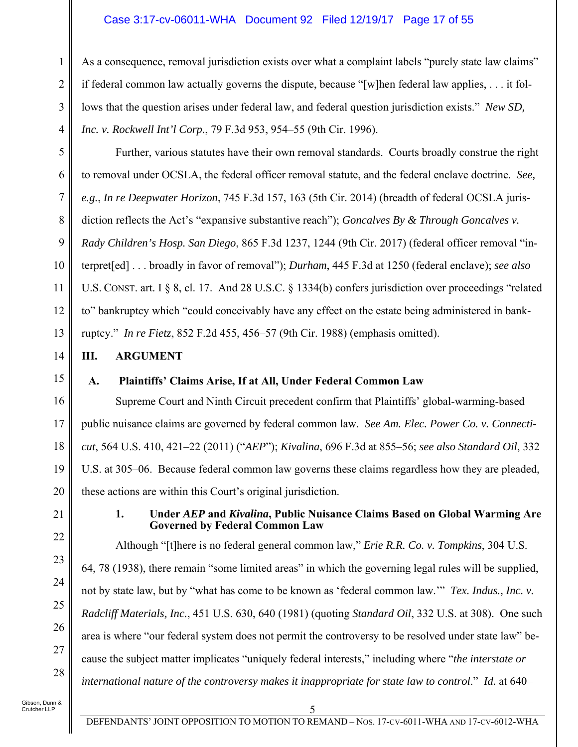### Case 3:17-cv-06011-WHA Document 92 Filed 12/19/17 Page 17 of 55

As a consequence, removal jurisdiction exists over what a complaint labels "purely state law claims" if federal common law actually governs the dispute, because "[w]hen federal law applies, . . . it follows that the question arises under federal law, and federal question jurisdiction exists." *New SD, Inc. v. Rockwell Int'l Corp.*, 79 F.3d 953, 954–55 (9th Cir. 1996).

Further, various statutes have their own removal standards. Courts broadly construe the right to removal under OCSLA, the federal officer removal statute, and the federal enclave doctrine. *See, e.g.*, *In re Deepwater Horizon*, 745 F.3d 157, 163 (5th Cir. 2014) (breadth of federal OCSLA jurisdiction reflects the Act's "expansive substantive reach"); *Goncalves By & Through Goncalves v. Rady Children's Hosp. San Diego*, 865 F.3d 1237, 1244 (9th Cir. 2017) (federal officer removal "interpret[ed] . . . broadly in favor of removal"); *Durham*, 445 F.3d at 1250 (federal enclave); *see also* U.S. CONST. art. I § 8, cl. 17. And 28 U.S.C. § 1334(b) confers jurisdiction over proceedings "related to" bankruptcy which "could conceivably have any effect on the estate being administered in bankruptcy." *In re Fietz*, 852 F.2d 455, 456–57 (9th Cir. 1988) (emphasis omitted).

### **III. ARGUMENT**

15

1

2

3

4

5

6

7

8

9

10

11

12

13

14

16

17

18

19

20

21

22

23

24

25

26

27

28

## **A. Plaintiffs' Claims Arise, If at All, Under Federal Common Law**

Supreme Court and Ninth Circuit precedent confirm that Plaintiffs' global-warming-based public nuisance claims are governed by federal common law. *See Am. Elec. Power Co. v. Connecticut*, 564 U.S. 410, 421–22 (2011) ("*AEP*"); *Kivalina*, 696 F.3d at 855–56; *see also Standard Oil*, 332 U.S. at 305–06. Because federal common law governs these claims regardless how they are pleaded, these actions are within this Court's original jurisdiction.

#### **1. Under** *AEP* **and** *Kivalina***, Public Nuisance Claims Based on Global Warming Are Governed by Federal Common Law**

Although "[t]here is no federal general common law," *Erie R.R. Co. v. Tompkins*, 304 U.S. 64, 78 (1938), there remain "some limited areas" in which the governing legal rules will be supplied, not by state law, but by "what has come to be known as 'federal common law.'" *Tex. Indus., Inc. v. Radcliff Materials, Inc.*, 451 U.S. 630, 640 (1981) (quoting *Standard Oil*, 332 U.S. at 308). One such area is where "our federal system does not permit the controversy to be resolved under state law" because the subject matter implicates "uniquely federal interests," including where "*the interstate or international nature of the controversy makes it inappropriate for state law to control*." *Id.* at 640–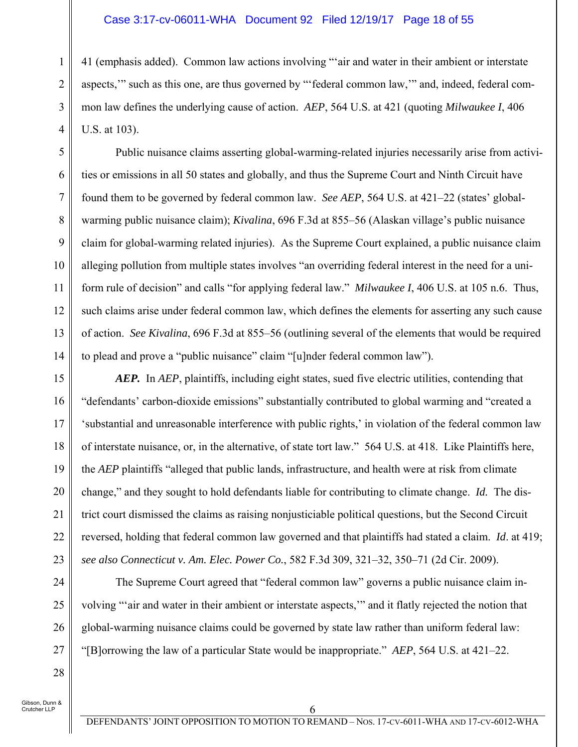#### Case 3:17-cv-06011-WHA Document 92 Filed 12/19/17 Page 18 of 55

41 (emphasis added). Common law actions involving "'air and water in their ambient or interstate aspects,'" such as this one, are thus governed by "'federal common law,'" and, indeed, federal common law defines the underlying cause of action. *AEP*, 564 U.S. at 421 (quoting *Milwaukee I*, 406 U.S. at 103).

Public nuisance claims asserting global-warming-related injuries necessarily arise from activities or emissions in all 50 states and globally, and thus the Supreme Court and Ninth Circuit have found them to be governed by federal common law. *See AEP*, 564 U.S. at 421–22 (states' globalwarming public nuisance claim); *Kivalina*, 696 F.3d at 855–56 (Alaskan village's public nuisance claim for global-warming related injuries). As the Supreme Court explained, a public nuisance claim alleging pollution from multiple states involves "an overriding federal interest in the need for a uniform rule of decision" and calls "for applying federal law." *Milwaukee I*, 406 U.S. at 105 n.6. Thus, such claims arise under federal common law, which defines the elements for asserting any such cause of action. *See Kivalina*, 696 F.3d at 855–56 (outlining several of the elements that would be required to plead and prove a "public nuisance" claim "[u]nder federal common law").

*AEP.* In *AEP*, plaintiffs, including eight states, sued five electric utilities, contending that "defendants' carbon-dioxide emissions" substantially contributed to global warming and "created a 'substantial and unreasonable interference with public rights,' in violation of the federal common law of interstate nuisance, or, in the alternative, of state tort law." 564 U.S. at 418. Like Plaintiffs here, the *AEP* plaintiffs "alleged that public lands, infrastructure, and health were at risk from climate change," and they sought to hold defendants liable for contributing to climate change. *Id.* The district court dismissed the claims as raising nonjusticiable political questions, but the Second Circuit reversed, holding that federal common law governed and that plaintiffs had stated a claim. *Id*. at 419; *see also Connecticut v. Am. Elec. Power Co.*, 582 F.3d 309, 321–32, 350–71 (2d Cir. 2009).

The Supreme Court agreed that "federal common law" governs a public nuisance claim involving "'air and water in their ambient or interstate aspects,'" and it flatly rejected the notion that global-warming nuisance claims could be governed by state law rather than uniform federal law: "[B]orrowing the law of a particular State would be inappropriate." *AEP*, 564 U.S. at 421–22.

Gibson, Dunn & .<br>Crutcher LLP

1

2

3

4

5

6

7

8

9

10

11

12

13

14

15

16

17

18

19

20

21

22

23

24

25

26

27

28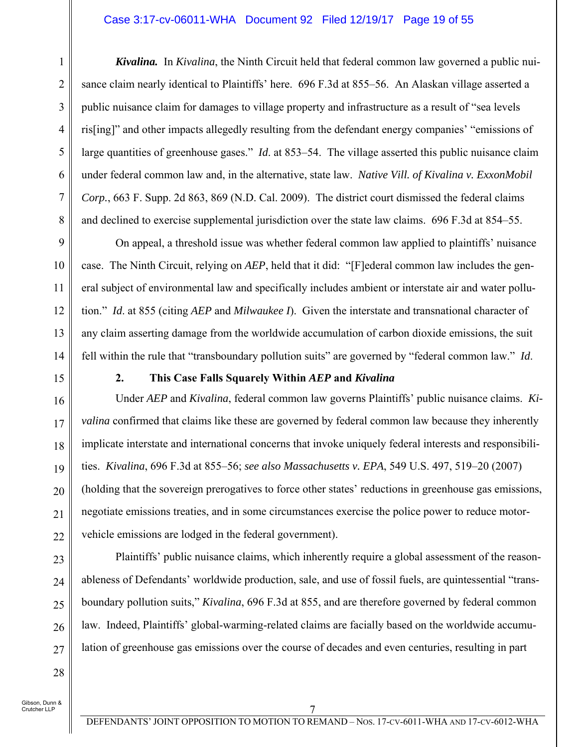#### Case 3:17-cv-06011-WHA Document 92 Filed 12/19/17 Page 19 of 55

*Kivalina.* In *Kivalina*, the Ninth Circuit held that federal common law governed a public nuisance claim nearly identical to Plaintiffs' here. 696 F.3d at 855–56. An Alaskan village asserted a public nuisance claim for damages to village property and infrastructure as a result of "sea levels ris[ing]" and other impacts allegedly resulting from the defendant energy companies' "emissions of large quantities of greenhouse gases." *Id*. at 853–54. The village asserted this public nuisance claim under federal common law and, in the alternative, state law. *Native Vill. of Kivalina v. ExxonMobil Corp.*, 663 F. Supp. 2d 863, 869 (N.D. Cal. 2009). The district court dismissed the federal claims and declined to exercise supplemental jurisdiction over the state law claims. 696 F.3d at 854–55.

On appeal, a threshold issue was whether federal common law applied to plaintiffs' nuisance case. The Ninth Circuit, relying on *AEP*, held that it did: "[F]ederal common law includes the general subject of environmental law and specifically includes ambient or interstate air and water pollution." *Id*. at 855 (citing *AEP* and *Milwaukee I*). Given the interstate and transnational character of any claim asserting damage from the worldwide accumulation of carbon dioxide emissions, the suit fell within the rule that "transboundary pollution suits" are governed by "federal common law." *Id*.

15

16

17

18

19

20

21

22

23

24

25

26

27

1

2

3

4

5

6

7

8

9

10

11

12

13

14

#### **2. This Case Falls Squarely Within** *AEP* **and** *Kivalina*

Under *AEP* and *Kivalina*, federal common law governs Plaintiffs' public nuisance claims. *Kivalina* confirmed that claims like these are governed by federal common law because they inherently implicate interstate and international concerns that invoke uniquely federal interests and responsibilities. *Kivalina*, 696 F.3d at 855–56; *see also Massachusetts v. EPA*, 549 U.S. 497, 519–20 (2007) (holding that the sovereign prerogatives to force other states' reductions in greenhouse gas emissions, negotiate emissions treaties, and in some circumstances exercise the police power to reduce motorvehicle emissions are lodged in the federal government).

Plaintiffs' public nuisance claims, which inherently require a global assessment of the reasonableness of Defendants' worldwide production, sale, and use of fossil fuels, are quintessential "transboundary pollution suits," *Kivalina*, 696 F.3d at 855, and are therefore governed by federal common law. Indeed, Plaintiffs' global-warming-related claims are facially based on the worldwide accumulation of greenhouse gas emissions over the course of decades and even centuries, resulting in part

28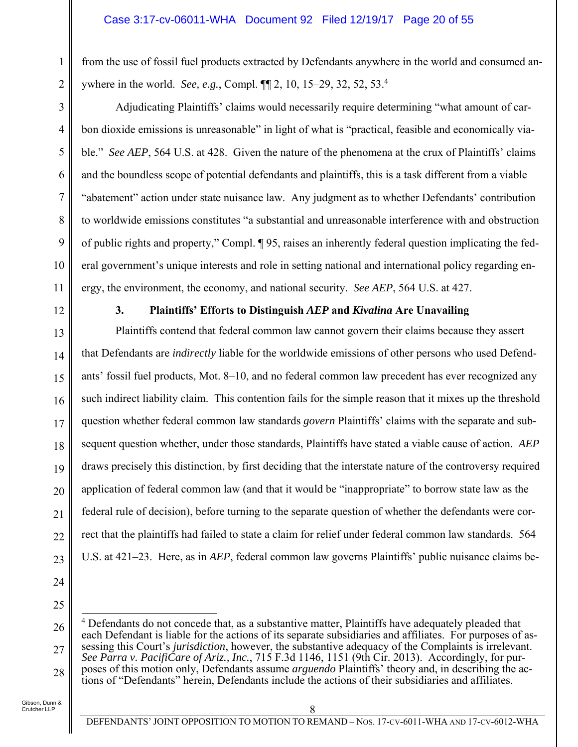from the use of fossil fuel products extracted by Defendants anywhere in the world and consumed anywhere in the world. *See, e.g.*, Compl. ¶¶ 2, 10, 15–29, 32, 52, 53.4

Adjudicating Plaintiffs' claims would necessarily require determining "what amount of carbon dioxide emissions is unreasonable" in light of what is "practical, feasible and economically viable." *See AEP*, 564 U.S. at 428. Given the nature of the phenomena at the crux of Plaintiffs' claims and the boundless scope of potential defendants and plaintiffs, this is a task different from a viable "abatement" action under state nuisance law. Any judgment as to whether Defendants' contribution to worldwide emissions constitutes "a substantial and unreasonable interference with and obstruction of public rights and property," Compl. ¶ 95, raises an inherently federal question implicating the federal government's unique interests and role in setting national and international policy regarding energy, the environment, the economy, and national security. *See AEP*, 564 U.S. at 427.

12

1

2

3

4

5

6

7

8

9

10

11

13

14

15

16

17

18

19

20

21

22

23

24

### **3. Plaintiffs' Efforts to Distinguish** *AEP* **and** *Kivalina* **Are Unavailing**

Plaintiffs contend that federal common law cannot govern their claims because they assert that Defendants are *indirectly* liable for the worldwide emissions of other persons who used Defendants' fossil fuel products, Mot. 8–10, and no federal common law precedent has ever recognized any such indirect liability claim. This contention fails for the simple reason that it mixes up the threshold question whether federal common law standards *govern* Plaintiffs' claims with the separate and subsequent question whether, under those standards, Plaintiffs have stated a viable cause of action. *AEP* draws precisely this distinction, by first deciding that the interstate nature of the controversy required application of federal common law (and that it would be "inappropriate" to borrow state law as the federal rule of decision), before turning to the separate question of whether the defendants were correct that the plaintiffs had failed to state a claim for relief under federal common law standards. 564 U.S. at 421–23. Here, as in *AEP*, federal common law governs Plaintiffs' public nuisance claims be-

25

<sup>26</sup> 27 28  $\overline{a}$ <sup>4</sup> Defendants do not concede that, as a substantive matter, Plaintiffs have adequately pleaded that each Defendant is liable for the actions of its separate subsidiaries and affiliates. For purposes of assessing this Court's *jurisdiction*, however, the substantive adequacy of the Complaints is irrelevant. *See Parra v. PacifiCare of Ariz., Inc.*, 715 F.3d 1146, 1151 (9th Cir. 2013). Accordingly, for purposes of this motion only, Defendants assume *arguendo* Plaintiffs' theory and, in describing the actions of "Defendants" herein, Defendants include the actions of their subsidiaries and affiliates.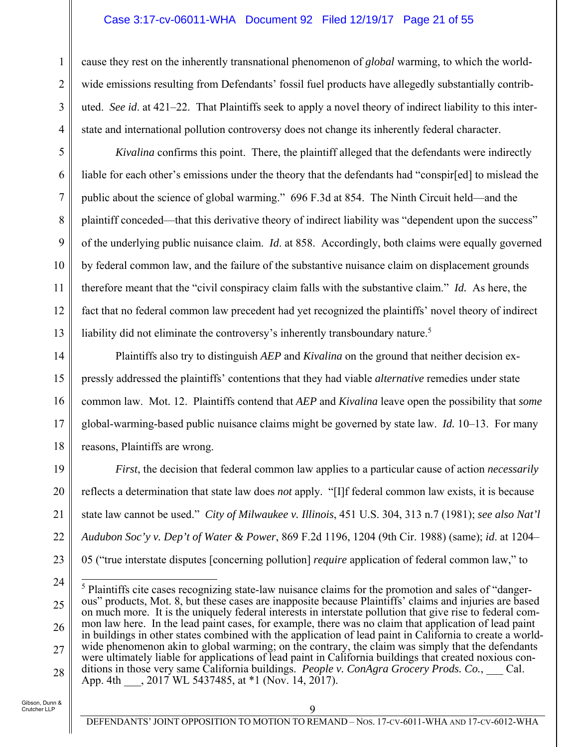#### Case 3:17-cv-06011-WHA Document 92 Filed 12/19/17 Page 21 of 55

cause they rest on the inherently transnational phenomenon of *global* warming, to which the worldwide emissions resulting from Defendants' fossil fuel products have allegedly substantially contributed. *See id*. at 421–22. That Plaintiffs seek to apply a novel theory of indirect liability to this interstate and international pollution controversy does not change its inherently federal character.

*Kivalina* confirms this point. There, the plaintiff alleged that the defendants were indirectly liable for each other's emissions under the theory that the defendants had "conspir[ed] to mislead the public about the science of global warming." 696 F.3d at 854. The Ninth Circuit held—and the plaintiff conceded—that this derivative theory of indirect liability was "dependent upon the success" of the underlying public nuisance claim. *Id*. at 858. Accordingly, both claims were equally governed by federal common law, and the failure of the substantive nuisance claim on displacement grounds therefore meant that the "civil conspiracy claim falls with the substantive claim." *Id.* As here, the fact that no federal common law precedent had yet recognized the plaintiffs' novel theory of indirect liability did not eliminate the controversy's inherently transboundary nature.<sup>5</sup>

14 15 16 17 18 Plaintiffs also try to distinguish *AEP* and *Kivalina* on the ground that neither decision expressly addressed the plaintiffs' contentions that they had viable *alternative* remedies under state common law. Mot. 12. Plaintiffs contend that *AEP* and *Kivalina* leave open the possibility that *some* global-warming-based public nuisance claims might be governed by state law. *Id.* 10–13. For many reasons, Plaintiffs are wrong.

19 20 21 22 23 *First*, the decision that federal common law applies to a particular cause of action *necessarily* reflects a determination that state law does *not* apply. "[I]f federal common law exists, it is because state law cannot be used." *City of Milwaukee v. Illinois*, 451 U.S. 304, 313 n.7 (1981); *see also Nat'l Audubon Soc'y v. Dep't of Water & Power*, 869 F.2d 1196, 1204 (9th Cir. 1988) (same); *id*. at 1204– 05 ("true interstate disputes [concerning pollution] *require* application of federal common law," to

Gibson, Dunn & Crutcher LLP

1

2

3

4

5

6

7

8

9

10

11

12

<sup>24</sup> 25 26 27 28  $\overline{a}$ <sup>5</sup> Plaintiffs cite cases recognizing state-law nuisance claims for the promotion and sales of "dangerous" products, Mot. 8, but these cases are inapposite because Plaintiffs' claims and injuries are based on much more. It is the uniquely federal interests in interstate pollution that give rise to federal common law here. In the lead paint cases, for example, there was no claim that application of lead paint in buildings in other states combined with the application of lead paint in California to create a worldwide phenomenon akin to global warming; on the contrary, the claim was simply that the defendants were ultimately liable for applications of lead paint in California buildings that created noxious conditions in those very same California buildings. *People v. ConAgra Grocery Prods. Co.*, Cal. App. 4th . 2017 WL 5437485, at \*1 (Nov. 14, 2017).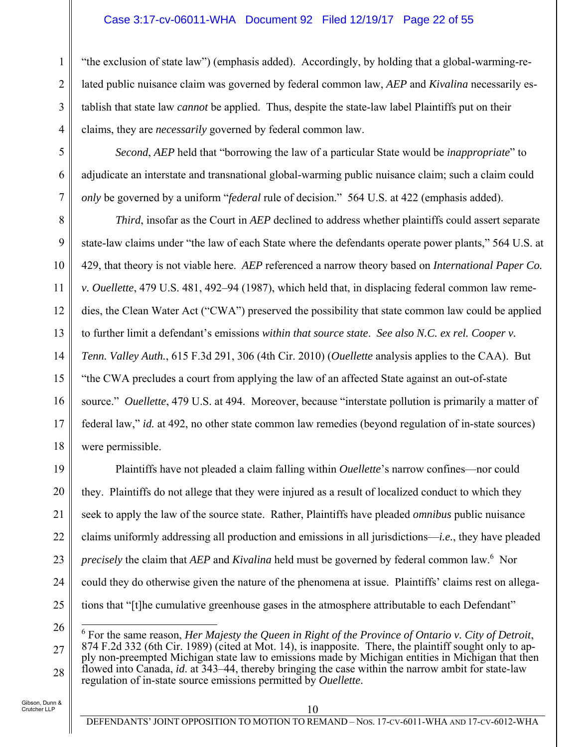"the exclusion of state law") (emphasis added). Accordingly, by holding that a global-warming-related public nuisance claim was governed by federal common law, *AEP* and *Kivalina* necessarily establish that state law *cannot* be applied. Thus, despite the state-law label Plaintiffs put on their claims, they are *necessarily* governed by federal common law.

*Second*, *AEP* held that "borrowing the law of a particular State would be *inappropriate*" to adjudicate an interstate and transnational global-warming public nuisance claim; such a claim could *only* be governed by a uniform "*federal* rule of decision." 564 U.S. at 422 (emphasis added).

8 9 10 11 12 13 14 15 16 17 18 *Third*, insofar as the Court in *AEP* declined to address whether plaintiffs could assert separate state-law claims under "the law of each State where the defendants operate power plants," 564 U.S. at 429, that theory is not viable here. *AEP* referenced a narrow theory based on *International Paper Co. v. Ouellette*, 479 U.S. 481, 492–94 (1987), which held that, in displacing federal common law remedies, the Clean Water Act ("CWA") preserved the possibility that state common law could be applied to further limit a defendant's emissions *within that source state*. *See also N.C. ex rel. Cooper v. Tenn. Valley Auth.*, 615 F.3d 291, 306 (4th Cir. 2010) (*Ouellette* analysis applies to the CAA). But "the CWA precludes a court from applying the law of an affected State against an out-of-state source." *Ouellette*, 479 U.S. at 494. Moreover, because "interstate pollution is primarily a matter of federal law," *id.* at 492, no other state common law remedies (beyond regulation of in-state sources) were permissible.

19 20 21 22 23 24 25 Plaintiffs have not pleaded a claim falling within *Ouellette*'s narrow confines—nor could they. Plaintiffs do not allege that they were injured as a result of localized conduct to which they seek to apply the law of the source state. Rather, Plaintiffs have pleaded *omnibus* public nuisance claims uniformly addressing all production and emissions in all jurisdictions—*i.e.*, they have pleaded *precisely* the claim that *AEP* and *Kivalina* held must be governed by federal common law.6 Nor could they do otherwise given the nature of the phenomena at issue. Plaintiffs' claims rest on allegations that "[t]he cumulative greenhouse gases in the atmosphere attributable to each Defendant"

Gibson, Dunn & Crutcher LLP

1

2

3

4

5

6

<sup>26</sup> 27 28  $\overline{a}$ <sup>6</sup> For the same reason, *Her Majesty the Queen in Right of the Province of Ontario v. City of Detroit,* 874 F.2d 332 (6th Cir. 1989) (cited at Mot. 14), is inapposite. There, the plaintiff sought only to apply non-preempted Michigan state law to emissions made by Michigan entities in Michigan that then flowed into Canada, *id*. at 343–44, thereby bringing the case within the narrow ambit for state-law regulation of in-state source emissions permitted by *Ouellette*.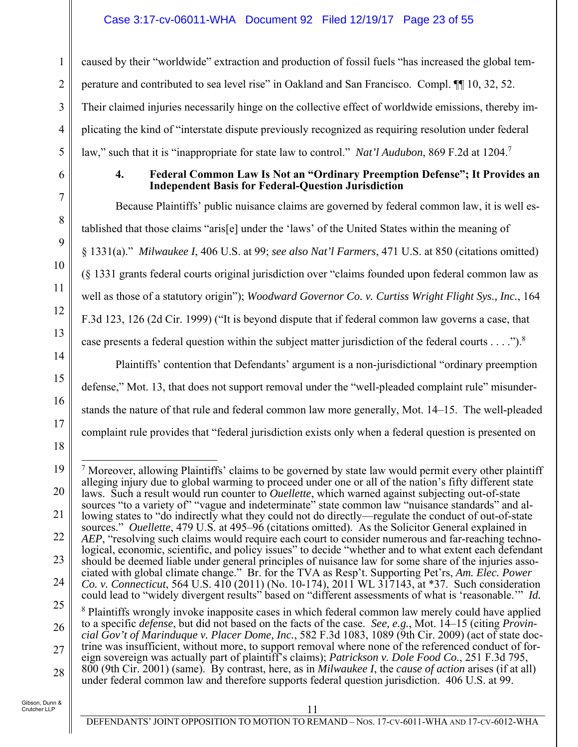### Case 3:17-cv-06011-WHA Document 92 Filed 12/19/17 Page 23 of 55

caused by their "worldwide" extraction and production of fossil fuels "has increased the global temperature and contributed to sea level rise" in Oakland and San Francisco. Compl. ¶¶ 10, 32, 52. Their claimed injuries necessarily hinge on the collective effect of worldwide emissions, thereby implicating the kind of "interstate dispute previously recognized as requiring resolution under federal law," such that it is "inappropriate for state law to control." *Nat'l Audubon*, 869 F.2d at 1204.7

1

2

3

4

5

6

7

8

9

10

11

12

13

14

15

16

17

18

25

#### **4. Federal Common Law Is Not an "Ordinary Preemption Defense"; It Provides an Independent Basis for Federal-Question Jurisdiction**

Because Plaintiffs' public nuisance claims are governed by federal common law, it is well established that those claims "aris[e] under the 'laws' of the United States within the meaning of § 1331(a)." *Milwaukee I*, 406 U.S. at 99; *see also Nat'l Farmers*, 471 U.S. at 850 (citations omitted) (§ 1331 grants federal courts original jurisdiction over "claims founded upon federal common law as well as those of a statutory origin"); *Woodward Governor Co. v. Curtiss Wright Flight Sys., Inc.*, 164 F.3d 123, 126 (2d Cir. 1999) ("It is beyond dispute that if federal common law governs a case, that case presents a federal question within the subject matter jurisdiction of the federal courts  $\dots$ .").<sup>8</sup>

Plaintiffs' contention that Defendants' argument is a non-jurisdictional "ordinary preemption defense," Mot. 13, that does not support removal under the "well-pleaded complaint rule" misunderstands the nature of that rule and federal common law more generally, Mot. 14–15. The well-pleaded complaint rule provides that "federal jurisdiction exists only when a federal question is presented on

<sup>19</sup> 20 21 22 23 24  $\overline{a}$  $<sup>7</sup>$  Moreover, allowing Plaintiffs' claims to be governed by state law would permit every other plaintiff</sup> alleging injury due to global warming to proceed under one or all of the nation's fifty different state laws. Such a result would run counter to *Ouellette*, which warned against subjecting out-of-state sources "to a variety of" "vague and indeterminate" state common law "nuisance standards" and allowing states to "do indirectly what they could not do directly—regulate the conduct of out-of-state sources." *Ouellette*, 479 U.S. at 495–96 (citations omitted). As the Solicitor General explained in *AEP*, "resolving such claims would require each court to consider numerous and far-reaching technological, economic, scientific, and policy issues" to decide "whether and to what extent each defendant should be deemed liable under general principles of nuisance law for some share of the injuries associated with global climate change." Br. for the TVA as Resp't. Supporting Pet'rs, *Am. Elec. Power* 

*Co. v. Connecticut*, 564 U.S. 410 (2011) (No. 10-174), 2011 WL 317143, at \*37. Such consideration could lead to "widely divergent results" based on "different assessments of what is 'reasonable.'" *Id.* <sup>8</sup> Plaintiffs wrongly invoke inapposite cases in which federal common law merely could have applied

<sup>26</sup> to a specific *defense*, but did not based on the facts of the case. *See, e.g.*, Mot. 14–15 (citing *Provincial Gov't of Marinduque v. Placer Dome, Inc.*, 582 F.3d 1083, 1089 (9th Cir. 2009) (act of state doc-

<sup>27</sup> 28 trine was insufficient, without more, to support removal where none of the referenced conduct of foreign sovereign was actually part of plaintiff's claims); *Patrickson v. Dole Food Co.*, 251 F.3d 795, 800 (9th Cir. 2001) (same). By contrast, here, as in *Milwaukee I*, the *cause of action* arises (if at all)

under federal common law and therefore supports federal question jurisdiction. 406 U.S. at 99.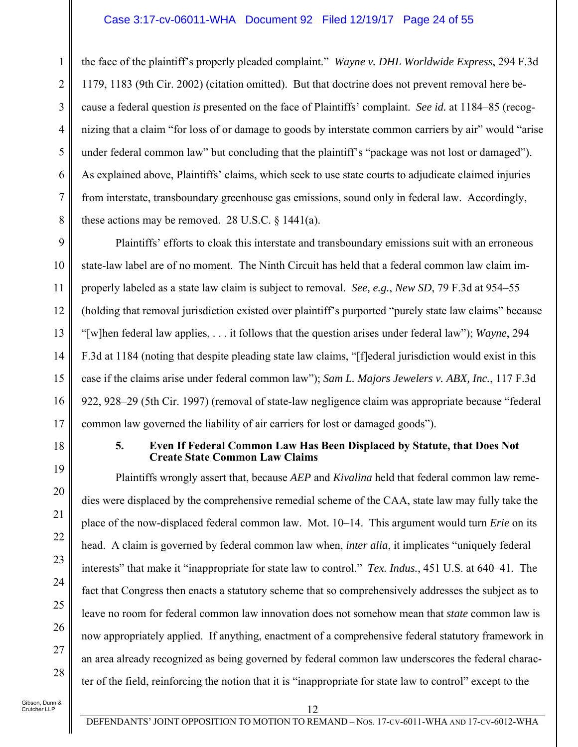#### Case 3:17-cv-06011-WHA Document 92 Filed 12/19/17 Page 24 of 55

the face of the plaintiff's properly pleaded complaint." *Wayne v. DHL Worldwide Express*, 294 F.3d 1179, 1183 (9th Cir. 2002) (citation omitted). But that doctrine does not prevent removal here because a federal question *is* presented on the face of Plaintiffs' complaint. *See id.* at 1184–85 (recognizing that a claim "for loss of or damage to goods by interstate common carriers by air" would "arise under federal common law" but concluding that the plaintiff's "package was not lost or damaged"). As explained above, Plaintiffs' claims, which seek to use state courts to adjudicate claimed injuries from interstate, transboundary greenhouse gas emissions, sound only in federal law. Accordingly, these actions may be removed. 28 U.S.C.  $\frac{1441(a)}{a}$ .

9 10 11 12 13 14 15 16 17 Plaintiffs' efforts to cloak this interstate and transboundary emissions suit with an erroneous state-law label are of no moment. The Ninth Circuit has held that a federal common law claim improperly labeled as a state law claim is subject to removal. *See, e.g.*, *New SD*, 79 F.3d at 954–55 (holding that removal jurisdiction existed over plaintiff's purported "purely state law claims" because "[w]hen federal law applies, . . . it follows that the question arises under federal law"); *Wayne*, 294 F.3d at 1184 (noting that despite pleading state law claims, "[f]ederal jurisdiction would exist in this case if the claims arise under federal common law"); *Sam L. Majors Jewelers v. ABX, Inc.*, 117 F.3d 922, 928–29 (5th Cir. 1997) (removal of state-law negligence claim was appropriate because "federal common law governed the liability of air carriers for lost or damaged goods").

18

19

20

21

22

23

24

25

26

27

28

1

2

3

4

5

6

7

8

#### **5. Even If Federal Common Law Has Been Displaced by Statute, that Does Not Create State Common Law Claims**

Plaintiffs wrongly assert that, because *AEP* and *Kivalina* held that federal common law remedies were displaced by the comprehensive remedial scheme of the CAA, state law may fully take the place of the now-displaced federal common law. Mot. 10–14. This argument would turn *Erie* on its head. A claim is governed by federal common law when, *inter alia*, it implicates "uniquely federal interests" that make it "inappropriate for state law to control." *Tex. Indus.*, 451 U.S. at 640–41*.* The fact that Congress then enacts a statutory scheme that so comprehensively addresses the subject as to leave no room for federal common law innovation does not somehow mean that *state* common law is now appropriately applied. If anything, enactment of a comprehensive federal statutory framework in an area already recognized as being governed by federal common law underscores the federal character of the field, reinforcing the notion that it is "inappropriate for state law to control" except to the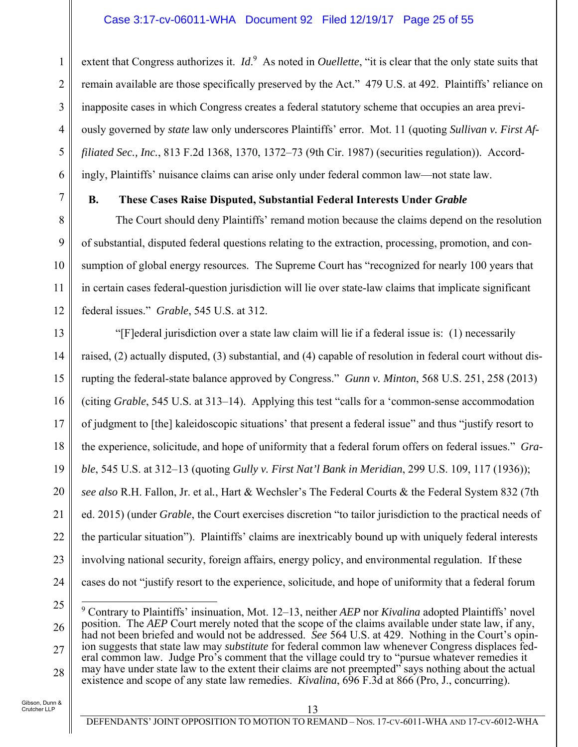### Case 3:17-cv-06011-WHA Document 92 Filed 12/19/17 Page 25 of 55

extent that Congress authorizes it. *Id*.<sup>9</sup> As noted in *Ouellette*, "it is clear that the only state suits that remain available are those specifically preserved by the Act." 479 U.S. at 492. Plaintiffs' reliance on inapposite cases in which Congress creates a federal statutory scheme that occupies an area previously governed by *state* law only underscores Plaintiffs' error. Mot. 11 (quoting *Sullivan v. First Affiliated Sec., Inc.*, 813 F.2d 1368, 1370, 1372–73 (9th Cir. 1987) (securities regulation)). Accordingly, Plaintiffs' nuisance claims can arise only under federal common law—not state law.

1

2

3

4

5

6

7

8

9

10

11

12

#### **B. These Cases Raise Disputed, Substantial Federal Interests Under** *Grable*

The Court should deny Plaintiffs' remand motion because the claims depend on the resolution of substantial, disputed federal questions relating to the extraction, processing, promotion, and consumption of global energy resources. The Supreme Court has "recognized for nearly 100 years that in certain cases federal-question jurisdiction will lie over state-law claims that implicate significant federal issues." *Grable*, 545 U.S. at 312.

13 14 15 16 17 18 19 20 21 22 23 24 "[F]ederal jurisdiction over a state law claim will lie if a federal issue is: (1) necessarily raised, (2) actually disputed, (3) substantial, and (4) capable of resolution in federal court without disrupting the federal-state balance approved by Congress." *Gunn v. Minton*, 568 U.S. 251, 258 (2013) (citing *Grable*, 545 U.S. at 313–14). Applying this test "calls for a 'common-sense accommodation of judgment to [the] kaleidoscopic situations' that present a federal issue" and thus "justify resort to the experience, solicitude, and hope of uniformity that a federal forum offers on federal issues." *Grable*, 545 U.S. at 312–13 (quoting *Gully v. First Nat'l Bank in Meridian*, 299 U.S. 109, 117 (1936)); *see also* R.H. Fallon, Jr. et al*.*, Hart & Wechsler's The Federal Courts & the Federal System 832 (7th ed. 2015) (under *Grable*, the Court exercises discretion "to tailor jurisdiction to the practical needs of the particular situation"). Plaintiffs' claims are inextricably bound up with uniquely federal interests involving national security, foreign affairs, energy policy, and environmental regulation. If these cases do not "justify resort to the experience, solicitude, and hope of uniformity that a federal forum

25

26

27

28

 $\overline{a}$ 9 Contrary to Plaintiffs' insinuation, Mot. 12–13, neither *AEP* nor *Kivalina* adopted Plaintiffs' novel position. The *AEP* Court merely noted that the scope of the claims available under state law, if any, had not been briefed and would not be addressed. *See* 564 U.S. at 429. Nothing in the Court's opinion suggests that state law may *substitute* for federal common law whenever Congress displaces federal common law. Judge Pro's comment that the village could try to "pursue whatever remedies it may have under state law to the extent their claims are not preempted" says nothing about the actual existence and scope of any state law remedies. *Kivalina*, 696 F.3d at 866 (Pro, J., concurring).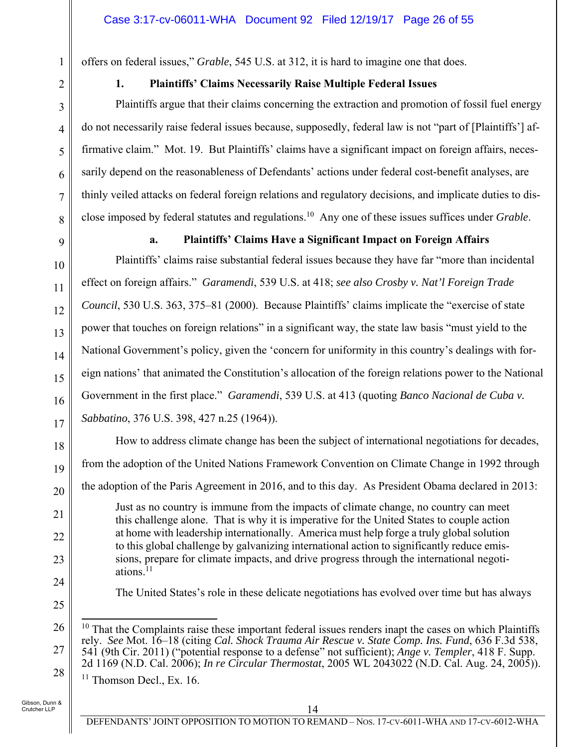offers on federal issues," *Grable*, 545 U.S. at 312, it is hard to imagine one that does.

1

2

3

4

5

6

7

8

9

10

11

12

13

14

15

16

17

18

19

20

21

22

23

24

25

# **1. Plaintiffs' Claims Necessarily Raise Multiple Federal Issues**

Plaintiffs argue that their claims concerning the extraction and promotion of fossil fuel energy do not necessarily raise federal issues because, supposedly, federal law is not "part of [Plaintiffs'] affirmative claim." Mot. 19. But Plaintiffs' claims have a significant impact on foreign affairs, necessarily depend on the reasonableness of Defendants' actions under federal cost-benefit analyses, are thinly veiled attacks on federal foreign relations and regulatory decisions, and implicate duties to disclose imposed by federal statutes and regulations.10 Any one of these issues suffices under *Grable*.

### **a. Plaintiffs' Claims Have a Significant Impact on Foreign Affairs**

Plaintiffs' claims raise substantial federal issues because they have far "more than incidental effect on foreign affairs." *Garamendi*, 539 U.S. at 418; *see also Crosby v. Nat'l Foreign Trade Council*, 530 U.S. 363, 375–81 (2000). Because Plaintiffs' claims implicate the "exercise of state power that touches on foreign relations" in a significant way, the state law basis "must yield to the National Government's policy, given the 'concern for uniformity in this country's dealings with foreign nations' that animated the Constitution's allocation of the foreign relations power to the National Government in the first place." *Garamendi*, 539 U.S. at 413 (quoting *Banco Nacional de Cuba v. Sabbatino*, 376 U.S. 398, 427 n.25 (1964)).

How to address climate change has been the subject of international negotiations for decades, from the adoption of the United Nations Framework Convention on Climate Change in 1992 through the adoption of the Paris Agreement in 2016, and to this day. As President Obama declared in 2013: Just as no country is immune from the impacts of climate change, no country can meet this challenge alone. That is why it is imperative for the United States to couple action

at home with leadership internationally. America must help forge a truly global solution to this global challenge by galvanizing international action to significantly reduce emissions, prepare for climate impacts, and drive progress through the international negotiations. $11$ 

The United States's role in these delicate negotiations has evolved over time but has always

 $11$  Thomson Decl., Ex. 16.

<sup>26</sup> 27 28  $\overline{a}$  $10$  That the Complaints raise these important federal issues renders inapt the cases on which Plaintiffs rely. *See* Mot. 16–18 (citing *Cal. Shock Trauma Air Rescue v. State Comp. Ins. Fund*, 636 F.3d 538, 541 (9th Cir. 2011) ("potential response to a defense" not sufficient); *Ange v. Templer*, 418 F. Supp. 2d 1169 (N.D. Cal. 2006); *In re Circular Thermostat*, 2005 WL 2043022 (N.D. Cal. Aug. 24, 2005)).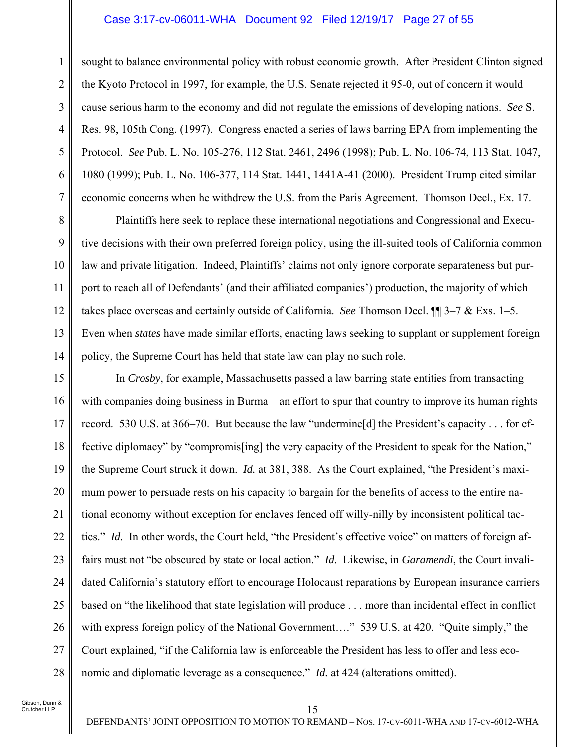#### Case 3:17-cv-06011-WHA Document 92 Filed 12/19/17 Page 27 of 55

sought to balance environmental policy with robust economic growth. After President Clinton signed the Kyoto Protocol in 1997, for example, the U.S. Senate rejected it 95-0, out of concern it would cause serious harm to the economy and did not regulate the emissions of developing nations. *See* S. Res. 98, 105th Cong. (1997). Congress enacted a series of laws barring EPA from implementing the Protocol. *See* Pub. L. No. 105-276, 112 Stat. 2461, 2496 (1998); Pub. L. No. 106-74, 113 Stat. 1047, 1080 (1999); Pub. L. No. 106-377, 114 Stat. 1441, 1441A-41 (2000). President Trump cited similar economic concerns when he withdrew the U.S. from the Paris Agreement. Thomson Decl., Ex. 17.

Plaintiffs here seek to replace these international negotiations and Congressional and Executive decisions with their own preferred foreign policy, using the ill-suited tools of California common law and private litigation. Indeed, Plaintiffs' claims not only ignore corporate separateness but purport to reach all of Defendants' (and their affiliated companies') production, the majority of which takes place overseas and certainly outside of California. *See* Thomson Decl. ¶¶ 3–7 & Exs. 1–5. Even when *states* have made similar efforts, enacting laws seeking to supplant or supplement foreign policy, the Supreme Court has held that state law can play no such role.

15 16 17 18 19 20 21 22 23 24 25 26 27 28 In *Crosby*, for example, Massachusetts passed a law barring state entities from transacting with companies doing business in Burma—an effort to spur that country to improve its human rights record. 530 U.S. at 366–70. But because the law "undermine[d] the President's capacity . . . for effective diplomacy" by "compromis[ing] the very capacity of the President to speak for the Nation," the Supreme Court struck it down. *Id.* at 381, 388. As the Court explained, "the President's maximum power to persuade rests on his capacity to bargain for the benefits of access to the entire national economy without exception for enclaves fenced off willy-nilly by inconsistent political tactics." *Id.* In other words, the Court held, "the President's effective voice" on matters of foreign affairs must not "be obscured by state or local action." *Id.* Likewise, in *Garamendi*, the Court invalidated California's statutory effort to encourage Holocaust reparations by European insurance carriers based on "the likelihood that state legislation will produce . . . more than incidental effect in conflict with express foreign policy of the National Government...." 539 U.S. at 420. "Quite simply," the Court explained, "if the California law is enforceable the President has less to offer and less economic and diplomatic leverage as a consequence." *Id.* at 424 (alterations omitted).

Gibson, Dunn & .<br>Crutcher LLP

1

2

3

4

5

6

7

8

9

10

11

12

13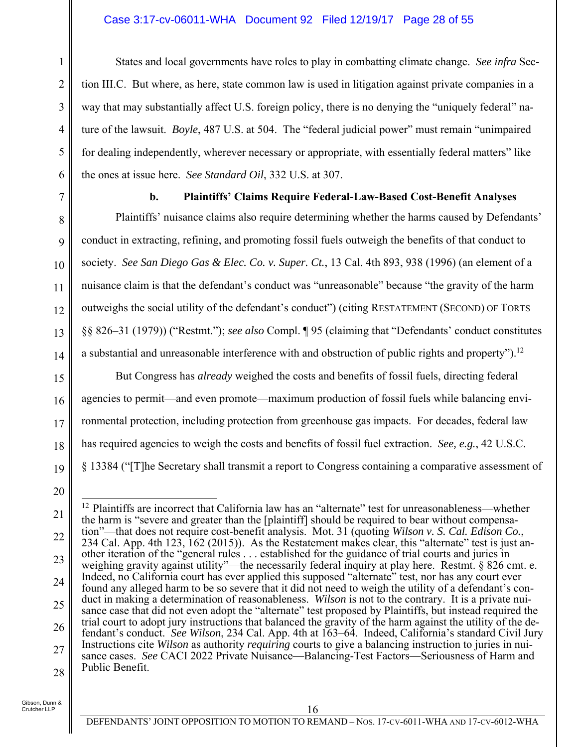#### Case 3:17-cv-06011-WHA Document 92 Filed 12/19/17 Page 28 of 55

States and local governments have roles to play in combatting climate change. *See infra* Section III.C. But where, as here, state common law is used in litigation against private companies in a way that may substantially affect U.S. foreign policy, there is no denying the "uniquely federal" nature of the lawsuit. *Boyle*, 487 U.S. at 504. The "federal judicial power" must remain "unimpaired for dealing independently, wherever necessary or appropriate, with essentially federal matters" like the ones at issue here. *See Standard Oil*, 332 U.S. at 307.

1

2

3

4

5

6

7

8

 $\mathbf Q$ 

10

11

12

13

14

#### **b. Plaintiffs' Claims Require Federal-Law-Based Cost-Benefit Analyses**

Plaintiffs' nuisance claims also require determining whether the harms caused by Defendants' conduct in extracting, refining, and promoting fossil fuels outweigh the benefits of that conduct to society. *See San Diego Gas & Elec. Co. v. Super. Ct.*, 13 Cal. 4th 893, 938 (1996) (an element of a nuisance claim is that the defendant's conduct was "unreasonable" because "the gravity of the harm outweighs the social utility of the defendant's conduct") (citing RESTATEMENT (SECOND) OF TORTS §§ 826–31 (1979)) ("Restmt."); *see also* Compl. ¶ 95 (claiming that "Defendants' conduct constitutes a substantial and unreasonable interference with and obstruction of public rights and property").<sup>12</sup>

15 16 17 18 19 But Congress has *already* weighed the costs and benefits of fossil fuels, directing federal agencies to permit—and even promote—maximum production of fossil fuels while balancing environmental protection, including protection from greenhouse gas impacts. For decades, federal law has required agencies to weigh the costs and benefits of fossil fuel extraction. *See, e.g.*, 42 U.S.C. § 13384 ("[T]he Secretary shall transmit a report to Congress containing a comparative assessment of

<sup>20</sup>

<sup>21</sup> 22 23 24 25 26 27 28  $\overline{1}$ <sup>12</sup> Plaintiffs are incorrect that California law has an "alternate" test for unreasonableness—whether the harm is "severe and greater than the [plaintiff] should be required to bear without compensation"—that does not require cost-benefit analysis. Mot. 31 (quoting *Wilson v. S. Cal. Edison Co.*, 234 Cal. App. 4th 123, 162 (2015)). As the Restatement makes clear, this "alternate" test is just another iteration of the "general rules . . . established for the guidance of trial courts and juries in weighing gravity against utility"—the necessarily federal inquiry at play here. Restmt. § 826 cmt. e. Indeed, no California court has ever applied this supposed "alternate" test, nor has any court ever found any alleged harm to be so severe that it did not need to weigh the utility of a defendant's conduct in making a determination of reasonableness. *Wilson* is not to the contrary. It is a private nuisance case that did not even adopt the "alternate" test proposed by Plaintiffs, but instead required the trial court to adopt jury instructions that balanced the gravity of the harm against the utility of the defendant's conduct. *See Wilson*, 234 Cal. App. 4th at 163–64. Indeed, California's standard Civil Jury Instructions cite *Wilson* as authority *requiring* courts to give a balancing instruction to juries in nuisance cases. *See* CACI 2022 Private Nuisance—Balancing-Test Factors—Seriousness of Harm and Public Benefit.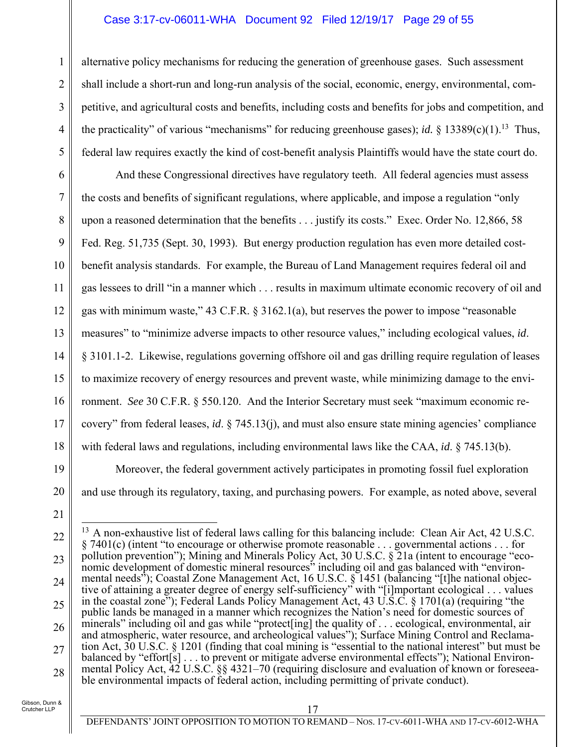#### Case 3:17-cv-06011-WHA Document 92 Filed 12/19/17 Page 29 of 55

alternative policy mechanisms for reducing the generation of greenhouse gases. Such assessment shall include a short-run and long-run analysis of the social, economic, energy, environmental, competitive, and agricultural costs and benefits, including costs and benefits for jobs and competition, and the practicality" of various "mechanisms" for reducing greenhouse gases); *id.* § 13389(c)(1).<sup>13</sup> Thus, federal law requires exactly the kind of cost-benefit analysis Plaintiffs would have the state court do.

6 7 8 9 10 11 12 13 14 15 16 17 18 And these Congressional directives have regulatory teeth. All federal agencies must assess the costs and benefits of significant regulations, where applicable, and impose a regulation "only upon a reasoned determination that the benefits . . . justify its costs." Exec. Order No. 12,866, 58 Fed. Reg. 51,735 (Sept. 30, 1993). But energy production regulation has even more detailed costbenefit analysis standards. For example, the Bureau of Land Management requires federal oil and gas lessees to drill "in a manner which . . . results in maximum ultimate economic recovery of oil and gas with minimum waste," 43 C.F.R. § 3162.1(a), but reserves the power to impose "reasonable measures" to "minimize adverse impacts to other resource values," including ecological values, *id*. § 3101.1-2. Likewise, regulations governing offshore oil and gas drilling require regulation of leases to maximize recovery of energy resources and prevent waste, while minimizing damage to the environment. *See* 30 C.F.R. § 550.120. And the Interior Secretary must seek "maximum economic recovery" from federal leases, *id*. § 745.13(j), and must also ensure state mining agencies' compliance with federal laws and regulations, including environmental laws like the CAA, *id*. § 745.13(b).

Moreover, the federal government actively participates in promoting fossil fuel exploration and use through its regulatory, taxing, and purchasing powers. For example, as noted above, several

21

 $\overline{a}$ 

20

19

1

2

3

4

<sup>22</sup> 23 24 25 26 27 28 <sup>13</sup> A non-exhaustive list of federal laws calling for this balancing include: Clean Air Act, 42 U.S.C. § 7401(c) (intent "to encourage or otherwise promote reasonable . . . governmental actions . . . for pollution prevention"); Mining and Minerals Policy Act, 30 U.S.C. § 21a (intent to encourage "economic development of domestic mineral resources<sup>35</sup> including oil and gas balanced with "environmental needs"); Coastal Zone Management Act, 16 U.S.C. § 1451 (balancing "[t]he national objective of attaining a greater degree of energy self-sufficiency" with "[i]mportant ecological . . . values in the coastal zone"); Federal Lands Policy Management Act, 43 U.S.C. § 1701(a) (requiring "the public lands be managed in a manner which recognizes the Nation's need for domestic sources of minerals" including oil and gas while "protect [ing] the quality of . . . ecological, environmental, air and atmospheric, water resource, and archeological values"); Surface Mining Control and Reclamation Act, 30 U.S.C. § 1201 (finding that coal mining is "essential to the national interest" but must be balanced by "effort[s] . . . to prevent or mitigate adverse environmental effects"); National Environmental Policy Act, 42 U.S.C. §§ 4321–70 (requiring disclosure and evaluation of known or foreseeable environmental impacts of federal action, including permitting of private conduct).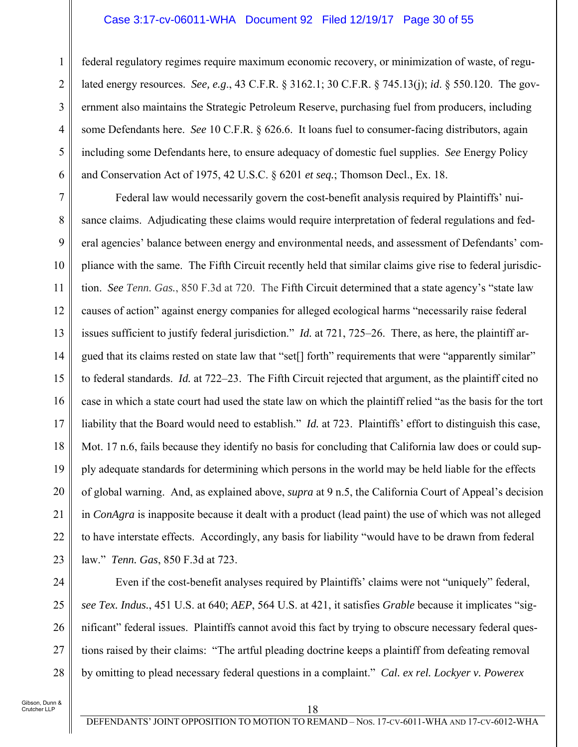#### Case 3:17-cv-06011-WHA Document 92 Filed 12/19/17 Page 30 of 55

5 federal regulatory regimes require maximum economic recovery, or minimization of waste, of regulated energy resources. *See, e.g*., 43 C.F.R. § 3162.1; 30 C.F.R. § 745.13(j); *id*. § 550.120. The government also maintains the Strategic Petroleum Reserve, purchasing fuel from producers, including some Defendants here. *See* 10 C.F.R. § 626.6. It loans fuel to consumer-facing distributors, again including some Defendants here, to ensure adequacy of domestic fuel supplies. *See* Energy Policy and Conservation Act of 1975, 42 U.S.C. § 6201 *et seq.*; Thomson Decl., Ex. 18.

7 8 9 10 11 12 13 14 15 16 17 18 19 20 21 22 23 Federal law would necessarily govern the cost-benefit analysis required by Plaintiffs' nuisance claims. Adjudicating these claims would require interpretation of federal regulations and federal agencies' balance between energy and environmental needs, and assessment of Defendants' compliance with the same. The Fifth Circuit recently held that similar claims give rise to federal jurisdiction. *See Tenn. Gas.*, 850 F.3d at 720. The Fifth Circuit determined that a state agency's "state law causes of action" against energy companies for alleged ecological harms "necessarily raise federal issues sufficient to justify federal jurisdiction." *Id.* at 721, 725–26. There, as here, the plaintiff argued that its claims rested on state law that "set[] forth" requirements that were "apparently similar" to federal standards. *Id.* at 722–23. The Fifth Circuit rejected that argument, as the plaintiff cited no case in which a state court had used the state law on which the plaintiff relied "as the basis for the tort liability that the Board would need to establish." *Id.* at 723. Plaintiffs' effort to distinguish this case, Mot. 17 n.6, fails because they identify no basis for concluding that California law does or could supply adequate standards for determining which persons in the world may be held liable for the effects of global warning. And, as explained above, *supra* at 9 n.5, the California Court of Appeal's decision in *ConAgra* is inapposite because it dealt with a product (lead paint) the use of which was not alleged to have interstate effects. Accordingly, any basis for liability "would have to be drawn from federal law." *Tenn. Gas*, 850 F.3d at 723.

24

25

26

27

28

1

2

3

4

6

Even if the cost-benefit analyses required by Plaintiffs' claims were not "uniquely" federal, *see Tex. Indus.*, 451 U.S. at 640; *AEP*, 564 U.S. at 421, it satisfies *Grable* because it implicates "significant" federal issues. Plaintiffs cannot avoid this fact by trying to obscure necessary federal questions raised by their claims: "The artful pleading doctrine keeps a plaintiff from defeating removal by omitting to plead necessary federal questions in a complaint." *Cal. ex rel. Lockyer v. Powerex*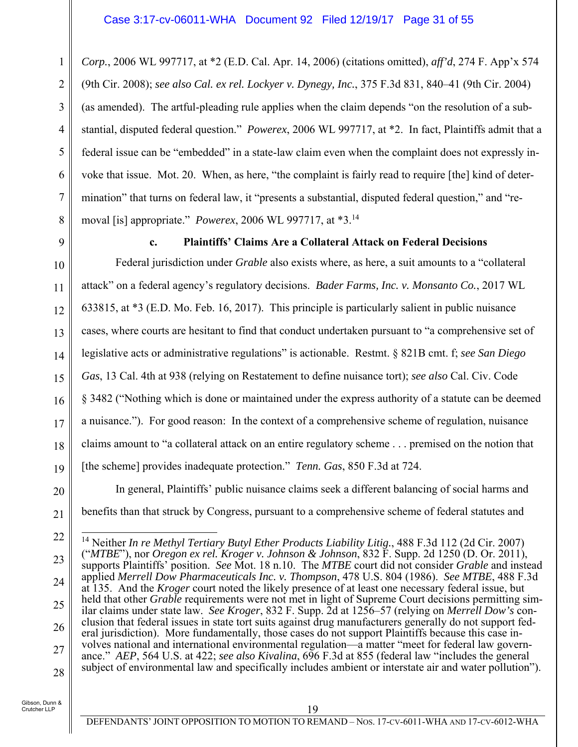1 2 3 4 5 6 7 8 *Corp.*, 2006 WL 997717, at \*2 (E.D. Cal. Apr. 14, 2006) (citations omitted), *aff'd*, 274 F. App'x 574 (9th Cir. 2008); *see also Cal. ex rel. Lockyer v. Dynegy, Inc.*, 375 F.3d 831, 840–41 (9th Cir. 2004) (as amended). The artful-pleading rule applies when the claim depends "on the resolution of a substantial, disputed federal question." *Powerex*, 2006 WL 997717, at \*2. In fact, Plaintiffs admit that a federal issue can be "embedded" in a state-law claim even when the complaint does not expressly invoke that issue. Mot. 20. When, as here, "the complaint is fairly read to require [the] kind of determination" that turns on federal law, it "presents a substantial, disputed federal question," and "removal [is] appropriate." *Powerex*, 2006 WL 997717, at \*3.14

9

### **c. Plaintiffs' Claims Are a Collateral Attack on Federal Decisions**

10 11 12 13 14 15 16 17 18 19 Federal jurisdiction under *Grable* also exists where, as here, a suit amounts to a "collateral attack" on a federal agency's regulatory decisions. *Bader Farms, Inc. v. Monsanto Co.*, 2017 WL 633815, at \*3 (E.D. Mo. Feb. 16, 2017). This principle is particularly salient in public nuisance cases, where courts are hesitant to find that conduct undertaken pursuant to "a comprehensive set of legislative acts or administrative regulations" is actionable. Restmt. § 821B cmt. f; *see San Diego Gas*, 13 Cal. 4th at 938 (relying on Restatement to define nuisance tort); *see also* Cal. Civ. Code § 3482 ("Nothing which is done or maintained under the express authority of a statute can be deemed a nuisance."). For good reason: In the context of a comprehensive scheme of regulation, nuisance claims amount to "a collateral attack on an entire regulatory scheme . . . premised on the notion that [the scheme] provides inadequate protection." *Tenn. Gas*, 850 F.3d at 724.

20

In general, Plaintiffs' public nuisance claims seek a different balancing of social harms and benefits than that struck by Congress, pursuant to a comprehensive scheme of federal statutes and

21

<sup>22</sup>

<sup>23</sup> 24 25 26 27 28  $\overline{1}$ 14 Neither *In re Methyl Tertiary Butyl Ether Products Liability Litig.*, 488 F.3d 112 (2d Cir. 2007) ("*MTBE*"), nor *Oregon ex rel. Kroger v. Johnson & Johnson*, 832 F. Supp. 2d 1250 (D. Or. 2011), supports Plaintiffs' position. *See* Mot. 18 n.10. The *MTBE* court did not consider *Grable* and instead applied *Merrell Dow Pharmaceuticals Inc. v. Thompson*, 478 U.S. 804 (1986). *See MTBE*, 488 F.3d at 135. And the *Kroger* court noted the likely presence of at least one necessary federal issue, but held that other *Grable* requirements were not met in light of Supreme Court decisions permitting similar claims under state law. *See Kroger*, 832 F. Supp. 2d at 1256–57 (relying on *Merrell Dow's* conclusion that federal issues in state tort suits against drug manufacturers generally do not support federal jurisdiction). More fundamentally, those cases do not support Plaintiffs because this case involves national and international environmental regulation—a matter "meet for federal law governance." *AEP*, 564 U.S. at 422; *see also Kivalina*, 696 F.3d at 855 (federal law "includes the general subject of environmental law and specifically includes ambient or interstate air and water pollution").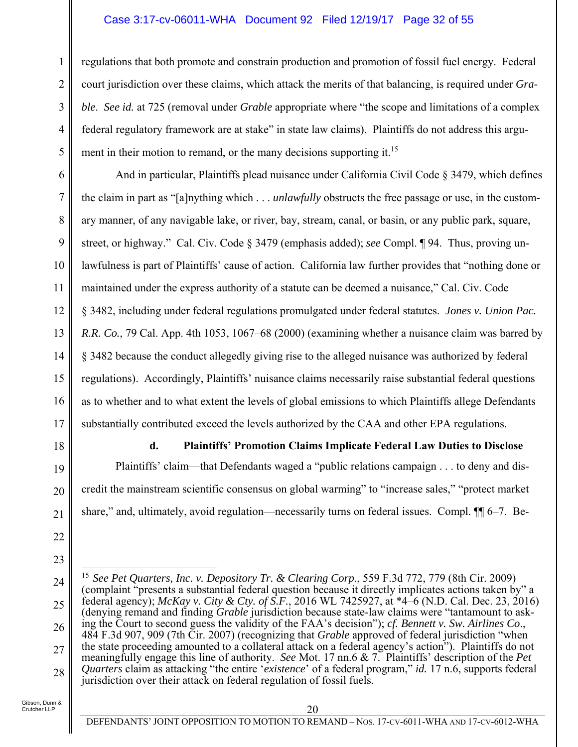#### Case 3:17-cv-06011-WHA Document 92 Filed 12/19/17 Page 32 of 55

regulations that both promote and constrain production and promotion of fossil fuel energy. Federal court jurisdiction over these claims, which attack the merits of that balancing, is required under *Grable*. *See id.* at 725 (removal under *Grable* appropriate where "the scope and limitations of a complex federal regulatory framework are at stake" in state law claims).Plaintiffs do not address this argument in their motion to remand, or the many decisions supporting it.<sup>15</sup>

6 7 8 9 10 11 12 13 14 15 16 17 And in particular, Plaintiffs plead nuisance under California Civil Code § 3479, which defines the claim in part as "[a]nything which . . . *unlawfully* obstructs the free passage or use, in the customary manner, of any navigable lake, or river, bay, stream, canal, or basin, or any public park, square, street, or highway." Cal. Civ. Code § 3479 (emphasis added); *see* Compl. ¶ 94. Thus, proving unlawfulness is part of Plaintiffs' cause of action. California law further provides that "nothing done or maintained under the express authority of a statute can be deemed a nuisance," Cal. Civ. Code § 3482, including under federal regulations promulgated under federal statutes. *Jones v. Union Pac. R.R. Co.*, 79 Cal. App. 4th 1053, 1067–68 (2000) (examining whether a nuisance claim was barred by § 3482 because the conduct allegedly giving rise to the alleged nuisance was authorized by federal regulations). Accordingly, Plaintiffs' nuisance claims necessarily raise substantial federal questions as to whether and to what extent the levels of global emissions to which Plaintiffs allege Defendants substantially contributed exceed the levels authorized by the CAA and other EPA regulations.

18

19

20

21

22

1

2

3

4

5

#### **d. Plaintiffs' Promotion Claims Implicate Federal Law Duties to Disclose**

Plaintiffs' claim—that Defendants waged a "public relations campaign . . . to deny and discredit the mainstream scientific consensus on global warming" to "increase sales," "protect market share," and, ultimately, avoid regulation—necessarily turns on federal issues. Compl.  $\P$  6–7. Be-

<sup>23</sup>

<sup>24</sup> 25 26 27 28  $\overline{a}$ <sup>15</sup> See Pet Quarters, Inc. v. Depository Tr. & Clearing Corp., 559 F.3d 772, 779 (8th Cir. 2009) (complaint "presents a substantial federal question because it directly implicates actions taken by" a federal agency); *McKay v. City & Cty. of S.F.*, 2016 WL 7425927, at \*4–6 (N.D. Cal. Dec. 23, 2016) (denying remand and finding *Grable* jurisdiction because state-law claims were "tantamount to asking the Court to second guess the validity of the FAA's decision"); *cf. Bennett v. Sw. Airlines Co*., 484 F.3d 907, 909 (7th Cir. 2007) (recognizing that *Grable* approved of federal jurisdiction "when the state proceeding amounted to a collateral attack on a federal agency's action"). Plaintiffs do not meaningfully engage this line of authority. *See* Mot. 17 nn.6 & 7. Plaintiffs' description of the *Pet Quarters* claim as attacking "the entire '*existence*' of a federal program," *id.* 17 n.6, supports federal jurisdiction over their attack on federal regulation of fossil fuels.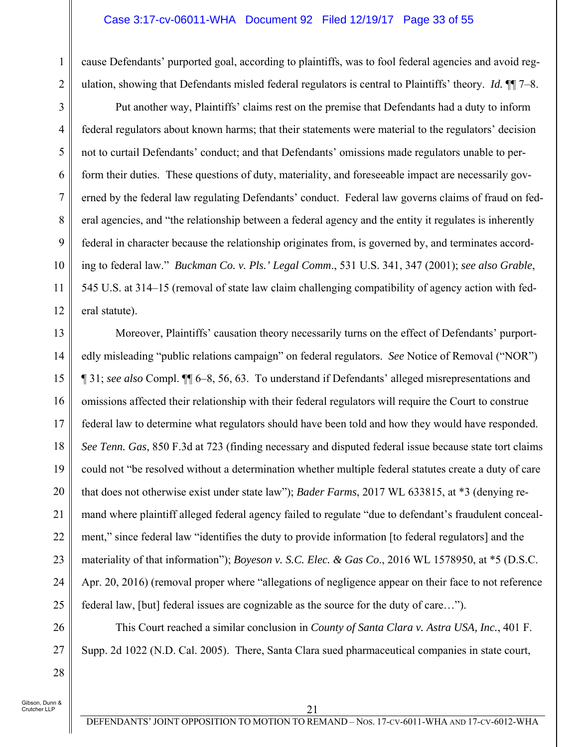#### Case 3:17-cv-06011-WHA Document 92 Filed 12/19/17 Page 33 of 55

cause Defendants' purported goal, according to plaintiffs, was to fool federal agencies and avoid regulation, showing that Defendants misled federal regulators is central to Plaintiffs' theory. *Id.* ¶¶ 7–8.

Put another way, Plaintiffs' claims rest on the premise that Defendants had a duty to inform federal regulators about known harms; that their statements were material to the regulators' decision not to curtail Defendants' conduct; and that Defendants' omissions made regulators unable to perform their duties. These questions of duty, materiality, and foreseeable impact are necessarily governed by the federal law regulating Defendants' conduct. Federal law governs claims of fraud on federal agencies, and "the relationship between a federal agency and the entity it regulates is inherently federal in character because the relationship originates from, is governed by, and terminates according to federal law." *Buckman Co. v. Pls.' Legal Comm*., 531 U.S. 341, 347 (2001); *see also Grable*, 545 U.S. at 314–15 (removal of state law claim challenging compatibility of agency action with federal statute).

13 14 15 16 17 18 19 20 21 22 23 24 25 Moreover, Plaintiffs' causation theory necessarily turns on the effect of Defendants' purportedly misleading "public relations campaign" on federal regulators. *See* Notice of Removal ("NOR") ¶ 31; *see also* Compl. ¶¶ 6–8, 56, 63. To understand if Defendants' alleged misrepresentations and omissions affected their relationship with their federal regulators will require the Court to construe federal law to determine what regulators should have been told and how they would have responded. *See Tenn. Gas*, 850 F.3d at 723 (finding necessary and disputed federal issue because state tort claims could not "be resolved without a determination whether multiple federal statutes create a duty of care that does not otherwise exist under state law"); *Bader Farms*, 2017 WL 633815, at \*3 (denying remand where plaintiff alleged federal agency failed to regulate "due to defendant's fraudulent concealment," since federal law "identifies the duty to provide information [to federal regulators] and the materiality of that information"); *Boyeson v. S.C. Elec. & Gas Co*., 2016 WL 1578950, at \*5 (D.S.C. Apr. 20, 2016) (removal proper where "allegations of negligence appear on their face to not reference federal law, [but] federal issues are cognizable as the source for the duty of care…").

This Court reached a similar conclusion in *County of Santa Clara v. Astra USA, Inc.*, 401 F. Supp. 2d 1022 (N.D. Cal. 2005). There, Santa Clara sued pharmaceutical companies in state court,

Gibson, Dunn & .<br>Crutcher LLP

26

27

28

1

2

3

4

5

6

7

8

9

10

11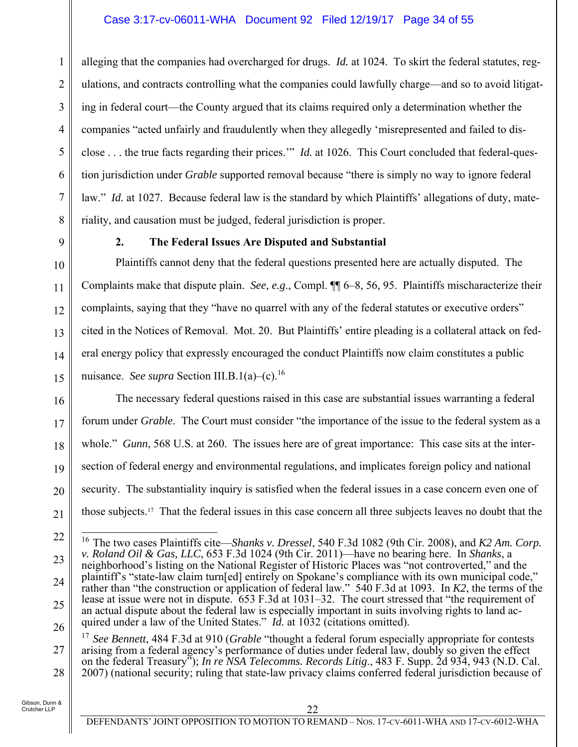### Case 3:17-cv-06011-WHA Document 92 Filed 12/19/17 Page 34 of 55

alleging that the companies had overcharged for drugs. *Id.* at 1024. To skirt the federal statutes, regulations, and contracts controlling what the companies could lawfully charge—and so to avoid litigating in federal court—the County argued that its claims required only a determination whether the companies "acted unfairly and fraudulently when they allegedly 'misrepresented and failed to disclose . . . the true facts regarding their prices.'" *Id.* at 1026. This Court concluded that federal-question jurisdiction under *Grable* supported removal because "there is simply no way to ignore federal law." *Id.* at 1027. Because federal law is the standard by which Plaintiffs' allegations of duty, materiality, and causation must be judged, federal jurisdiction is proper.

1

2

3

4

5

6

7

8

9

10

11

12

13

14

15

#### **2. The Federal Issues Are Disputed and Substantial**

Plaintiffs cannot deny that the federal questions presented here are actually disputed. The Complaints make that dispute plain. *See, e.g*., Compl. ¶¶ 6–8, 56, 95. Plaintiffs mischaracterize their complaints, saying that they "have no quarrel with any of the federal statutes or executive orders" cited in the Notices of Removal. Mot. 20. But Plaintiffs' entire pleading is a collateral attack on federal energy policy that expressly encouraged the conduct Plaintiffs now claim constitutes a public nuisance. *See supra* Section III.B.1(a)–(c).16

16 17 18 19 20 21 The necessary federal questions raised in this case are substantial issues warranting a federal forum under *Grable*. The Court must consider "the importance of the issue to the federal system as a whole." *Gunn*, 568 U.S. at 260. The issues here are of great importance: This case sits at the intersection of federal energy and environmental regulations, and implicates foreign policy and national security. The substantiality inquiry is satisfied when the federal issues in a case concern even one of those subjects.17 That the federal issues in this case concern all three subjects leaves no doubt that the

 $\overline{1}$ 

27 28 17 *See Bennett*, 484 F.3d at 910 (*Grable* "thought a federal forum especially appropriate for contests arising from a federal agency's performance of duties under federal law, doubly so given the effect on the federal Treasury"); *In re NSA Telecomms. Records Litig*., 483 F. Supp. 2d 934, 943 (N.D. Cal. 2007) (national security; ruling that state-law privacy claims conferred federal jurisdiction because of

<sup>22</sup>

<sup>23</sup> 24 25 26 16 The two cases Plaintiffs cite—*Shanks v. Dressel*, 540 F.3d 1082 (9th Cir. 2008), and *K2 Am. Corp. v. Roland Oil & Gas, LLC*, 653 F.3d 1024 (9th Cir. 2011)—have no bearing here. In *Shanks*, a neighborhood's listing on the National Register of Historic Places was "not controverted," and the plaintiff's "state-law claim turn[ed] entirely on Spokane's compliance with its own municipal code," rather than "the construction or application of federal law." 540 F.3d at 1093. In *K2*, the terms of the lease at issue were not in dispute. 653 F.3d at 1031–32. The court stressed that "the requirement of an actual dispute about the federal law is especially important in suits involving rights to land acquired under a law of the United States." *Id.* at 1032 (citations omitted).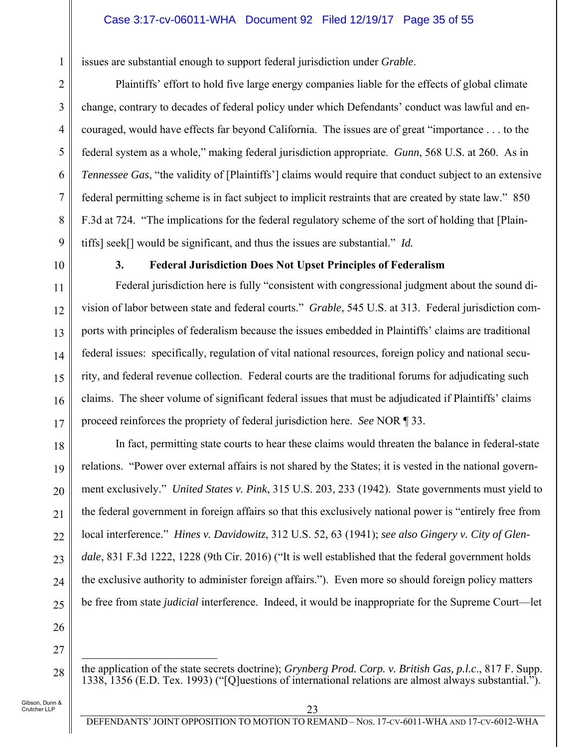issues are substantial enough to support federal jurisdiction under *Grable*.

Plaintiffs' effort to hold five large energy companies liable for the effects of global climate change, contrary to decades of federal policy under which Defendants' conduct was lawful and encouraged, would have effects far beyond California. The issues are of great "importance . . . to the federal system as a whole," making federal jurisdiction appropriate. *Gunn*, 568 U.S*.* at 260. As in *Tennessee Gas*, "the validity of [Plaintiffs'] claims would require that conduct subject to an extensive federal permitting scheme is in fact subject to implicit restraints that are created by state law." 850 F.3d at 724. "The implications for the federal regulatory scheme of the sort of holding that [Plaintiffs] seek[] would be significant, and thus the issues are substantial." *Id.* 

1

2

3

4

5

6

7

8

9

10

11

12

13

14

15

16

17

18

19

20

21

22

23

24

### **3. Federal Jurisdiction Does Not Upset Principles of Federalism**

Federal jurisdiction here is fully "consistent with congressional judgment about the sound division of labor between state and federal courts." *Grable*, 545 U.S. at 313. Federal jurisdiction comports with principles of federalism because the issues embedded in Plaintiffs' claims are traditional federal issues: specifically, regulation of vital national resources, foreign policy and national security, and federal revenue collection. Federal courts are the traditional forums for adjudicating such claims. The sheer volume of significant federal issues that must be adjudicated if Plaintiffs' claims proceed reinforces the propriety of federal jurisdiction here. *See* NOR ¶ 33.

In fact, permitting state courts to hear these claims would threaten the balance in federal-state relations. "Power over external affairs is not shared by the States; it is vested in the national government exclusively." *United States v. Pink*, 315 U.S. 203, 233 (1942). State governments must yield to the federal government in foreign affairs so that this exclusively national power is "entirely free from local interference." *Hines v. Davidowitz*, 312 U.S. 52, 63 (1941); *see also Gingery v. City of Glendale*, 831 F.3d 1222, 1228 (9th Cir. 2016) ("It is well established that the federal government holds the exclusive authority to administer foreign affairs."). Even more so should foreign policy matters be free from state *judicial* interference. Indeed, it would be inappropriate for the Supreme Court—let

25 26 27

28

 $\overline{a}$ 

the application of the state secrets doctrine); *Grynberg Prod. Corp. v. British Gas, p.l.c*., 817 F. Supp. 1338, 1356 (E.D. Tex. 1993) ("[Q]uestions of international relations are almost always substantial.").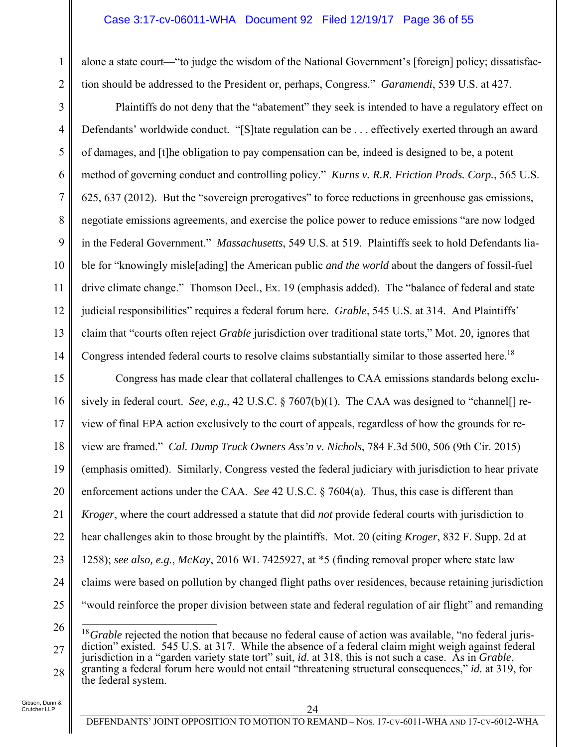#### Case 3:17-cv-06011-WHA Document 92 Filed 12/19/17 Page 36 of 55

alone a state court—"to judge the wisdom of the National Government's [foreign] policy; dissatisfaction should be addressed to the President or, perhaps, Congress." *Garamendi*, 539 U.S. at 427.

Plaintiffs do not deny that the "abatement" they seek is intended to have a regulatory effect on Defendants' worldwide conduct. "[S]tate regulation can be ... effectively exerted through an award of damages, and [t]he obligation to pay compensation can be, indeed is designed to be, a potent method of governing conduct and controlling policy." *Kurns v. R.R. Friction Prods. Corp.*, 565 U.S. 625, 637 (2012). But the "sovereign prerogatives" to force reductions in greenhouse gas emissions, negotiate emissions agreements, and exercise the police power to reduce emissions "are now lodged in the Federal Government." *Massachusetts*, 549 U.S. at 519. Plaintiffs seek to hold Defendants liable for "knowingly misle[ading] the American public *and the world* about the dangers of fossil-fuel drive climate change." Thomson Decl., Ex. 19 (emphasis added). The "balance of federal and state judicial responsibilities" requires a federal forum here. *Grable*, 545 U.S. at 314. And Plaintiffs' claim that "courts often reject *Grable* jurisdiction over traditional state torts," Mot. 20, ignores that Congress intended federal courts to resolve claims substantially similar to those asserted here.<sup>18</sup>

15 16 17 18 19 20 21 22 23 24 25 Congress has made clear that collateral challenges to CAA emissions standards belong exclusively in federal court. *See, e.g.*, 42 U.S.C. § 7607(b)(1). The CAA was designed to "channel[] review of final EPA action exclusively to the court of appeals, regardless of how the grounds for review are framed." *Cal. Dump Truck Owners Ass'n v. Nichols*, 784 F.3d 500, 506 (9th Cir. 2015) (emphasis omitted). Similarly, Congress vested the federal judiciary with jurisdiction to hear private enforcement actions under the CAA. *See* 42 U.S.C. § 7604(a). Thus, this case is different than *Kroger*, where the court addressed a statute that did *not* provide federal courts with jurisdiction to hear challenges akin to those brought by the plaintiffs. Mot. 20 (citing *Kroger*, 832 F. Supp. 2d at 1258); *see also, e.g.*, *McKay*, 2016 WL 7425927, at \*5 (finding removal proper where state law claims were based on pollution by changed flight paths over residences, because retaining jurisdiction "would reinforce the proper division between state and federal regulation of air flight" and remanding

Gibson, Dunn & Crutcher LLP

1

2

3

4

5

6

7

8

9

10

11

12

13

<sup>26</sup> 27 28  $\overline{a}$ <sup>18</sup>*Grable* rejected the notion that because no federal cause of action was available, "no federal jurisdiction" existed. 545 U.S. at 317. While the absence of a federal claim might weigh against federal jurisdiction in a "garden variety state tort" suit, *id*. at 318, this is not such a case. As in *Grable*, granting a federal forum here would not entail "threatening structural consequences," *id.* at 319, for the federal system.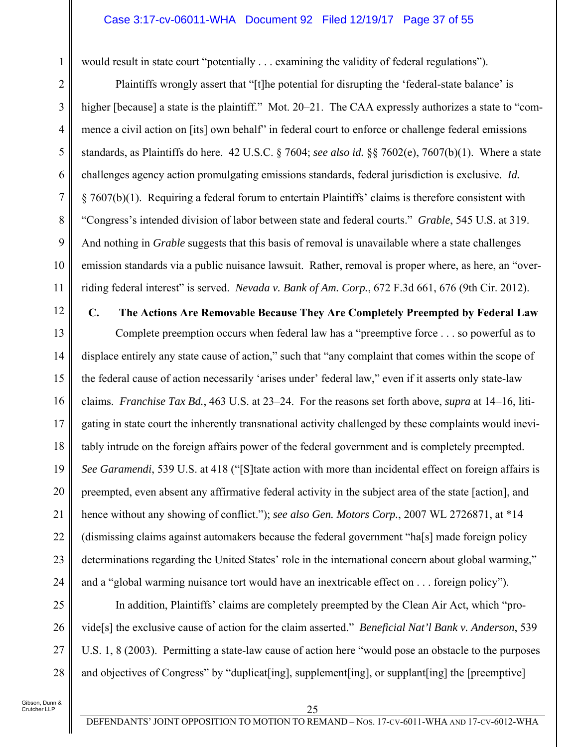#### Case 3:17-cv-06011-WHA Document 92 Filed 12/19/17 Page 37 of 55

would result in state court "potentially . . . examining the validity of federal regulations").

Plaintiffs wrongly assert that "[t]he potential for disrupting the 'federal-state balance' is higher [because] a state is the plaintiff." Mot. 20–21. The CAA expressly authorizes a state to "commence a civil action on [its] own behalf" in federal court to enforce or challenge federal emissions standards, as Plaintiffs do here. 42 U.S.C. § 7604; *see also id.* §§ 7602(e), 7607(b)(1). Where a state challenges agency action promulgating emissions standards, federal jurisdiction is exclusive. *Id.* § 7607(b)(1). Requiring a federal forum to entertain Plaintiffs' claims is therefore consistent with "Congress's intended division of labor between state and federal courts." *Grable*, 545 U.S. at 319. And nothing in *Grable* suggests that this basis of removal is unavailable where a state challenges emission standards via a public nuisance lawsuit. Rather, removal is proper where, as here, an "overriding federal interest" is served. *Nevada v. Bank of Am. Corp.*, 672 F.3d 661, 676 (9th Cir. 2012).

12

1

2

3

4

5

6

7

8

9

10

11

#### **C. The Actions Are Removable Because They Are Completely Preempted by Federal Law**

13 14 15 16 17 18 19 20 21 22 23 24 Complete preemption occurs when federal law has a "preemptive force . . . so powerful as to displace entirely any state cause of action," such that "any complaint that comes within the scope of the federal cause of action necessarily 'arises under' federal law," even if it asserts only state-law claims. *Franchise Tax Bd.*, 463 U.S. at 23–24. For the reasons set forth above, *supra* at 14–16, litigating in state court the inherently transnational activity challenged by these complaints would inevitably intrude on the foreign affairs power of the federal government and is completely preempted. *See Garamendi*, 539 U.S. at 418 ("[S]tate action with more than incidental effect on foreign affairs is preempted, even absent any affirmative federal activity in the subject area of the state [action], and hence without any showing of conflict."); *see also Gen. Motors Corp.*, 2007 WL 2726871, at \*14 (dismissing claims against automakers because the federal government "ha[s] made foreign policy determinations regarding the United States' role in the international concern about global warming," and a "global warming nuisance tort would have an inextricable effect on . . . foreign policy").

25 26 27 28 In addition, Plaintiffs' claims are completely preempted by the Clean Air Act, which "provide[s] the exclusive cause of action for the claim asserted." *Beneficial Nat'l Bank v. Anderson*, 539 U.S. 1, 8 (2003). Permitting a state-law cause of action here "would pose an obstacle to the purposes and objectives of Congress" by "duplicat [ing], supplement [ing], or supplant [ing] the [preemptive]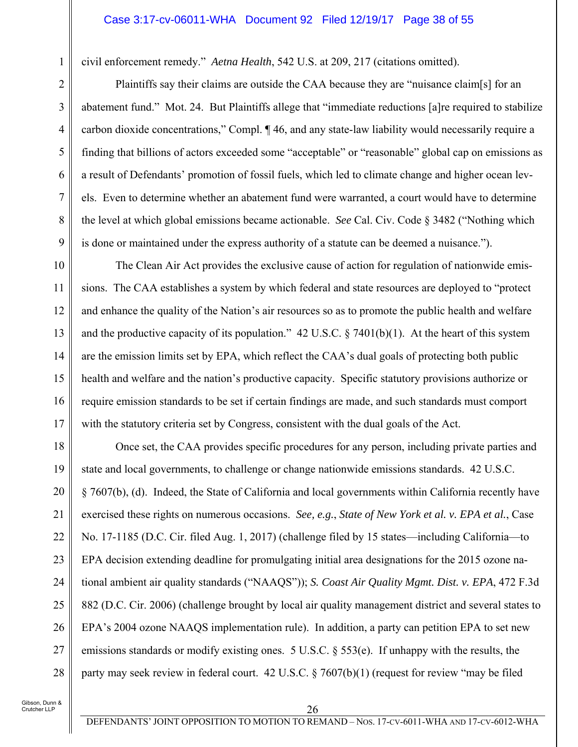civil enforcement remedy." *Aetna Health*, 542 U.S. at 209, 217 (citations omitted).

Plaintiffs say their claims are outside the CAA because they are "nuisance claim[s] for an abatement fund." Mot. 24. But Plaintiffs allege that "immediate reductions [a]re required to stabilize carbon dioxide concentrations," Compl. ¶ 46, and any state-law liability would necessarily require a finding that billions of actors exceeded some "acceptable" or "reasonable" global cap on emissions as a result of Defendants' promotion of fossil fuels, which led to climate change and higher ocean levels. Even to determine whether an abatement fund were warranted, a court would have to determine the level at which global emissions became actionable. *See* Cal. Civ. Code § 3482 ("Nothing which is done or maintained under the express authority of a statute can be deemed a nuisance.").

10 11 12 13 14 15 16 17 The Clean Air Act provides the exclusive cause of action for regulation of nationwide emissions. The CAA establishes a system by which federal and state resources are deployed to "protect and enhance the quality of the Nation's air resources so as to promote the public health and welfare and the productive capacity of its population."  $42 \text{ U.S.C.}$  § 7401(b)(1). At the heart of this system are the emission limits set by EPA, which reflect the CAA's dual goals of protecting both public health and welfare and the nation's productive capacity. Specific statutory provisions authorize or require emission standards to be set if certain findings are made, and such standards must comport with the statutory criteria set by Congress, consistent with the dual goals of the Act.

18 19 20 21 22 23 24 25 26 27 28 Once set, the CAA provides specific procedures for any person, including private parties and state and local governments, to challenge or change nationwide emissions standards. 42 U.S.C. § 7607(b), (d). Indeed, the State of California and local governments within California recently have exercised these rights on numerous occasions. *See, e.g.*, *State of New York et al. v. EPA et al.*, Case No. 17-1185 (D.C. Cir. filed Aug. 1, 2017) (challenge filed by 15 states—including California—to EPA decision extending deadline for promulgating initial area designations for the 2015 ozone national ambient air quality standards ("NAAQS")); *S. Coast Air Quality Mgmt. Dist. v. EPA*, 472 F.3d 882 (D.C. Cir. 2006) (challenge brought by local air quality management district and several states to EPA's 2004 ozone NAAQS implementation rule). In addition, a party can petition EPA to set new emissions standards or modify existing ones. 5 U.S.C. § 553(e). If unhappy with the results, the party may seek review in federal court. 42 U.S.C. § 7607(b)(1) (request for review "may be filed

Gibson, Dunn & Crutcher LLP

1

2

3

4

5

6

7

8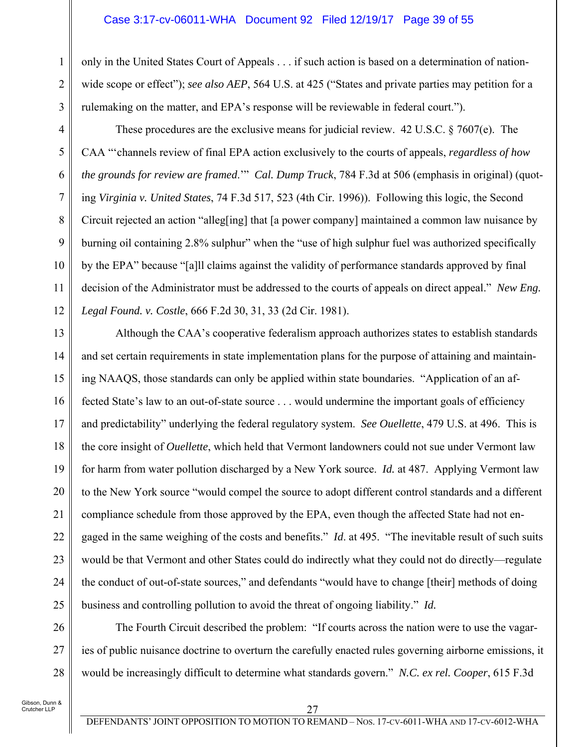#### Case 3:17-cv-06011-WHA Document 92 Filed 12/19/17 Page 39 of 55

only in the United States Court of Appeals . . . if such action is based on a determination of nationwide scope or effect"); *see also AEP*, 564 U.S. at 425 ("States and private parties may petition for a rulemaking on the matter, and EPA's response will be reviewable in federal court.").

These procedures are the exclusive means for judicial review. 42 U.S.C. § 7607(e). The CAA "'channels review of final EPA action exclusively to the courts of appeals, *regardless of how the grounds for review are framed*.'" *Cal. Dump Truck*, 784 F.3d at 506 (emphasis in original) (quoting *Virginia v. United States*, 74 F.3d 517, 523 (4th Cir. 1996)). Following this logic, the Second Circuit rejected an action "alleg[ing] that [a power company] maintained a common law nuisance by burning oil containing 2.8% sulphur" when the "use of high sulphur fuel was authorized specifically by the EPA" because "[a]ll claims against the validity of performance standards approved by final decision of the Administrator must be addressed to the courts of appeals on direct appeal." *New Eng. Legal Found. v. Costle*, 666 F.2d 30, 31, 33 (2d Cir. 1981).

13 14 15 16 17 18 19 20 21 22 23 24 25 Although the CAA's cooperative federalism approach authorizes states to establish standards and set certain requirements in state implementation plans for the purpose of attaining and maintaining NAAQS, those standards can only be applied within state boundaries. "Application of an affected State's law to an out-of-state source . . . would undermine the important goals of efficiency and predictability" underlying the federal regulatory system. *See Ouellette*, 479 U.S. at 496. This is the core insight of *Ouellette*, which held that Vermont landowners could not sue under Vermont law for harm from water pollution discharged by a New York source. *Id.* at 487. Applying Vermont law to the New York source "would compel the source to adopt different control standards and a different compliance schedule from those approved by the EPA, even though the affected State had not engaged in the same weighing of the costs and benefits." *Id*. at 495. "The inevitable result of such suits would be that Vermont and other States could do indirectly what they could not do directly—regulate the conduct of out-of-state sources," and defendants "would have to change [their] methods of doing business and controlling pollution to avoid the threat of ongoing liability." *Id.*

The Fourth Circuit described the problem: "If courts across the nation were to use the vagaries of public nuisance doctrine to overturn the carefully enacted rules governing airborne emissions, it would be increasingly difficult to determine what standards govern." *N.C. ex rel. Cooper*, 615 F.3d

26

27

28

1

2

3

4

5

6

7

8

9

10

11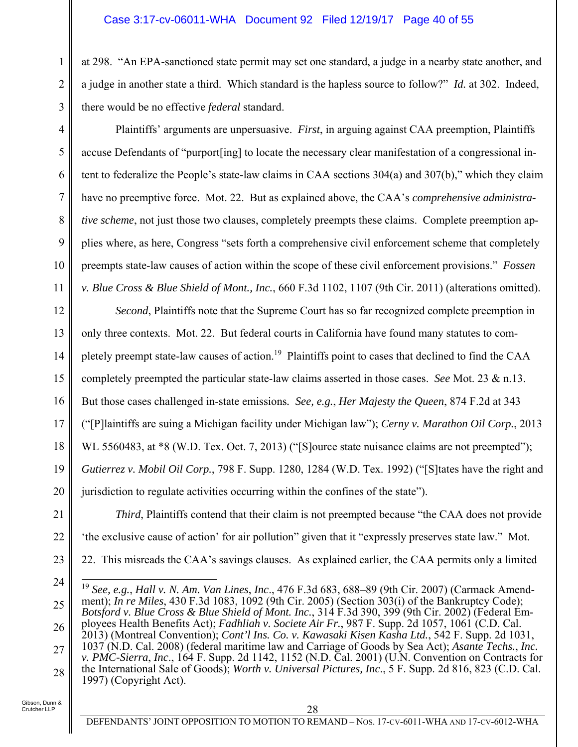at 298. "An EPA-sanctioned state permit may set one standard, a judge in a nearby state another, and a judge in another state a third. Which standard is the hapless source to follow?" *Id.* at 302. Indeed, there would be no effective *federal* standard.

Plaintiffs' arguments are unpersuasive. *First*, in arguing against CAA preemption, Plaintiffs accuse Defendants of "purport[ing] to locate the necessary clear manifestation of a congressional intent to federalize the People's state-law claims in CAA sections 304(a) and 307(b)," which they claim have no preemptive force. Mot. 22. But as explained above, the CAA's *comprehensive administrative scheme*, not just those two clauses, completely preempts these claims. Complete preemption applies where, as here, Congress "sets forth a comprehensive civil enforcement scheme that completely preempts state-law causes of action within the scope of these civil enforcement provisions." *Fossen v. Blue Cross & Blue Shield of Mont., Inc.*, 660 F.3d 1102, 1107 (9th Cir. 2011) (alterations omitted).

12 13 14 15 16 17 18 19 20 *Second*, Plaintiffs note that the Supreme Court has so far recognized complete preemption in only three contexts. Mot. 22. But federal courts in California have found many statutes to completely preempt state-law causes of action.<sup>19</sup> Plaintiffs point to cases that declined to find the CAA completely preempted the particular state-law claims asserted in those cases. *See* Mot. 23 & n.13. But those cases challenged in-state emissions*. See, e.g.*, *Her Majesty the Queen*, 874 F.2d at 343 ("[P]laintiffs are suing a Michigan facility under Michigan law"); *Cerny v. Marathon Oil Corp.*, 2013 WL 5560483, at \*8 (W.D. Tex. Oct. 7, 2013) ("[S]ource state nuisance claims are not preempted"); *Gutierrez v. Mobil Oil Corp.*, 798 F. Supp. 1280, 1284 (W.D. Tex. 1992) ("[S]tates have the right and jurisdiction to regulate activities occurring within the confines of the state").

21 22 23 *Third*, Plaintiffs contend that their claim is not preempted because "the CAA does not provide 'the exclusive cause of action' for air pollution" given that it "expressly preserves state law." Mot. 22. This misreads the CAA's savings clauses. As explained earlier, the CAA permits only a limited

24

1

2

3

4

5

6

7

8

9

10

11

27 28 *v. PMC-Sierra*, *Inc*., 164 F. Supp. 2d 1142, 1152 (N.D. Cal. 2001) (U.N. Convention on Contracts for the International Sale of Goods); *Worth v. Universal Pictures, Inc*., 5 F. Supp. 2d 816, 823 (C.D. Cal. 1997) (Copyright Act).

<sup>25</sup> 26  $\overline{a}$ <sup>19</sup> *See, e.g.*, *Hall v. N. Am. Van Lines*, *Inc*., 476 F.3d 683, 688–89 (9th Cir. 2007) (Carmack Amendment); *In re Miles*, 430 F.3d 1083, 1092 (9th Cir. 2005) (Section 303(i) of the Bankruptcy Code); *Botsford v. Blue Cross & Blue Shield of Mont. Inc.*, 314 F.3d 390, 399 (9th Cir. 2002) (Federal Employees Health Benefits Act); *Fadhliah v. Societe Air Fr.*, 987 F. Supp. 2d 1057, 1061 (C.D. Cal. 2013) (Montreal Convention); *Cont'l Ins. Co. v. Kawasaki Kisen Kasha Ltd.*, 542 F. Supp. 2d 1031, 1037 (N.D. Cal. 2008) (federal maritime law and Carriage of Goods by Sea Act); *Asante Techs.*, *Inc.*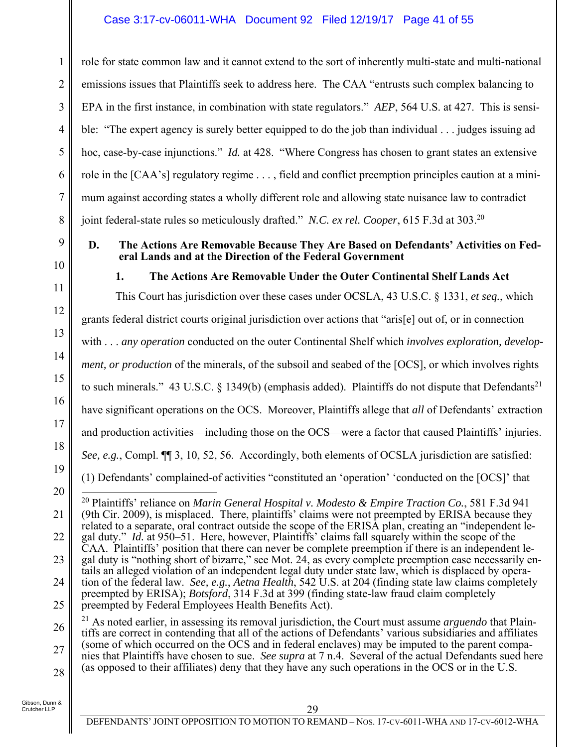### Case 3:17-cv-06011-WHA Document 92 Filed 12/19/17 Page 41 of 55

role for state common law and it cannot extend to the sort of inherently multi-state and multi-national emissions issues that Plaintiffs seek to address here. The CAA "entrusts such complex balancing to EPA in the first instance, in combination with state regulators." *AEP*, 564 U.S. at 427. This is sensible: "The expert agency is surely better equipped to do the job than individual . . . judges issuing ad hoc, case-by-case injunctions." *Id.* at 428. "Where Congress has chosen to grant states an extensive role in the [CAA's] regulatory regime . . . , field and conflict preemption principles caution at a minimum against according states a wholly different role and allowing state nuisance law to contradict joint federal-state rules so meticulously drafted." *N.C. ex rel. Cooper*, 615 F.3d at 303.<sup>20</sup>

9 10

11

12

13

14

15

16

17

18

19

20

21

1

2

3

4

5

6

7

8

**eral Lands and at the Direction of the Federal Government 1. The Actions Are Removable Under the Outer Continental Shelf Lands Act** 

**D. The Actions Are Removable Because They Are Based on Defendants' Activities on Fed-**

This Court has jurisdiction over these cases under OCSLA, 43 U.S.C. § 1331, *et seq.*, which grants federal district courts original jurisdiction over actions that "aris[e] out of, or in connection with . . . *any operation* conducted on the outer Continental Shelf which *involves exploration, development, or production* of the minerals, of the subsoil and seabed of the [OCS], or which involves rights to such minerals." 43 U.S.C. § 1349(b) (emphasis added). Plaintiffs do not dispute that Defendants<sup>21</sup> have significant operations on the OCS. Moreover, Plaintiffs allege that *all* of Defendants' extraction and production activities—including those on the OCS—were a factor that caused Plaintiffs' injuries. *See, e.g.*, Compl.  $\P$ [3, 10, 52, 56. Accordingly, both elements of OCSLA jurisdiction are satisfied: (1) Defendants' complained-of activities "constituted an 'operation' 'conducted on the [OCS]' that  $\overline{\phantom{a}}$ 20 Plaintiffs' reliance on *Marin General Hospital v. Modesto & Empire Traction Co.*, 581 F.3d 941 (9th Cir. 2009), is misplaced. There, plaintiffs' claims were not preempted by ERISA because they

- 22 23 24 related to a separate, oral contract outside the scope of the ERISA plan, creating an "independent legal duty." *Id.* at 950–51. Here, however, Plaintiffs' claims fall squarely within the scope of the CAA. Plaintiffs' position that there can never be complete preemption if there is an independent legal duty is "nothing short of bizarre," see Mot. 24, as every complete preemption case necessarily entails an alleged violation of an independent legal duty under state law, which is displaced by operation of the federal law. *See, e.g.*, *Aetna Health*, 542 U.S. at 204 (finding state law claims completely
- 25 preempted by ERISA); *Botsford*, 314 F.3d at 399 (finding state-law fraud claim completely preempted by Federal Employees Health Benefits Act).
- 26 27 28 21 As noted earlier, in assessing its removal jurisdiction, the Court must assume *arguendo* that Plaintiffs are correct in contending that all of the actions of Defendants' various subsidiaries and affiliates (some of which occurred on the OCS and in federal enclaves) may be imputed to the parent companies that Plaintiffs have chosen to sue. *See supra* at 7 n.4. Several of the actual Defendants sued here (as opposed to their affiliates) deny that they have any such operations in the OCS or in the U.S.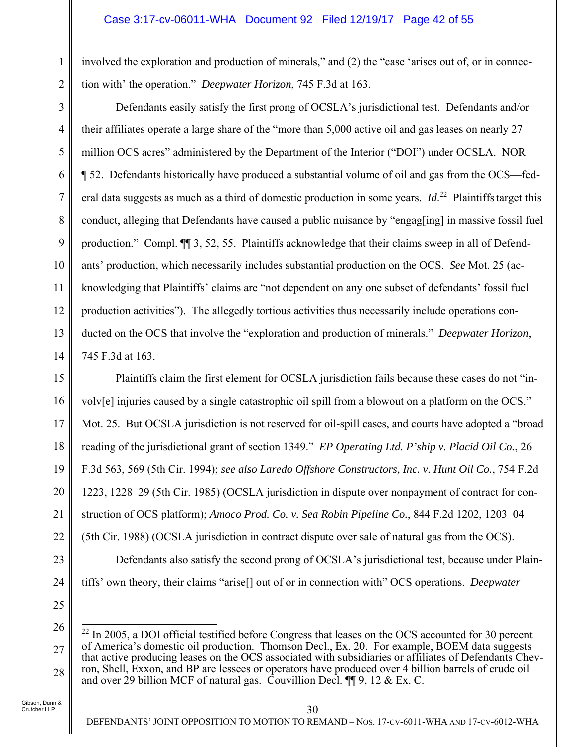#### Case 3:17-cv-06011-WHA Document 92 Filed 12/19/17 Page 42 of 55

involved the exploration and production of minerals," and (2) the "case 'arises out of, or in connection with' the operation." *Deepwater Horizon*, 745 F.3d at 163.

Defendants easily satisfy the first prong of OCSLA's jurisdictional test. Defendants and/or their affiliates operate a large share of the "more than 5,000 active oil and gas leases on nearly 27 million OCS acres" administered by the Department of the Interior ("DOI") under OCSLA. NOR ¶ 52. Defendants historically have produced a substantial volume of oil and gas from the OCS—federal data suggests as much as a third of domestic production in some years. *Id*.<sup>22</sup> Plaintiffs target this conduct, alleging that Defendants have caused a public nuisance by "engag[ing] in massive fossil fuel production." Compl. ¶¶ 3, 52, 55. Plaintiffs acknowledge that their claims sweep in all of Defendants' production, which necessarily includes substantial production on the OCS. *See* Mot. 25 (acknowledging that Plaintiffs' claims are "not dependent on any one subset of defendants' fossil fuel production activities"). The allegedly tortious activities thus necessarily include operations conducted on the OCS that involve the "exploration and production of minerals." *Deepwater Horizon*, 745 F.3d at 163.

15 16 17 18 19 20 21 22 23 Plaintiffs claim the first element for OCSLA jurisdiction fails because these cases do not "involv[e] injuries caused by a single catastrophic oil spill from a blowout on a platform on the OCS." Mot. 25. But OCSLA jurisdiction is not reserved for oil-spill cases, and courts have adopted a "broad reading of the jurisdictional grant of section 1349." *EP Operating Ltd. P'ship v. Placid Oil Co.*, 26 F.3d 563, 569 (5th Cir. 1994); *see also Laredo Offshore Constructors, Inc. v. Hunt Oil Co.*, 754 F.2d 1223, 1228–29 (5th Cir. 1985) (OCSLA jurisdiction in dispute over nonpayment of contract for construction of OCS platform); *Amoco Prod. Co. v. Sea Robin Pipeline Co.*, 844 F.2d 1202, 1203–04 (5th Cir. 1988) (OCSLA jurisdiction in contract dispute over sale of natural gas from the OCS). Defendants also satisfy the second prong of OCSLA's jurisdictional test, because under Plain-

tiffs' own theory, their claims "arise[] out of or in connection with" OCS operations. *Deepwater* 

25

24

1

2

3

4

5

6

7

8

9

10

11

12

13

14

<sup>26</sup> 27 28  $\overline{a}$  $^{22}$  In 2005, a DOI official testified before Congress that leases on the OCS accounted for 30 percent of America's domestic oil production. Thomson Decl., Ex. 20. For example, BOEM data suggests that active producing leases on the OCS associated with subsidiaries or affiliates of Defendants Chevron, Shell, Exxon, and BP are lessees or operators have produced over 4 billion barrels of crude oil and over 29 billion MCF of natural gas. Couvillion Decl. ¶¶ 9, 12 & Ex. C.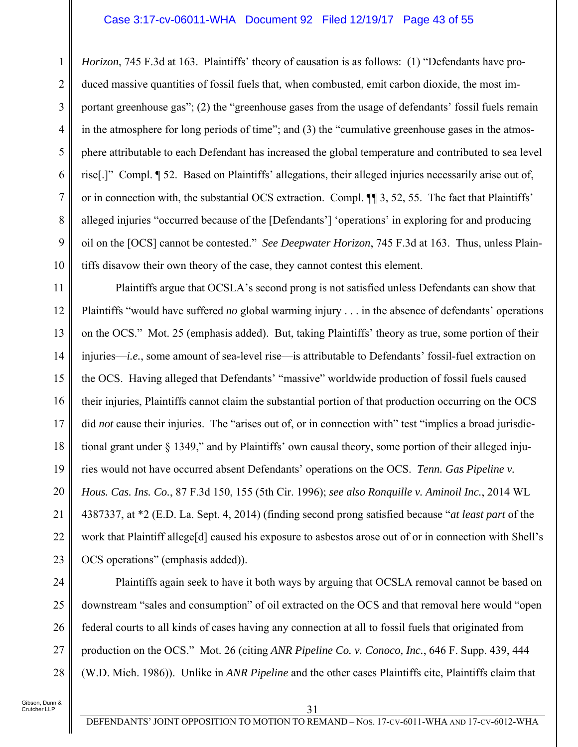#### Case 3:17-cv-06011-WHA Document 92 Filed 12/19/17 Page 43 of 55

*Horizon*, 745 F.3d at 163. Plaintiffs' theory of causation is as follows: (1) "Defendants have produced massive quantities of fossil fuels that, when combusted, emit carbon dioxide, the most important greenhouse gas"; (2) the "greenhouse gases from the usage of defendants' fossil fuels remain in the atmosphere for long periods of time"; and (3) the "cumulative greenhouse gases in the atmosphere attributable to each Defendant has increased the global temperature and contributed to sea level rise[.]" Compl. ¶ 52. Based on Plaintiffs' allegations, their alleged injuries necessarily arise out of, or in connection with, the substantial OCS extraction. Compl. ¶¶ 3, 52, 55. The fact that Plaintiffs' alleged injuries "occurred because of the [Defendants'] 'operations' in exploring for and producing oil on the [OCS] cannot be contested." *See Deepwater Horizon*, 745 F.3d at 163. Thus, unless Plaintiffs disavow their own theory of the case, they cannot contest this element.

11 12 13 14 15 16 17 18 19 20 21 22 23 Plaintiffs argue that OCSLA's second prong is not satisfied unless Defendants can show that Plaintiffs "would have suffered *no* global warming injury . . . in the absence of defendants' operations on the OCS." Mot. 25 (emphasis added). But, taking Plaintiffs' theory as true, some portion of their injuries—*i.e.*, some amount of sea-level rise—is attributable to Defendants' fossil-fuel extraction on the OCS. Having alleged that Defendants' "massive" worldwide production of fossil fuels caused their injuries, Plaintiffs cannot claim the substantial portion of that production occurring on the OCS did *not* cause their injuries. The "arises out of, or in connection with" test "implies a broad jurisdictional grant under § 1349," and by Plaintiffs' own causal theory, some portion of their alleged injuries would not have occurred absent Defendants' operations on the OCS. *Tenn. Gas Pipeline v. Hous. Cas. Ins. Co.*, 87 F.3d 150, 155 (5th Cir. 1996); *see also Ronquille v. Aminoil Inc.*, 2014 WL 4387337, at \*2 (E.D. La. Sept. 4, 2014) (finding second prong satisfied because "*at least part* of the work that Plaintiff allege[d] caused his exposure to asbestos arose out of or in connection with Shell's OCS operations" (emphasis added)).

24

25

26

27

28

1

2

3

4

5

6

7

8

9

10

Plaintiffs again seek to have it both ways by arguing that OCSLA removal cannot be based on downstream "sales and consumption" of oil extracted on the OCS and that removal here would "open federal courts to all kinds of cases having any connection at all to fossil fuels that originated from production on the OCS." Mot. 26 (citing *ANR Pipeline Co. v. Conoco, Inc.*, 646 F. Supp. 439, 444 (W.D. Mich. 1986)). Unlike in *ANR Pipeline* and the other cases Plaintiffs cite, Plaintiffs claim that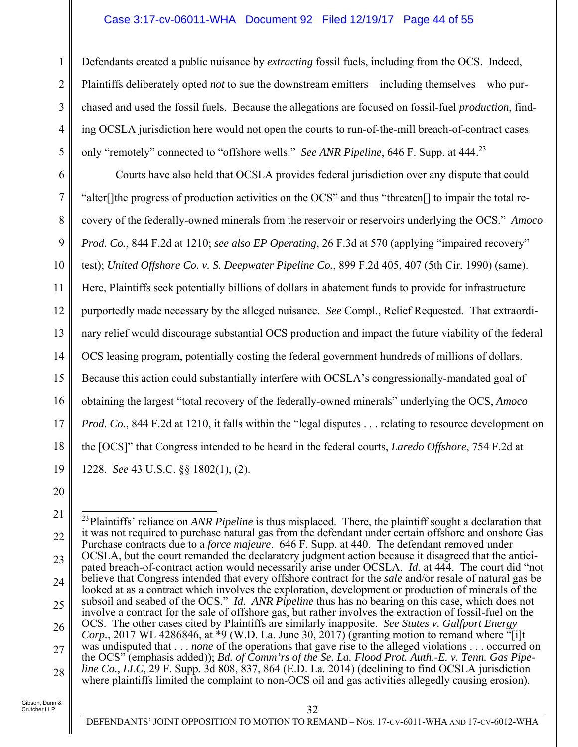#### Case 3:17-cv-06011-WHA Document 92 Filed 12/19/17 Page 44 of 55

Defendants created a public nuisance by *extracting* fossil fuels, including from the OCS. Indeed, Plaintiffs deliberately opted *not* to sue the downstream emitters—including themselves—who purchased and used the fossil fuels. Because the allegations are focused on fossil-fuel *production*, finding OCSLA jurisdiction here would not open the courts to run-of-the-mill breach-of-contract cases only "remotely" connected to "offshore wells." *See ANR Pipeline*, 646 F. Supp. at 444.<sup>23</sup>

6 7 8 9 10 11 12 13 14 15 16 17 18 19 Courts have also held that OCSLA provides federal jurisdiction over any dispute that could "alter[]the progress of production activities on the OCS" and thus "threaten[] to impair the total recovery of the federally-owned minerals from the reservoir or reservoirs underlying the OCS." *Amoco Prod. Co.*, 844 F.2d at 1210; *see also EP Operating*, 26 F.3d at 570 (applying "impaired recovery" test); *United Offshore Co. v. S. Deepwater Pipeline Co.*, 899 F.2d 405, 407 (5th Cir. 1990) (same). Here, Plaintiffs seek potentially billions of dollars in abatement funds to provide for infrastructure purportedly made necessary by the alleged nuisance. *See* Compl., Relief Requested. That extraordinary relief would discourage substantial OCS production and impact the future viability of the federal OCS leasing program, potentially costing the federal government hundreds of millions of dollars. Because this action could substantially interfere with OCSLA's congressionally-mandated goal of obtaining the largest "total recovery of the federally-owned minerals" underlying the OCS, *Amoco Prod. Co.*, 844 F.2d at 1210, it falls within the "legal disputes . . . relating to resource development on the [OCS]" that Congress intended to be heard in the federal courts, *Laredo Offshore*, 754 F.2d at 1228. *See* 43 U.S.C. §§ 1802(1), (2).

20

1

2

3

4

<sup>21</sup> 22 23 24 25 26 27 28  $\overline{a}$ <sup>23</sup> Plaintiffs' reliance on *ANR Pipeline* is thus misplaced. There, the plaintiff sought a declaration that it was not required to purchase natural gas from the defendant under certain offshore and onshore Gas Purchase contracts due to a *force majeure*. 646 F. Supp. at 440. The defendant removed under OCSLA, but the court remanded the declaratory judgment action because it disagreed that the anticipated breach-of-contract action would necessarily arise under OCSLA. *Id.* at 444. The court did "not believe that Congress intended that every offshore contract for the *sale* and/or resale of natural gas be looked at as a contract which involves the exploration, development or production of minerals of the subsoil and seabed of the OCS." *Id. ANR Pipeline* thus has no bearing on this case, which does not involve a contract for the sale of offshore gas, but rather involves the extraction of fossil-fuel on the OCS. The other cases cited by Plaintiffs are similarly inapposite. *See Stutes v. Gulfport Energy Corp.*, 2017 WL 4286846, at \*9 (W.D. La. June 30, 2017) (granting motion to remand where "[i]t was undisputed that . . . *none* of the operations that gave rise to the alleged violations . . . occurred on the OCS" (emphasis added)); *Bd. of Comm'rs of the Se. La. Flood Prot. Auth.-E. v. Tenn. Gas Pipeline Co., LLC*, 29 F. Supp. 3d 808, 837, 864 (E.D. La. 2014) (declining to find OCSLA jurisdiction where plaintiffs limited the complaint to non-OCS oil and gas activities allegedly causing erosion).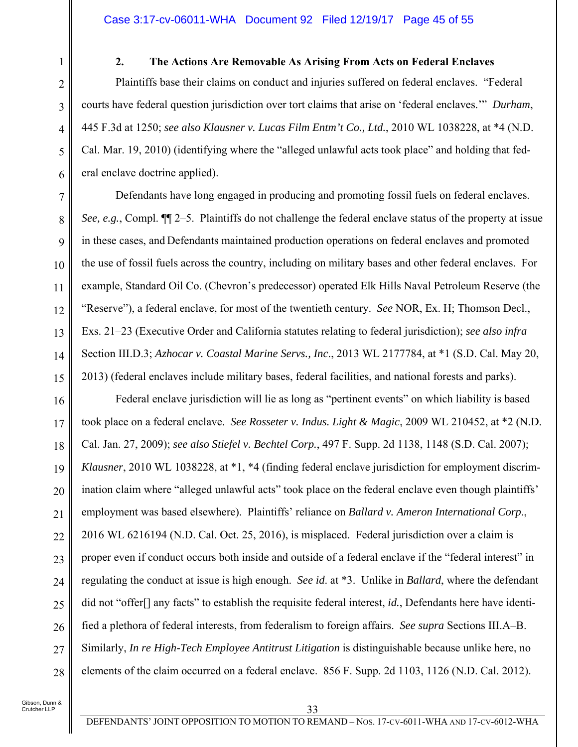#### **2. The Actions Are Removable As Arising From Acts on Federal Enclaves**

Plaintiffs base their claims on conduct and injuries suffered on federal enclaves. "Federal courts have federal question jurisdiction over tort claims that arise on 'federal enclaves.'" *Durham*, 445 F.3d at 1250; *see also Klausner v. Lucas Film Entm't Co., Ltd.*, 2010 WL 1038228, at \*4 (N.D. Cal. Mar. 19, 2010) (identifying where the "alleged unlawful acts took place" and holding that federal enclave doctrine applied).

Defendants have long engaged in producing and promoting fossil fuels on federal enclaves. *See, e.g.*, Compl. ¶¶ 2–5. Plaintiffs do not challenge the federal enclave status of the property at issue in these cases, and Defendants maintained production operations on federal enclaves and promoted the use of fossil fuels across the country, including on military bases and other federal enclaves. For example, Standard Oil Co. (Chevron's predecessor) operated Elk Hills Naval Petroleum Reserve (the "Reserve"), a federal enclave, for most of the twentieth century. *See* NOR, Ex. H; Thomson Decl., Exs. 21–23 (Executive Order and California statutes relating to federal jurisdiction); *see also infra* Section III.D.3; *Azhocar v. Coastal Marine Servs., Inc*., 2013 WL 2177784, at \*1 (S.D. Cal. May 20, 2013) (federal enclaves include military bases, federal facilities, and national forests and parks).

16 17 18 19 20 21 22 23 24 25 26 27 28 Federal enclave jurisdiction will lie as long as "pertinent events" on which liability is based took place on a federal enclave. *See Rosseter v. Indus. Light & Magic*, 2009 WL 210452, at \*2 (N.D. Cal. Jan. 27, 2009); *see also Stiefel v. Bechtel Corp.*, 497 F. Supp. 2d 1138, 1148 (S.D. Cal. 2007); *Klausner*, 2010 WL 1038228, at \*1, \*4 (finding federal enclave jurisdiction for employment discrimination claim where "alleged unlawful acts" took place on the federal enclave even though plaintiffs' employment was based elsewhere). Plaintiffs' reliance on *Ballard v. Ameron International Corp*., 2016 WL 6216194 (N.D. Cal. Oct. 25, 2016), is misplaced. Federal jurisdiction over a claim is proper even if conduct occurs both inside and outside of a federal enclave if the "federal interest" in regulating the conduct at issue is high enough. *See id*. at \*3. Unlike in *Ballard*, where the defendant did not "offer[] any facts" to establish the requisite federal interest, *id.*, Defendants here have identified a plethora of federal interests, from federalism to foreign affairs. *See supra* Sections III.A–B. Similarly, *In re High-Tech Employee Antitrust Litigation* is distinguishable because unlike here, no elements of the claim occurred on a federal enclave. 856 F. Supp. 2d 1103, 1126 (N.D. Cal. 2012).

8

9

10

11

12

13

14

15

1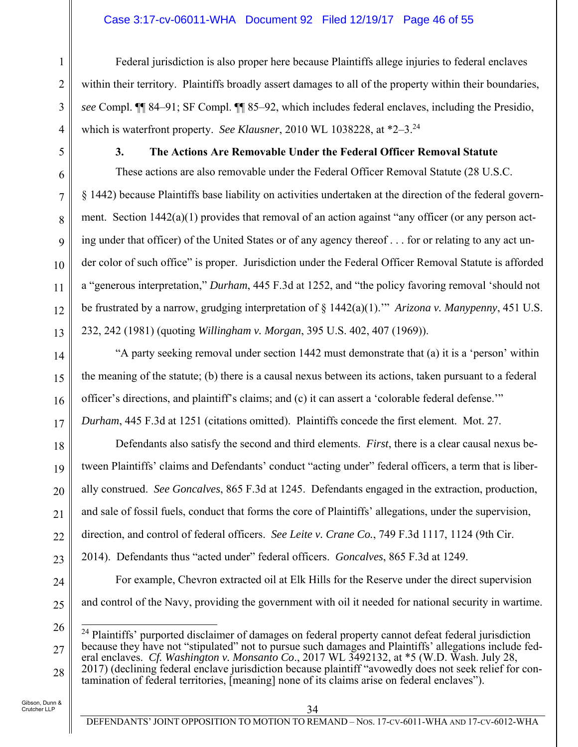### Case 3:17-cv-06011-WHA Document 92 Filed 12/19/17 Page 46 of 55

Federal jurisdiction is also proper here because Plaintiffs allege injuries to federal enclaves within their territory. Plaintiffs broadly assert damages to all of the property within their boundaries, *see* Compl. ¶¶ 84–91; SF Compl. ¶¶ 85–92, which includes federal enclaves, including the Presidio, which is waterfront property. *See Klausner*, 2010 WL 1038228, at  $*2-3$ .<sup>24</sup>

### **3. The Actions Are Removable Under the Federal Officer Removal Statute**

These actions are also removable under the Federal Officer Removal Statute (28 U.S.C. § 1442) because Plaintiffs base liability on activities undertaken at the direction of the federal government. Section 1442(a)(1) provides that removal of an action against "any officer (or any person acting under that officer) of the United States or of any agency thereof . . . for or relating to any act under color of such office" is proper. Jurisdiction under the Federal Officer Removal Statute is afforded a "generous interpretation," *Durham*, 445 F.3d at 1252, and "the policy favoring removal 'should not be frustrated by a narrow, grudging interpretation of § 1442(a)(1).'" *Arizona v. Manypenny*, 451 U.S. 232, 242 (1981) (quoting *Willingham v. Morgan*, 395 U.S. 402, 407 (1969)).

"A party seeking removal under section 1442 must demonstrate that (a) it is a 'person' within the meaning of the statute; (b) there is a causal nexus between its actions, taken pursuant to a federal officer's directions, and plaintiff's claims; and (c) it can assert a 'colorable federal defense.'" *Durham*, 445 F.3d at 1251 (citations omitted). Plaintiffs concede the first element. Mot. 27.

Defendants also satisfy the second and third elements. *First*, there is a clear causal nexus between Plaintiffs' claims and Defendants' conduct "acting under" federal officers, a term that is liberally construed. *See Goncalves*, 865 F.3d at 1245. Defendants engaged in the extraction, production, and sale of fossil fuels, conduct that forms the core of Plaintiffs' allegations, under the supervision, direction, and control of federal officers. *See Leite v. Crane Co.*, 749 F.3d 1117, 1124 (9th Cir.

2014). Defendants thus "acted under" federal officers. *Goncalves*, 865 F.3d at 1249.

24

1

2

3

4

5

6

7

8

9

10

11

12

13

14

15

16

17

18

19

20

21

22

23

25

and control of the Navy, providing the government with oil it needed for national security in wartime.

For example, Chevron extracted oil at Elk Hills for the Reserve under the direct supervision

<sup>26</sup> 27 28  $\overline{a}$ <sup>24</sup> Plaintiffs' purported disclaimer of damages on federal property cannot defeat federal jurisdiction because they have not "stipulated" not to pursue such damages and Plaintiffs' allegations include federal enclaves. *Cf. Washington v. Monsanto Co*., 2017 WL 3492132, at \*5 (W.D. Wash. July 28, 2017) (declining federal enclave jurisdiction because plaintiff "avowedly does not seek relief for contamination of federal territories, [meaning] none of its claims arise on federal enclaves").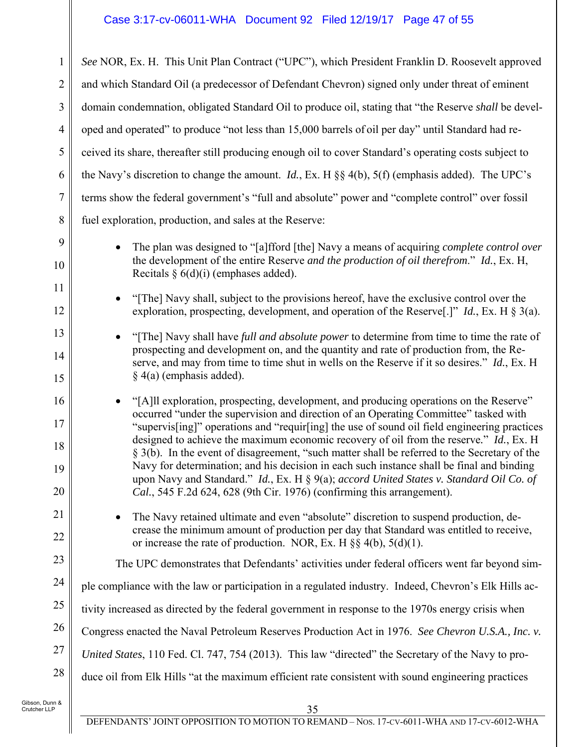| 1                          | See NOR, Ex. H. This Unit Plan Contract ("UPC"), which President Franklin D. Roosevelt approved                                                                                                                                                                                                                                                                                                                                                                                                                                                                                                                                                                                                                                                  |
|----------------------------|--------------------------------------------------------------------------------------------------------------------------------------------------------------------------------------------------------------------------------------------------------------------------------------------------------------------------------------------------------------------------------------------------------------------------------------------------------------------------------------------------------------------------------------------------------------------------------------------------------------------------------------------------------------------------------------------------------------------------------------------------|
| 2                          | and which Standard Oil (a predecessor of Defendant Chevron) signed only under threat of eminent                                                                                                                                                                                                                                                                                                                                                                                                                                                                                                                                                                                                                                                  |
| 3                          | domain condemnation, obligated Standard Oil to produce oil, stating that "the Reserve shall be devel-                                                                                                                                                                                                                                                                                                                                                                                                                                                                                                                                                                                                                                            |
| $\overline{4}$             | oped and operated" to produce "not less than 15,000 barrels of oil per day" until Standard had re-                                                                                                                                                                                                                                                                                                                                                                                                                                                                                                                                                                                                                                               |
| 5                          | ceived its share, thereafter still producing enough oil to cover Standard's operating costs subject to                                                                                                                                                                                                                                                                                                                                                                                                                                                                                                                                                                                                                                           |
| 6                          | the Navy's discretion to change the amount. <i>Id.</i> , Ex. H $\S$ 4(b), 5(f) (emphasis added). The UPC's                                                                                                                                                                                                                                                                                                                                                                                                                                                                                                                                                                                                                                       |
| $\overline{7}$             | terms show the federal government's "full and absolute" power and "complete control" over fossil                                                                                                                                                                                                                                                                                                                                                                                                                                                                                                                                                                                                                                                 |
| 8                          | fuel exploration, production, and sales at the Reserve:                                                                                                                                                                                                                                                                                                                                                                                                                                                                                                                                                                                                                                                                                          |
| 9<br>10                    | The plan was designed to "[a]fford [the] Navy a means of acquiring <i>complete control over</i><br>the development of the entire Reserve and the production of oil therefrom." Id., Ex. H,<br>Recitals $\S 6(d)(i)$ (emphases added).                                                                                                                                                                                                                                                                                                                                                                                                                                                                                                            |
| 11<br>12                   | "[The] Navy shall, subject to the provisions hereof, have the exclusive control over the<br>exploration, prospecting, development, and operation of the Reserve <sup>[.]"</sup> <i>Id.</i> , Ex. H $\S$ 3(a).                                                                                                                                                                                                                                                                                                                                                                                                                                                                                                                                    |
| 13<br>14<br>15             | "[The] Navy shall have full and absolute power to determine from time to time the rate of<br>prospecting and development on, and the quantity and rate of production from, the Re-<br>serve, and may from time to time shut in wells on the Reserve if it so desires." Id., Ex. H<br>$\S$ 4(a) (emphasis added).                                                                                                                                                                                                                                                                                                                                                                                                                                 |
| 16<br>17<br>18<br>19<br>20 | "[A] exploration, prospecting, development, and producing operations on the Reserve"<br>occurred "under the supervision and direction of an Operating Committee" tasked with<br>"supervis[ing]" operations and "requir[ing] the use of sound oil field engineering practices<br>designed to achieve the maximum economic recovery of oil from the reserve." <i>Id.</i> , Ex. H<br>§ 3(b). In the event of disagreement, "such matter shall be referred to the Secretary of the<br>Navy for determination; and his decision in each such instance shall be final and binding<br>upon Navy and Standard." Id., Ex. H § 9(a); accord United States v. Standard Oil Co. of<br>Cal., 545 F.2d 624, 628 (9th Cir. 1976) (confirming this arrangement). |
| 21<br>22                   | The Navy retained ultimate and even "absolute" discretion to suspend production, de-<br>crease the minimum amount of production per day that Standard was entitled to receive,<br>or increase the rate of production. NOR, Ex. H $\S$ 4(b), 5(d)(1).                                                                                                                                                                                                                                                                                                                                                                                                                                                                                             |
| 23                         | The UPC demonstrates that Defendants' activities under federal officers went far beyond sim-                                                                                                                                                                                                                                                                                                                                                                                                                                                                                                                                                                                                                                                     |
| 24                         | ple compliance with the law or participation in a regulated industry. Indeed, Chevron's Elk Hills ac-                                                                                                                                                                                                                                                                                                                                                                                                                                                                                                                                                                                                                                            |
| 25                         | tivity increased as directed by the federal government in response to the 1970s energy crisis when                                                                                                                                                                                                                                                                                                                                                                                                                                                                                                                                                                                                                                               |
| 26                         | Congress enacted the Naval Petroleum Reserves Production Act in 1976. See Chevron U.S.A., Inc. v.                                                                                                                                                                                                                                                                                                                                                                                                                                                                                                                                                                                                                                                |
| 27                         | United States, 110 Fed. Cl. 747, 754 (2013). This law "directed" the Secretary of the Navy to pro-                                                                                                                                                                                                                                                                                                                                                                                                                                                                                                                                                                                                                                               |
| 28                         | duce oil from Elk Hills "at the maximum efficient rate consistent with sound engineering practices                                                                                                                                                                                                                                                                                                                                                                                                                                                                                                                                                                                                                                               |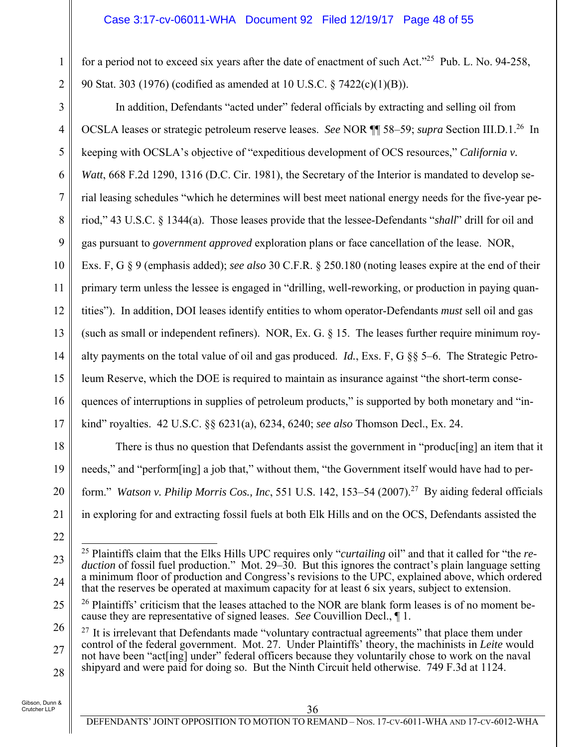### Case 3:17-cv-06011-WHA Document 92 Filed 12/19/17 Page 48 of 55

for a period not to exceed six years after the date of enactment of such Act."25 Pub. L. No. 94-258, 90 Stat. 303 (1976) (codified as amended at 10 U.S.C. § 7422(c)(1)(B)).

3 4 5 6 7 8 9 10 11 12 13 14 15 16 17 In addition, Defendants "acted under" federal officials by extracting and selling oil from OCSLA leases or strategic petroleum reserve leases. *See* NOR ¶¶ 58–59; *supra* Section III.D.1.26 In keeping with OCSLA's objective of "expeditious development of OCS resources," *California v. Watt*, 668 F.2d 1290, 1316 (D.C. Cir. 1981), the Secretary of the Interior is mandated to develop serial leasing schedules "which he determines will best meet national energy needs for the five-year period," 43 U.S.C. § 1344(a). Those leases provide that the lessee-Defendants "*shall*" drill for oil and gas pursuant to *government approved* exploration plans or face cancellation of the lease. NOR, Exs. F, G § 9 (emphasis added); *see also* 30 C.F.R. § 250.180 (noting leases expire at the end of their primary term unless the lessee is engaged in "drilling, well-reworking, or production in paying quantities"). In addition, DOI leases identify entities to whom operator-Defendants *must* sell oil and gas (such as small or independent refiners). NOR, Ex. G. § 15. The leases further require minimum royalty payments on the total value of oil and gas produced. *Id.*, Exs. F, G §§ 5–6. The Strategic Petroleum Reserve, which the DOE is required to maintain as insurance against "the short-term consequences of interruptions in supplies of petroleum products," is supported by both monetary and "inkind" royalties. 42 U.S.C. §§ 6231(a), 6234, 6240; *see also* Thomson Decl., Ex. 24.

There is thus no question that Defendants assist the government in "produc[ing] an item that it needs," and "perform[ing] a job that," without them, "the Government itself would have had to perform." *Watson v. Philip Morris Cos., Inc*, 551 U.S. 142, 153–54 (2007).27 By aiding federal officials in exploring for and extracting fossil fuels at both Elk Hills and on the OCS, Defendants assisted the

Gibson, Dunn & Crutcher LLP

18

19

20

21

22

1

<sup>23</sup> 24  $\overline{\phantom{a}}$ 25 Plaintiffs claim that the Elks Hills UPC requires only "*curtailing* oil" and that it called for "the *reduction* of fossil fuel production." Mot. 29–30. But this ignores the contract's plain language setting a minimum floor of production and Congress's revisions to the UPC, explained above, which ordered that the reserves be operated at maximum capacity for at least 6 six years, subject to extension.

<sup>25</sup>  $26$  Plaintiffs' criticism that the leases attached to the NOR are blank form leases is of no moment because they are representative of signed leases. *See* Couvillion Decl., ¶ 1.

<sup>26</sup> 27 28  $27$  It is irrelevant that Defendants made "voluntary contractual agreements" that place them under control of the federal government. Mot. 27. Under Plaintiffs' theory, the machinists in *Leite* would not have been "act[ing] under" federal officers because they voluntarily chose to work on the naval shipyard and were paid for doing so. But the Ninth Circuit held otherwise. 749 F.3d at 1124.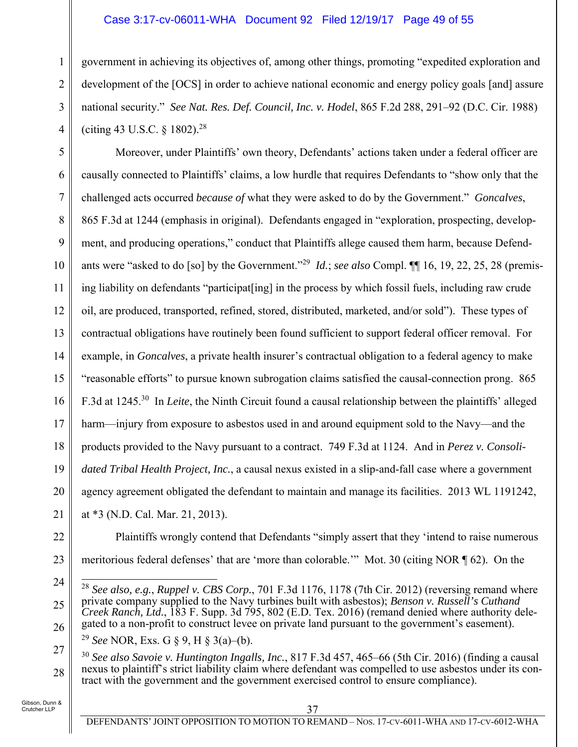#### Case 3:17-cv-06011-WHA Document 92 Filed 12/19/17 Page 49 of 55

government in achieving its objectives of, among other things, promoting "expedited exploration and development of the [OCS] in order to achieve national economic and energy policy goals [and] assure national security." *See Nat. Res. Def. Council, Inc. v. Hodel*, 865 F.2d 288, 291–92 (D.C. Cir. 1988) (citing 43 U.S.C. § 1802).28

5 6 7 8 9 10 11 12 13 14 15 16 17 18 19 20 21 Moreover, under Plaintiffs' own theory, Defendants' actions taken under a federal officer are causally connected to Plaintiffs' claims, a low hurdle that requires Defendants to "show only that the challenged acts occurred *because of* what they were asked to do by the Government." *Goncalves*, 865 F.3d at 1244 (emphasis in original). Defendants engaged in "exploration, prospecting, development, and producing operations," conduct that Plaintiffs allege caused them harm, because Defendants were "asked to do [so] by the Government."29 *Id.*; *see also* Compl. ¶¶ 16, 19, 22, 25, 28 (premising liability on defendants "participat [ing] in the process by which fossil fuels, including raw crude oil, are produced, transported, refined, stored, distributed, marketed, and/or sold"). These types of contractual obligations have routinely been found sufficient to support federal officer removal. For example, in *Goncalves*, a private health insurer's contractual obligation to a federal agency to make "reasonable efforts" to pursue known subrogation claims satisfied the causal-connection prong. 865 F.3d at 1245.30 In *Leite*, the Ninth Circuit found a causal relationship between the plaintiffs' alleged harm—injury from exposure to asbestos used in and around equipment sold to the Navy—and the products provided to the Navy pursuant to a contract. 749 F.3d at 1124. And in *Perez v. Consolidated Tribal Health Project, Inc.*, a causal nexus existed in a slip-and-fall case where a government agency agreement obligated the defendant to maintain and manage its facilities. 2013 WL 1191242, at \*3 (N.D. Cal. Mar. 21, 2013).

22

1

2

3

4

23

24

25

26

27

28

meritorious federal defenses' that are 'more than colorable.'" Mot. 30 (citing NOR ¶ 62). On the

Plaintiffs wrongly contend that Defendants "simply assert that they 'intend to raise numerous

<sup>30</sup> *See also Savoie v. Huntington Ingalls, Inc.*, 817 F.3d 457, 465–66 (5th Cir. 2016) (finding a causal nexus to plaintiff's strict liability claim where defendant was compelled to use asbestos under its contract with the government and the government exercised control to ensure compliance).

 $\overline{a}$ <sup>28</sup> *See also, e.g.*, *Ruppel v. CBS Corp.*, 701 F.3d 1176, 1178 (7th Cir. 2012) (reversing remand where private company supplied to the Navy turbines built with asbestos); *Benson v. Russell's Cuthand Creek Ranch, Ltd.*, 183 F. Supp. 3d 795, 802 (E.D. Tex. 2016) (remand denied where authority delegated to a non-profit to construct levee on private land pursuant to the government's easement).

<sup>29</sup> *See* NOR, Exs. G § 9, H § 3(a)–(b).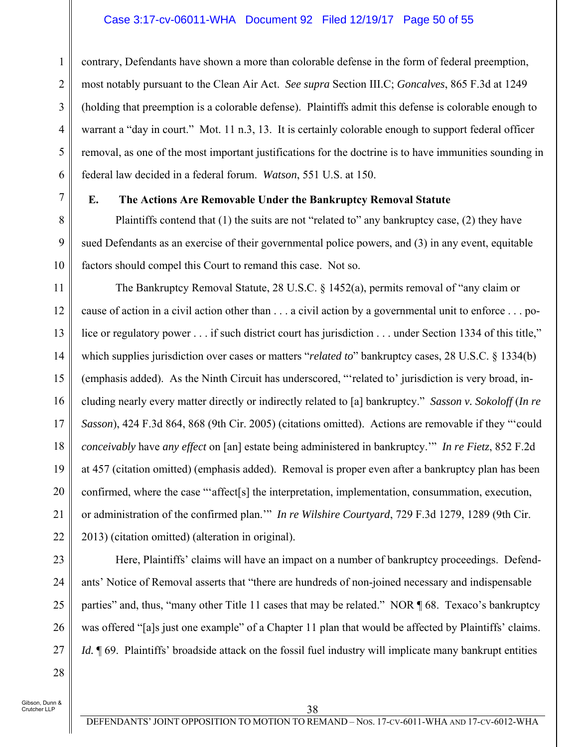#### Case 3:17-cv-06011-WHA Document 92 Filed 12/19/17 Page 50 of 55

contrary, Defendants have shown a more than colorable defense in the form of federal preemption, most notably pursuant to the Clean Air Act. *See supra* Section III.C; *Goncalves*, 865 F.3d at 1249 (holding that preemption is a colorable defense). Plaintiffs admit this defense is colorable enough to warrant a "day in court." Mot. 11 n.3, 13. It is certainly colorable enough to support federal officer removal, as one of the most important justifications for the doctrine is to have immunities sounding in federal law decided in a federal forum. *Watson*, 551 U.S. at 150.

7

1

2

3

4

5

6

8

9

10

#### **E. The Actions Are Removable Under the Bankruptcy Removal Statute**

Plaintiffs contend that (1) the suits are not "related to" any bankruptcy case, (2) they have sued Defendants as an exercise of their governmental police powers, and (3) in any event, equitable factors should compel this Court to remand this case. Not so.

11 12 13 14 15 16 17 18 19 20 21 22 The Bankruptcy Removal Statute, 28 U.S.C. § 1452(a), permits removal of "any claim or cause of action in a civil action other than . . . a civil action by a governmental unit to enforce . . . police or regulatory power . . . if such district court has jurisdiction . . . under Section 1334 of this title," which supplies jurisdiction over cases or matters "*related to*" bankruptcy cases, 28 U.S.C. § 1334(b) (emphasis added). As the Ninth Circuit has underscored, "'related to' jurisdiction is very broad, including nearly every matter directly or indirectly related to [a] bankruptcy." *Sasson v. Sokoloff* (*In re Sasson*), 424 F.3d 864, 868 (9th Cir. 2005) (citations omitted). Actions are removable if they "'could *conceivably* have *any effect* on [an] estate being administered in bankruptcy.'" *In re Fietz*, 852 F.2d at 457 (citation omitted) (emphasis added). Removal is proper even after a bankruptcy plan has been confirmed, where the case "'affect[s] the interpretation, implementation, consummation, execution, or administration of the confirmed plan.'" *In re Wilshire Courtyard*, 729 F.3d 1279, 1289 (9th Cir. 2013) (citation omitted) (alteration in original).

28

Here, Plaintiffs' claims will have an impact on a number of bankruptcy proceedings. Defendants' Notice of Removal asserts that "there are hundreds of non-joined necessary and indispensable parties" and, thus, "many other Title 11 cases that may be related." NOR  $\parallel$  68. Texaco's bankruptcy was offered "[a]s just one example" of a Chapter 11 plan that would be affected by Plaintiffs' claims. *Id.*  $\P$  69. Plaintiffs' broadside attack on the fossil fuel industry will implicate many bankrupt entities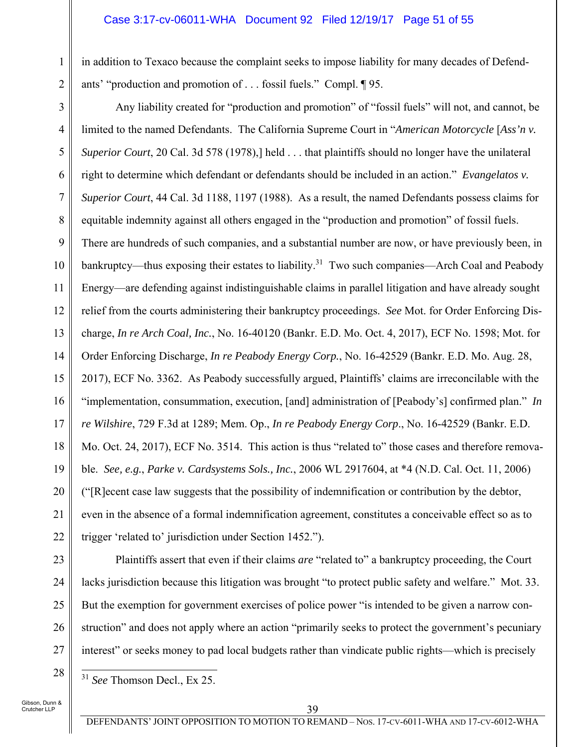#### Case 3:17-cv-06011-WHA Document 92 Filed 12/19/17 Page 51 of 55

in addition to Texaco because the complaint seeks to impose liability for many decades of Defendants' "production and promotion of . . . fossil fuels." Compl. ¶ 95.

3 4 5 6 7 8 9 10 11 12 13 14 15 16 17 18 19 20 21 22 Any liability created for "production and promotion" of "fossil fuels" will not, and cannot, be limited to the named Defendants. The California Supreme Court in "*American Motorcycle* [*Ass'n v. Superior Court*, 20 Cal. 3d 578 (1978),] held . . . that plaintiffs should no longer have the unilateral right to determine which defendant or defendants should be included in an action." *Evangelatos v. Superior Court*, 44 Cal. 3d 1188, 1197 (1988). As a result, the named Defendants possess claims for equitable indemnity against all others engaged in the "production and promotion" of fossil fuels. There are hundreds of such companies, and a substantial number are now, or have previously been, in bankruptcy—thus exposing their estates to liability.<sup>31</sup> Two such companies—Arch Coal and Peabody Energy—are defending against indistinguishable claims in parallel litigation and have already sought relief from the courts administering their bankruptcy proceedings. *See* Mot. for Order Enforcing Discharge, *In re Arch Coal, Inc.*, No. 16-40120 (Bankr. E.D. Mo. Oct. 4, 2017), ECF No. 1598; Mot. for Order Enforcing Discharge, *In re Peabody Energy Corp.*, No. 16-42529 (Bankr. E.D. Mo. Aug. 28, 2017), ECF No. 3362. As Peabody successfully argued, Plaintiffs' claims are irreconcilable with the "implementation, consummation, execution, [and] administration of [Peabody's] confirmed plan." *In re Wilshire*, 729 F.3d at 1289; Mem. Op., *In re Peabody Energy Corp*., No. 16-42529 (Bankr. E.D. Mo. Oct. 24, 2017), ECF No. 3514. This action is thus "related to" those cases and therefore removable. *See, e.g.*, *Parke v. Cardsystems Sols., Inc.*, 2006 WL 2917604, at \*4 (N.D. Cal. Oct. 11, 2006) ("[R]ecent case law suggests that the possibility of indemnification or contribution by the debtor, even in the absence of a formal indemnification agreement, constitutes a conceivable effect so as to trigger 'related to' jurisdiction under Section 1452.").

23 24 25

26

27

28

1

2

Plaintiffs assert that even if their claims *are* "related to" a bankruptcy proceeding, the Court lacks jurisdiction because this litigation was brought "to protect public safety and welfare." Mot. 33. But the exemption for government exercises of police power "is intended to be given a narrow construction" and does not apply where an action "primarily seeks to protect the government's pecuniary interest" or seeks money to pad local budgets rather than vindicate public rights—which is precisely

 $\overline{a}$ <sup>31</sup> *See* Thomson Decl., Ex 25.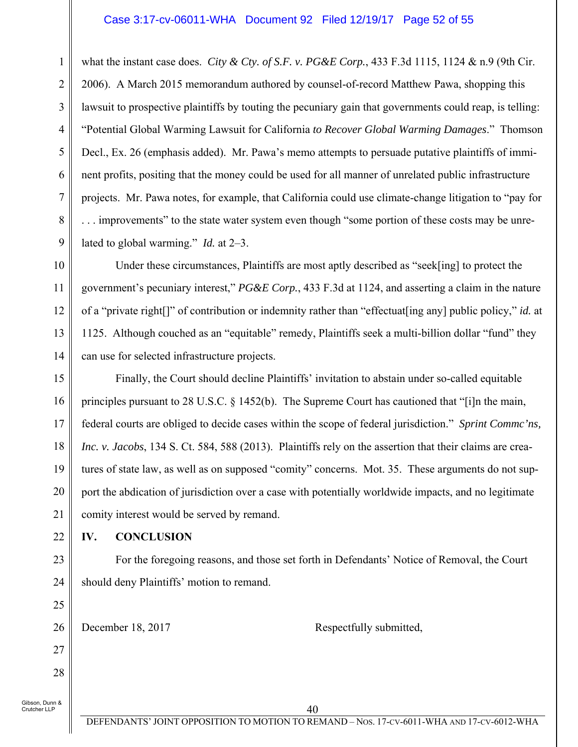#### Case 3:17-cv-06011-WHA Document 92 Filed 12/19/17 Page 52 of 55

what the instant case does. *City & Cty. of S.F. v. PG&E Corp.*, 433 F.3d 1115, 1124 & n.9 (9th Cir. 2006). A March 2015 memorandum authored by counsel-of-record Matthew Pawa, shopping this lawsuit to prospective plaintiffs by touting the pecuniary gain that governments could reap, is telling: "Potential Global Warming Lawsuit for California *to Recover Global Warming Damages*." Thomson Decl., Ex. 26 (emphasis added). Mr. Pawa's memo attempts to persuade putative plaintiffs of imminent profits, positing that the money could be used for all manner of unrelated public infrastructure projects. Mr. Pawa notes, for example, that California could use climate-change litigation to "pay for ... improvements" to the state water system even though "some portion of these costs may be unrelated to global warming." *Id.* at 2–3.

Under these circumstances, Plaintiffs are most aptly described as "seek[ing] to protect the government's pecuniary interest," *PG&E Corp.*, 433 F.3d at 1124, and asserting a claim in the nature of a "private right[]" of contribution or indemnity rather than "effectuat[ing any] public policy," *id.* at 1125. Although couched as an "equitable" remedy, Plaintiffs seek a multi-billion dollar "fund" they can use for selected infrastructure projects.

15 16 17 18 19 20 21 Finally, the Court should decline Plaintiffs' invitation to abstain under so-called equitable principles pursuant to 28 U.S.C. § 1452(b). The Supreme Court has cautioned that "[i]n the main, federal courts are obliged to decide cases within the scope of federal jurisdiction." *Sprint Commc'ns, Inc. v. Jacobs*, 134 S. Ct. 584, 588 (2013). Plaintiffs rely on the assertion that their claims are creatures of state law, as well as on supposed "comity" concerns. Mot. 35. These arguments do not support the abdication of jurisdiction over a case with potentially worldwide impacts, and no legitimate comity interest would be served by remand.

**IV. CONCLUSION** 

1

2

3

4

5

6

7

8

9

10

11

12

13

14

22

23

24

25

26

27

28

For the foregoing reasons, and those set forth in Defendants' Notice of Removal, the Court should deny Plaintiffs' motion to remand.

December 18, 2017 Respectfully submitted,

Gibson, Dunn & .<br>Crutcher LLP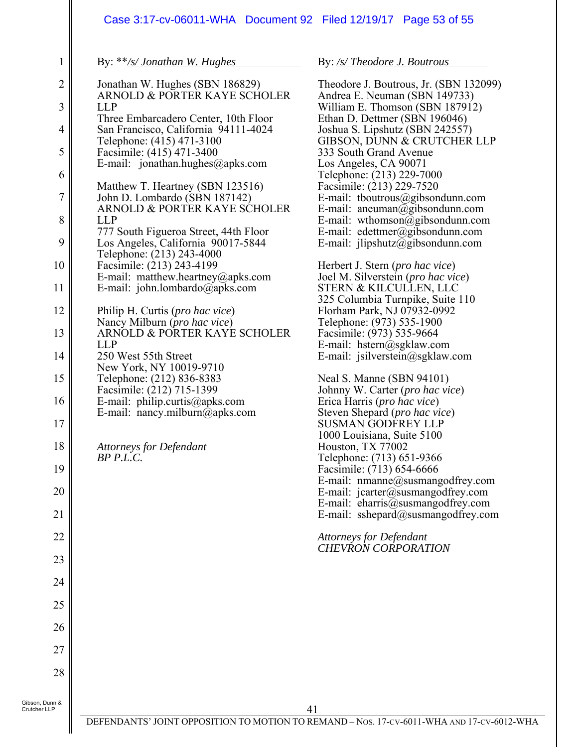# Case 3:17-cv-06011-WHA Document 92 Filed 12/19/17 Page 53 of 55

By: \*\**/s/ Jonathan W. Hughes*

1

| $\overline{2}$ | Jonathan W. Hughes (SBN 186829)<br>ARNOLD & PORTER KAYE SCHOLER                                           |
|----------------|-----------------------------------------------------------------------------------------------------------|
| $\overline{3}$ | LLP                                                                                                       |
| $\overline{4}$ | Three Embarcadero Center, 10th Floor<br>San Francisco, California 94111-4024<br>Telephone: (415) 471-3100 |
| 5              | Facsimile: (415) 471-3400<br>E-mail: jonathan.hughes@apks.com                                             |
| 6              |                                                                                                           |
| $\overline{7}$ | Matthew T. Heartney (SBN 123516)<br>John D. Lombardo (SBN 187142)<br>ARNOLD & PORTER KAYE SCHOLER         |
| 8              | <b>LLP</b><br>777 South Figueroa Street, 44th Floor                                                       |
| 9              | Los Angeles, California 90017-5844<br>Telephone: (213) 243-4000                                           |
| 10             | Facsimile: (213) 243-4199                                                                                 |
| 11             | E-mail: matthew.heartney@apks.com<br>E-mail: john.lombardo@apks.com                                       |
| 12             | Philip H. Curtis (pro hac vice)<br>Nancy Milburn (pro hac vice)                                           |
| 13             | ARNOLD & PORTER KAYE SCHOLER<br><b>LLP</b>                                                                |
| 14             | 250 West 55th Street<br>New York, NY 10019-9710                                                           |
| 15             | Telephone: (212) 836-8383                                                                                 |
| 16             | Facsimile: (212) 715-1399<br>E-mail: philip.curtis@apks.com                                               |
| 17             | E-mail: nancy.milburn@apks.com                                                                            |
| 18             | <b>Attorneys for Defendant</b><br>BP P.L.C.                                                               |
| 19             |                                                                                                           |
| 20             |                                                                                                           |
| 21             |                                                                                                           |
| 22             |                                                                                                           |
| 23             |                                                                                                           |
| 24             |                                                                                                           |
| 25             |                                                                                                           |
| 26             |                                                                                                           |
| 27             |                                                                                                           |
| 28             |                                                                                                           |
|                |                                                                                                           |

By: */s/ Theodore J. Boutrous* 

Theodore J. Boutrous, Jr. (SBN 132099) Andrea E. Neuman (SBN 149733) William E. Thomson (SBN 187912) Ethan D. Dettmer (SBN 196046) Joshua S. Lipshutz (SBN 242557) GIBSON, DUNN & CRUTCHER LLP 333 South Grand Avenue Los Angeles, CA 90071 Telephone: (213) 229-7000 Facsimile: (213) 229-7520 E-mail: tboutrous@gibsondunn.com E-mail: aneuman $\widetilde{\omega}$ gibsondunn.com E-mail: wthomson $\overline{\omega}$ gibsondunn.com E-mail: edettmer@gibsondunn.com E-mail: jlipshutz@gibsondunn.com

Herbert J. Stern (*pro hac vice*) Joel M. Silverstein (*pro hac vice*) STERN & KILCULLEN, LLC 325 Columbia Turnpike, Suite 110 Florham Park, NJ 07932-0992 Telephone: (973) 535-1900 Facsimile: (973) 535-9664 E-mail: hstern@sgklaw.com E-mail: jsilverstein@sgklaw.com

Neal S. Manne (SBN 94101) Johnny W. Carter (*pro hac vice*) Erica Harris (*pro hac vice*) Steven Shepard (*pro hac vice*) SUSMAN GODFREY LLP 1000 Louisiana, Suite 5100 Houston, TX 77002 Telephone: (713) 651-9366 Facsimile: (713) 654-6666 E-mail: nmanne@susmangodfrey.com E-mail:  $jcarter@swsmangodfrey.com$ E-mail:  $\text{charris}\overline{a}$ susmangodfrey.com E-mail: sshepard@susmangodfrey.com

*Attorneys for Defendant CHEVRON CORPORATION*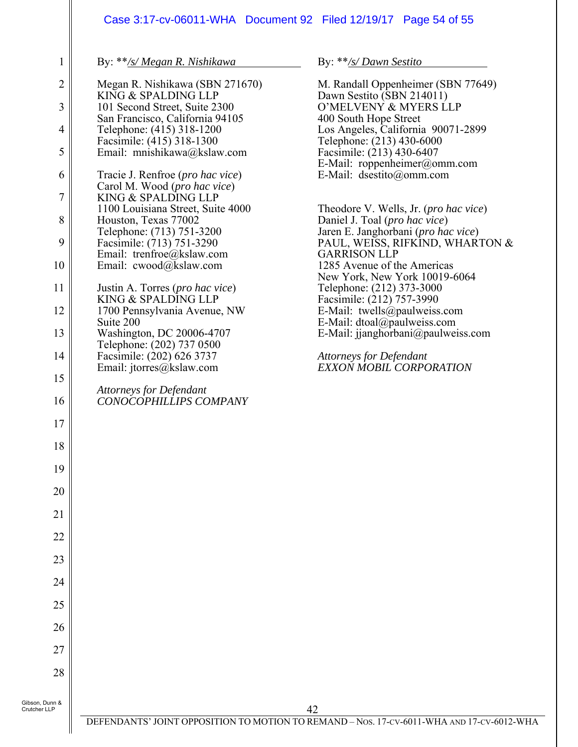# Case 3:17-cv-06011-WHA Document 92 Filed 12/19/17 Page 54 of 55

By: \*\**/s/ Megan R. Nishikawa*

1

| Ŧ.              | υу.<br><u>/3/1998/1018 N. INStitutivu</u>                                          |
|-----------------|------------------------------------------------------------------------------------|
| $\overline{2}$  | Megan R. Nishikawa (SBN 271670)                                                    |
| 3               | KING & SPALDING LLP<br>101 Second Street, Suite 2300                               |
| 4               | San Francisco, California 94105<br>Telephone: (415) 318-1200                       |
| 5               | Facsimile: (415) 318-1300<br>Email: mnishikawa@kslaw.com                           |
| 6               | Tracie J. Renfroe ( <i>pro hac vice</i> )                                          |
| $\overline{7}$  | Carol M. Wood (pro hac vice)<br>KING & SPALDING LLP                                |
| 8               | 1100 Louisiana Street, Suite 4000<br>Houston, Texas 77002                          |
| 9               | Telephone: (713) 751-3200<br>Facsimile: (713) 751-3290                             |
| 10              | Email: trenfroe@kslaw.com<br>Email: cwood@kslaw.com                                |
| 11              | Justin A. Torres ( <i>pro hac vice</i> )<br>KING & SPALDING LLP                    |
| 12              | 1700 Pennsylvania Avenue, NW<br>Suite 200                                          |
| 13              | Washington, DC 20006-4707                                                          |
| 14              | Telephone: (202) 737 0500<br>Facsimile: (202) 626 3737<br>Email: jtorres@kslaw.com |
| 15              | <b>Attorneys for Defendant</b>                                                     |
| 16              | CONOCOPHILLIPS COMPANY                                                             |
| 17              |                                                                                    |
| 18              |                                                                                    |
| 19              |                                                                                    |
| 20              |                                                                                    |
| $\overline{21}$ |                                                                                    |
| 22              |                                                                                    |
| 23              |                                                                                    |
| 24              |                                                                                    |
| 25              |                                                                                    |
| 26              |                                                                                    |
| 27              |                                                                                    |
| 28              |                                                                                    |
|                 |                                                                                    |

By: \*\**/s/ Dawn Sestito*

M. Randall Oppenheimer (SBN 77649) Dawn Sestito (SBN 214011) O'MELVENY & MYERS LLP 400 South Hope Street Los Angeles, California 90071-2899 Telephone: (213) 430-6000 Facsimile: (213) 430-6407 E-Mail: roppenheimer@omm.com E-Mail: dsestito@omm.com Theodore V. Wells, Jr. (*pro hac vice*)

Daniel J. Toal (*pro hac vice*) Jaren E. Janghorbani (*pro hac vice*) PAUL, WEISS, RIFKIND, WHARTON & GARRISON LLP 1285 Avenue of the Americas New York, New York 10019-6064 Telephone: (212) 373-3000 Facsimile: (212) 757-3990 E-Mail: twells@paulweiss.com E-Mail: dtoal@paulweiss.com E-Mail: jjanghorbani@paulweiss.com

*Attorneys for Defendant EXXON MOBIL CORPORATION*